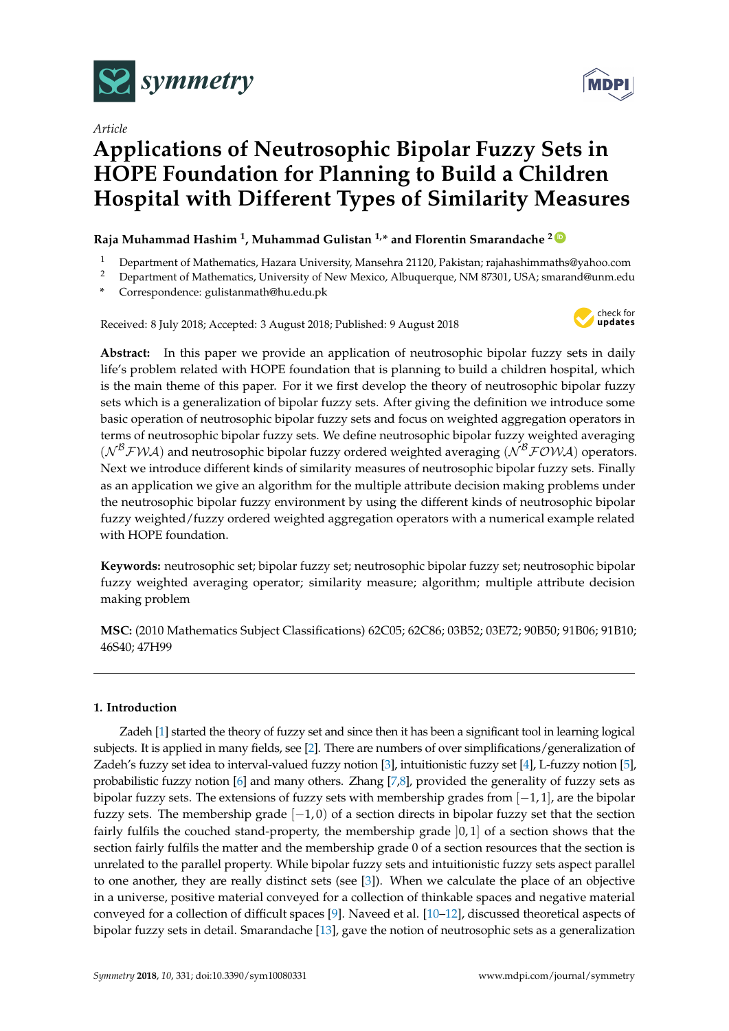

*Article*



# **Applications of Neutrosophic Bipolar Fuzzy Sets in HOPE Foundation for Planning to Build a Children Hospital with Different Types of Similarity Measures**

# **Raja Muhammad Hashim <sup>1</sup> , Muhammad Gulistan 1,\* and Florentin Smarandache <sup>2</sup> [ID](https://orcid.org/0000-0002-5560-5926)**

- <sup>1</sup> Department of Mathematics, Hazara University, Mansehra 21120, Pakistan; rajahashimmaths@yahoo.com
- <sup>2</sup> Department of Mathematics, University of New Mexico, Albuquerque, NM 87301, USA; smarand@unm.edu
- **\*** Correspondence: gulistanmath@hu.edu.pk

Received: 8 July 2018; Accepted: 3 August 2018; Published: 9 August 2018



**Abstract:** In this paper we provide an application of neutrosophic bipolar fuzzy sets in daily life's problem related with HOPE foundation that is planning to build a children hospital, which is the main theme of this paper. For it we first develop the theory of neutrosophic bipolar fuzzy sets which is a generalization of bipolar fuzzy sets. After giving the definition we introduce some basic operation of neutrosophic bipolar fuzzy sets and focus on weighted aggregation operators in terms of neutrosophic bipolar fuzzy sets. We define neutrosophic bipolar fuzzy weighted averaging  $(N^{\beta}$  FWA) and neutrosophic bipolar fuzzy ordered weighted averaging  $(N^{\beta}$  FOWA) operators. Next we introduce different kinds of similarity measures of neutrosophic bipolar fuzzy sets. Finally as an application we give an algorithm for the multiple attribute decision making problems under the neutrosophic bipolar fuzzy environment by using the different kinds of neutrosophic bipolar fuzzy weighted/fuzzy ordered weighted aggregation operators with a numerical example related with HOPE foundation.

**Keywords:** neutrosophic set; bipolar fuzzy set; neutrosophic bipolar fuzzy set; neutrosophic bipolar fuzzy weighted averaging operator; similarity measure; algorithm; multiple attribute decision making problem

**MSC:** (2010 Mathematics Subject Classifications) 62C05; 62C86; 03B52; 03E72; 90B50; 91B06; 91B10; 46S40; 47H99

# **1. Introduction**

Zadeh [\[1\]](#page-23-0) started the theory of fuzzy set and since then it has been a significant tool in learning logical subjects. It is applied in many fields, see [\[2\]](#page-23-1). There are numbers of over simplifications/generalization of Zadeh's fuzzy set idea to interval-valued fuzzy notion [\[3\]](#page-23-2), intuitionistic fuzzy set [\[4\]](#page-23-3), L-fuzzy notion [\[5\]](#page-23-4), probabilistic fuzzy notion [\[6\]](#page-23-5) and many others. Zhang [\[7,](#page-23-6)[8\]](#page-23-7), provided the generality of fuzzy sets as bipolar fuzzy sets. The extensions of fuzzy sets with membership grades from [−1, 1], are the bipolar fuzzy sets. The membership grade  $[-1, 0)$  of a section directs in bipolar fuzzy set that the section fairly fulfils the couched stand-property, the membership grade ]0, 1] of a section shows that the section fairly fulfils the matter and the membership grade 0 of a section resources that the section is unrelated to the parallel property. While bipolar fuzzy sets and intuitionistic fuzzy sets aspect parallel to one another, they are really distinct sets (see [\[3\]](#page-23-2)). When we calculate the place of an objective in a universe, positive material conveyed for a collection of thinkable spaces and negative material conveyed for a collection of difficult spaces [\[9\]](#page-23-8). Naveed et al. [\[10–](#page-23-9)[12\]](#page-23-10), discussed theoretical aspects of bipolar fuzzy sets in detail. Smarandache [\[13\]](#page-23-11), gave the notion of neutrosophic sets as a generalization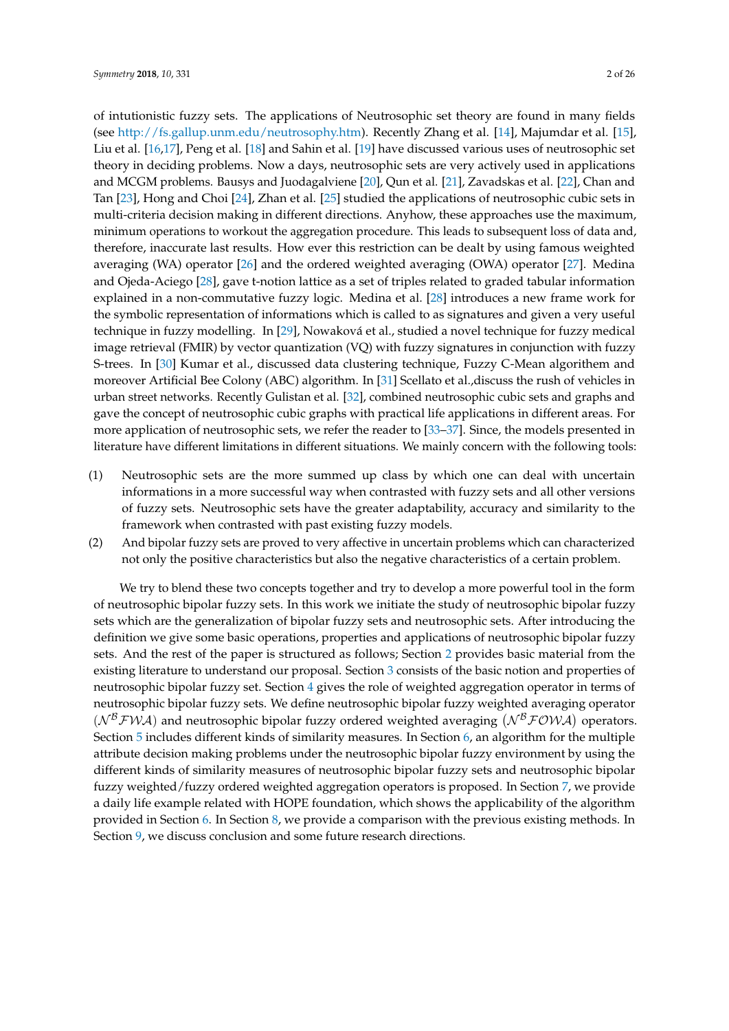of intutionistic fuzzy sets. The applications of Neutrosophic set theory are found in many fields (see [http://fs.gallup.unm.edu/neutrosophy.htm\)](http://fs.gallup.unm.edu/neutrosophy.htm). Recently Zhang et al. [\[14\]](#page-23-12), Majumdar et al. [\[15\]](#page-23-13), Liu et al. [\[16,](#page-23-14)[17\]](#page-23-15), Peng et al. [\[18\]](#page-23-16) and Sahin et al. [\[19\]](#page-23-17) have discussed various uses of neutrosophic set theory in deciding problems. Now a days, neutrosophic sets are very actively used in applications and MCGM problems. Bausys and Juodagalviene [\[20\]](#page-23-18), Qun et al. [\[21\]](#page-24-0), Zavadskas et al. [\[22\]](#page-24-1), Chan and Tan [\[23\]](#page-24-2), Hong and Choi [\[24\]](#page-24-3), Zhan et al. [\[25\]](#page-24-4) studied the applications of neutrosophic cubic sets in multi-criteria decision making in different directions. Anyhow, these approaches use the maximum, minimum operations to workout the aggregation procedure. This leads to subsequent loss of data and, therefore, inaccurate last results. How ever this restriction can be dealt by using famous weighted averaging (WA) operator [\[26\]](#page-24-5) and the ordered weighted averaging (OWA) operator [\[27\]](#page-24-6). Medina and Ojeda-Aciego [\[28\]](#page-24-7), gave t-notion lattice as a set of triples related to graded tabular information explained in a non-commutative fuzzy logic. Medina et al. [\[28\]](#page-24-7) introduces a new frame work for the symbolic representation of informations which is called to as signatures and given a very useful technique in fuzzy modelling. In [\[29\]](#page-24-8), Nowaková et al., studied a novel technique for fuzzy medical image retrieval (FMIR) by vector quantization (VQ) with fuzzy signatures in conjunction with fuzzy S-trees. In [\[30\]](#page-24-9) Kumar et al., discussed data clustering technique, Fuzzy C-Mean algorithem and moreover Artificial Bee Colony (ABC) algorithm. In [\[31\]](#page-24-10) Scellato et al.,discuss the rush of vehicles in urban street networks. Recently Gulistan et al. [\[32\]](#page-24-11), combined neutrosophic cubic sets and graphs and gave the concept of neutrosophic cubic graphs with practical life applications in different areas. For more application of neutrosophic sets, we refer the reader to [\[33–](#page-24-12)[37\]](#page-24-13). Since, the models presented in literature have different limitations in different situations. We mainly concern with the following tools:

- (1) Neutrosophic sets are the more summed up class by which one can deal with uncertain informations in a more successful way when contrasted with fuzzy sets and all other versions of fuzzy sets. Neutrosophic sets have the greater adaptability, accuracy and similarity to the framework when contrasted with past existing fuzzy models.
- (2) And bipolar fuzzy sets are proved to very affective in uncertain problems which can characterized not only the positive characteristics but also the negative characteristics of a certain problem.

We try to blend these two concepts together and try to develop a more powerful tool in the form of neutrosophic bipolar fuzzy sets. In this work we initiate the study of neutrosophic bipolar fuzzy sets which are the generalization of bipolar fuzzy sets and neutrosophic sets. After introducing the definition we give some basic operations, properties and applications of neutrosophic bipolar fuzzy sets. And the rest of the paper is structured as follows; Section [2](#page-2-0) provides basic material from the existing literature to understand our proposal. Section [3](#page-3-0) consists of the basic notion and properties of neutrosophic bipolar fuzzy set. Section [4](#page-6-0) gives the role of weighted aggregation operator in terms of neutrosophic bipolar fuzzy sets. We define neutrosophic bipolar fuzzy weighted averaging operator  $(N^{\mathcal{B}}\mathcal{FWA})$  and neutrosophic bipolar fuzzy ordered weighted averaging  $(N^{\mathcal{B}}\mathcal{FOWA})$  operators. Section [5](#page-10-0) includes different kinds of similarity measures. In Section [6,](#page-17-0) an algorithm for the multiple attribute decision making problems under the neutrosophic bipolar fuzzy environment by using the different kinds of similarity measures of neutrosophic bipolar fuzzy sets and neutrosophic bipolar fuzzy weighted/fuzzy ordered weighted aggregation operators is proposed. In Section [7,](#page-19-0) we provide a daily life example related with HOPE foundation, which shows the applicability of the algorithm provided in Section [6.](#page-17-0) In Section [8,](#page-22-0) we provide a comparison with the previous existing methods. In Section [9,](#page-22-1) we discuss conclusion and some future research directions.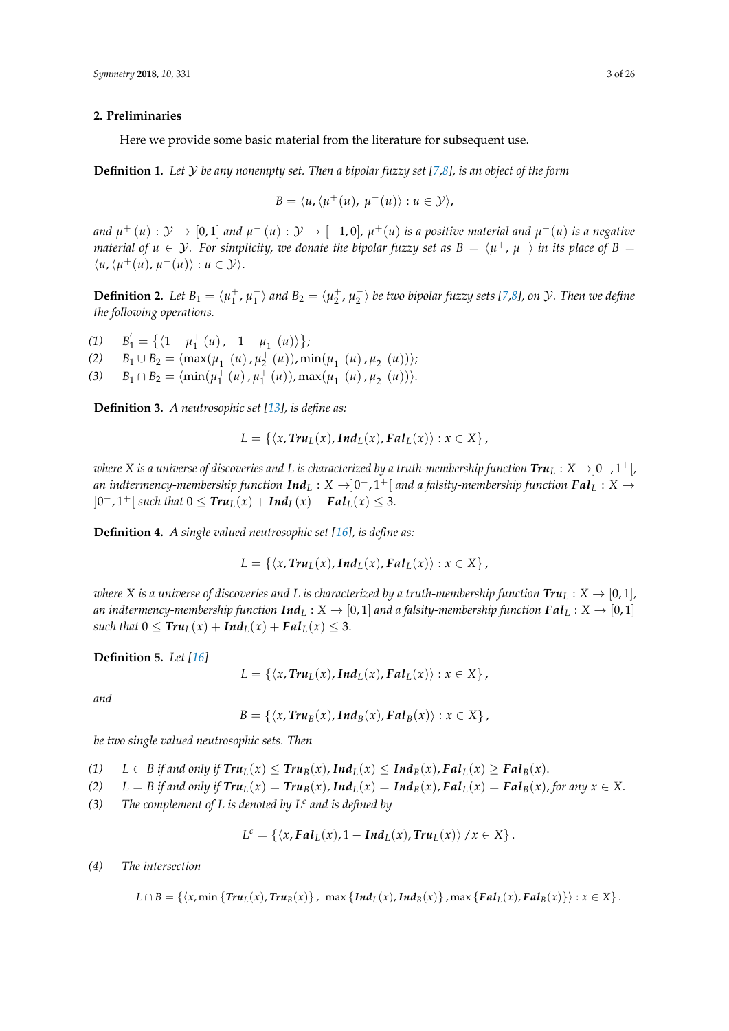#### <span id="page-2-0"></span>**2. Preliminaries**

Here we provide some basic material from the literature for subsequent use.

**Definition 1.** *Let* Y *be any nonempty set. Then a bipolar fuzzy set [\[7](#page-23-6)[,8\]](#page-23-7), is an object of the form*

$$
B = \langle u, \langle \mu^+(u), \, \mu^-(u) \rangle : u \in \mathcal{Y} \rangle,
$$

*and*  $\mu^+(u): \mathcal{Y} \to [0,1]$  and  $\mu^-(u): \mathcal{Y} \to [-1,0]$ ,  $\mu^+(u)$  is a positive material and  $\mu^-(u)$  is a negative *material of*  $u \in Y$ *. For simplicity, we donate the bipolar fuzzy set as*  $B = \langle \mu^+, \mu^- \rangle$  *in its place of*  $B =$  $\langle u, \langle \mu^+(u), \mu^-(u) \rangle : u \in \mathcal{Y} \rangle.$ 

**Definition 2.** *Let*  $B_1 = \langle \mu_1^+, \mu_1^- \rangle$  $\ket{\pi}$  *and*  $B_2 = \langle \mu_2^+, \mu_2^- \rangle$  be two bipolar fuzzy sets [\[7](#page-23-6)[,8\]](#page-23-7), on  $\mathcal{Y}$ . Then we define *the following operations.*

 $(1)$  $\mu'_1 = \{ \langle 1 - \mu_1^+ (u) \rangle, -1 - \mu_1^- (u) \rangle \};$  $1^{(\mu)'}$   $\mu_1$ 

- $B_1 \cup B_2 = \langle \max(\mu_1^+(u), \mu_2^+(u)), \min(\mu_1^-)\rangle$  $\frac{1}{1}(u), \mu_2^-(u))$ ;
- (3)  $B_1 \cap B_2 = \langle \min(\mu_1^+(u), \mu_1^+(u)), \max(\mu_1^-)\rangle$  $\frac{1}{1}(u), \mu_2^-(u))$ .

**Definition 3.** *A neutrosophic set [\[13\]](#page-23-11), is define as:*

$$
L = \{ \langle x, \text{Tr} u_L(x), \text{Ind}_L(x), \text{F} a l_L(x) \rangle : x \in X \},
$$

*where X is a universe of discoveries and L is characterized by a truth-membership function Tru<sup>L</sup>* : *X* →]0 <sup>−</sup>, 1+[*,* an indtermency-membership function  $\mathbf{Ind}_L : X \to ]0^-, 1^+[$  and a falsity-membership function  $\mathbf{Fal}_L : X \to$  $]0^-$ ,  $1^+[$  *such that*  $0 ≤ Tru_L(x) + Ind_L(x) + Fal_L(x) ≤ 3.$ 

**Definition 4.** *A single valued neutrosophic set [\[16\]](#page-23-14), is define as:*

$$
L = \{ \langle x, \text{Tr} u_L(x), \text{Ind}_L(x), \text{F} a l_L(x) \rangle : x \in X \},
$$

*where X* is a universe of discoveries and L is characterized by a truth-membership function  $\text{Tr}u_L : X \to [0,1]$ , *an indtermency-membership function*  $\text{Ind}_L : X \to [0,1]$  *and a falsity-membership function*  $\text{Fal}_L : X \to [0,1]$ *such that*  $0 \leq \text{Tr}u_L(x) + \text{Ind}_L(x) + \text{F}aL_L(x) \leq 3$ .

**Definition 5.** *Let [\[16\]](#page-23-14)*

$$
L = \{ \langle x, \text{Tr} u_L(x), \text{Ind}_L(x), \text{F} a l_L(x) \rangle : x \in X \},
$$

*and*

$$
B = \{ \langle x, \text{True}(x), \text{Ind}_{B}(x), \text{False}(x) \rangle : x \in X \},
$$

*be two single valued neutrosophic sets. Then*

(1)  $L \subset B$  if and only if  $\text{Tr} \textbf{u}_L(x) \leq \text{Tr} \textbf{u}_B(x)$ ,  $\text{Ind}_L(x) \leq \text{Ind}_B(x)$ ,  $\text{F} \textbf{a} \textbf{l}_L(x) \geq \text{F} \textbf{a} \textbf{l}_B(x)$ .

(2)  $L = B$  if and only if  $Tru_I(x) = Tru_R(x)$ ,  $Ind_I(x) = Ind_R(x)$ ,  $Fal_I(x) = Fal_R(x)$ , for any  $x \in X$ .

*(3) The complement of L is denoted by L<sup>c</sup> and is defined by*

$$
L^{c} = \{ \langle x, \mathbf{F}al_{L}(x), 1 - \mathbf{Ind}_{L}(x), \mathbf{Tr}u_{L}(x) \rangle / x \in X \}.
$$

### *(4) The intersection*

 $L \cap B = \{ \langle x, \min \{ \text{Tr} u_L(x), \text{Tr} u_R(x) \} \rangle$ ,  $\max \{ \text{Ind}_L(x), \text{Ind}_R(x) \}$ ,  $\max \{ \text{Gal}_L(x), \text{Gal}_R(x) \} \rangle$ :  $x \in X \}$ .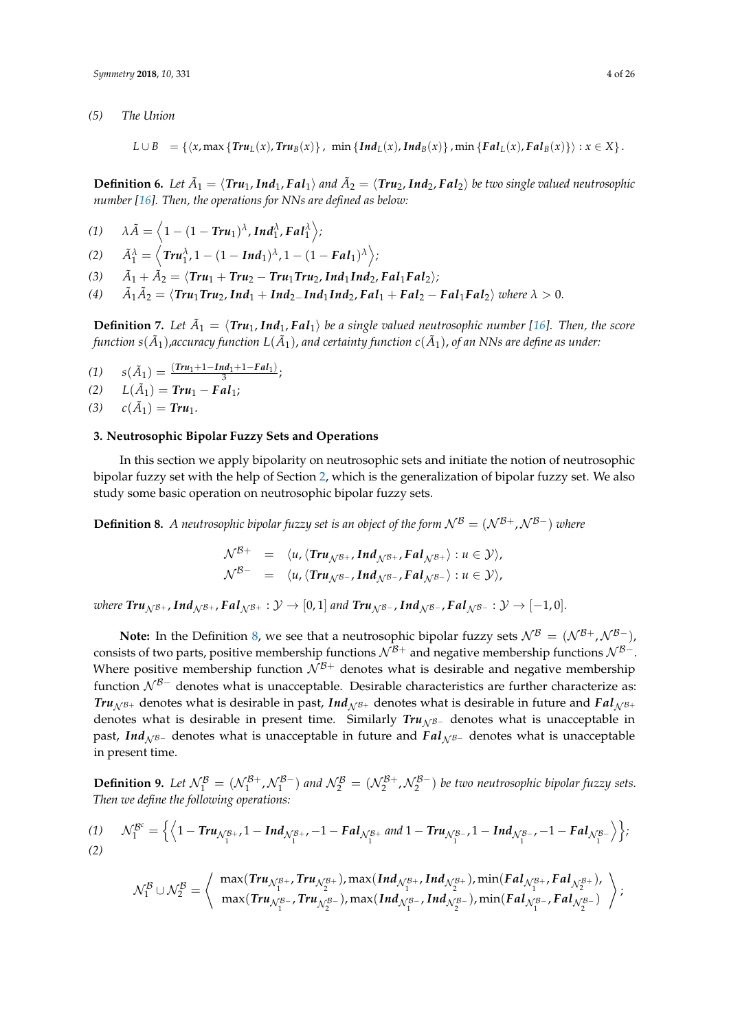*(5) The Union*

$$
L \cup B = \{ \langle x, \max \{ \text{Tr} u_L(x), \text{Tr} u_B(x) \} , \min \{ \text{Ind}_L(x), \text{Ind}_B(x) \} , \min \{ \text{F} a l_L(x), \text{F} a l_B(x) \} \rangle : x \in X \}.
$$

**Definition 6.** Let  $\tilde{A}_1 = \langle Tru_1, Ind_1, Fal_1 \rangle$  and  $\tilde{A}_2 = \langle Tru_2, Ind_2, Fal_2 \rangle$  be two single valued neutrosophic *number [\[16\]](#page-23-14). Then, the operations for NNs are defined as below:*

$$
(1) \quad \lambda \tilde{A} = \left\langle 1 - (1 - Tr u_1)^{\lambda}, Ind_1^{\lambda}, Fal_1^{\lambda} \right\rangle;
$$

 $\tilde{A}_1^{\lambda} = \left\langle \text{Tr} u_1^{\lambda}, 1 - (1 - \text{Ind}_1)^{\lambda}, 1 - (1 - \text{F} a l_1)^{\lambda} \right\rangle;$ 

*(3) A*˜  $\tilde{A}_1 + \tilde{A}_2 = \langle Tru_1 + Tru_2 - Tru_1 Tru_2, Ind_1Ind_2, Fal_1 Fal_2 \rangle;$ 

 $(4)$  $\hat{A}_2 = \langle Tru_1Tru_2, Ind_1 + Ind_{2}$ <sup>*Ind*</sup><sub>1</sub>  $Ind_2$ ,  $Fal_1 + Fal_2 - Fal_1 Fal_2$ <sup>*n*</sup> *where*  $\lambda > 0$ .

**Definition 7.** Let  $\tilde{A}_1 = \langle Tru_1, Ind_1, Fal_1 \rangle$  be a single valued neutrosophic number [\[16\]](#page-23-14). Then, the score function  $s(\tilde{A}_1)$ ,accuracy function  $L(\tilde{A}_1)$ , and certainty function  $c(\tilde{A}_1)$ , of an NNs are define as under:

$$
(1) \qquad s(\tilde{A}_1)=\frac{(Tr u_1+1-Ind_1+1- Fal_1)}{3};
$$

$$
(2) \qquad L(\tilde{A}_1) = \text{Tr}u_1 - \text{F}al_1;
$$

(3)  $c(\tilde{A}_1) = Tr u_1$ .

### <span id="page-3-0"></span>**3. Neutrosophic Bipolar Fuzzy Sets and Operations**

In this section we apply bipolarity on neutrosophic sets and initiate the notion of neutrosophic bipolar fuzzy set with the help of Section [2,](#page-2-0) which is the generalization of bipolar fuzzy set. We also study some basic operation on neutrosophic bipolar fuzzy sets.

<span id="page-3-1"></span>**Definition 8.** *A neutrosophic bipolar fuzzy set is an object of the form*  $\mathcal{N}^B = (\mathcal{N}^{B+}, \mathcal{N}^{B-})$  *where* 

$$
\mathcal{N}^{\mathcal{B}+} = \langle u, \langle \text{Tr} u_{\mathcal{N}^{\mathcal{B}+}}, \text{Ind}_{\mathcal{N}^{\mathcal{B}+}}, \text{Fal}_{\mathcal{N}^{\mathcal{B}+}} \rangle : u \in \mathcal{Y} \rangle,
$$
  

$$
\mathcal{N}^{\mathcal{B}-} = \langle u, \langle \text{Tr} u_{\mathcal{N}^{\mathcal{B}-}}, \text{Ind}_{\mathcal{N}^{\mathcal{B}-}}, \text{Fal}_{\mathcal{N}^{\mathcal{B}-}} \rangle : u \in \mathcal{Y} \rangle,
$$

*where*  $\text{Tr}u_{\mathcal{N}^{\mathcal{B}+}}$ ,  $\text{Ind}_{\mathcal{N}^{\mathcal{B}+}}$ ,  $\text{F}al_{\mathcal{N}^{\mathcal{B}+}} : \mathcal{Y} \to [0,1]$  and  $\text{Tr}u_{\mathcal{N}^{\mathcal{B}-}}$ ,  $\text{Ind}_{\mathcal{N}^{\mathcal{B}-}}$ ,  $\text{F}al_{\mathcal{N}^{\mathcal{B}-}} : \mathcal{Y} \to [-1,0]$ .

**Note:** In the Definition [8,](#page-3-1) we see that a neutrosophic bipolar fuzzy sets  $\mathcal{N}^B = (\mathcal{N}^{B+}, \mathcal{N}^{B-})$ , consists of two parts, positive membership functions  $\mathcal{N}^{B+}$  and negative membership functions  $\mathcal{N}^{B-}$ . Where positive membership function  $N^{B+}$  denotes what is desirable and negative membership function  $\mathcal{N}^{B-}$  denotes what is unacceptable. Desirable characteristics are further characterize as: *Tru*<sub> $N B+$ </sub> denotes what is desirable in past, *Ind*<sub> $N B+$ </sub> denotes what is desirable in future and *Fal*<sub> $N B+$ </sub> denotes what is desirable in present time. Similarly *Tru*<sub>NB−</sub> denotes what is unacceptable in past, *Ind<sub>NB−</sub>* denotes what is unacceptable in future and *Fal<sub>NB</sub>*− denotes what is unacceptable in present time.

**Definition 9.** Let  $\mathcal{N}_1^{\mathcal{B}} = (\mathcal{N}_1^{\mathcal{B}+}, \mathcal{N}_1^{\mathcal{B}-})$  and  $\mathcal{N}_2^{\mathcal{B}} = (\mathcal{N}_2^{\mathcal{B}+}, \mathcal{N}_2^{\mathcal{B}-})$  be two neutrosophic bipolar fuzzy sets. *Then we define the following operations:*

(1) 
$$
\mathcal{N}_1^{\mathcal{B}^c} = \left\{ \left\langle 1 - \text{Tr} u_{\mathcal{N}_1^{\mathcal{B}+}} 1 - \text{Ind}_{\mathcal{N}_1^{\mathcal{B}+}} -1 - \text{ Fal}_{\mathcal{N}_1^{\mathcal{B}+}} \text{ and } 1 - \text{Tr} u_{\mathcal{N}_1^{\mathcal{B}-}} 1 - \text{Ind}_{\mathcal{N}_1^{\mathcal{B}-}} -1 - \text{ Fal}_{\mathcal{N}_1^{\mathcal{B}-}} \right\} \right\};
$$

$$
\mathcal{N}_1^{\mathcal{B}} \cup \mathcal{N}_2^{\mathcal{B}} = \left\langle \begin{array}{c} \max( \textit{Tru}_{\mathcal{N}_1^{\mathcal{B}+}}, \textit{Tru}_{\mathcal{N}_2^{\mathcal{B}+}}), \max( \textit{Ind}_{\mathcal{N}_1^{\mathcal{B}+}}, \textit{Ind}_{\mathcal{N}_2^{\mathcal{B}+}}), \min( \textit{Fal}_{\mathcal{N}_1^{\mathcal{B}+}}, \textit{Fal}_{\mathcal{N}_2^{\mathcal{B}+}}), \\ \max( \textit{Tru}_{\mathcal{N}_1^{\mathcal{B}-}}, \textit{Tru}_{\mathcal{N}_2^{\mathcal{B}-}}), \max( \textit{Ind}_{\mathcal{N}_1^{\mathcal{B}-}}, \textit{Ind}_{\mathcal{N}_2^{\mathcal{B}-}}), \min( \textit{Fal}_{\mathcal{N}_1^{\mathcal{B}-}}, \textit{Fal}_{\mathcal{N}_2^{\mathcal{B}-}}) \end{array} \right\rangle;
$$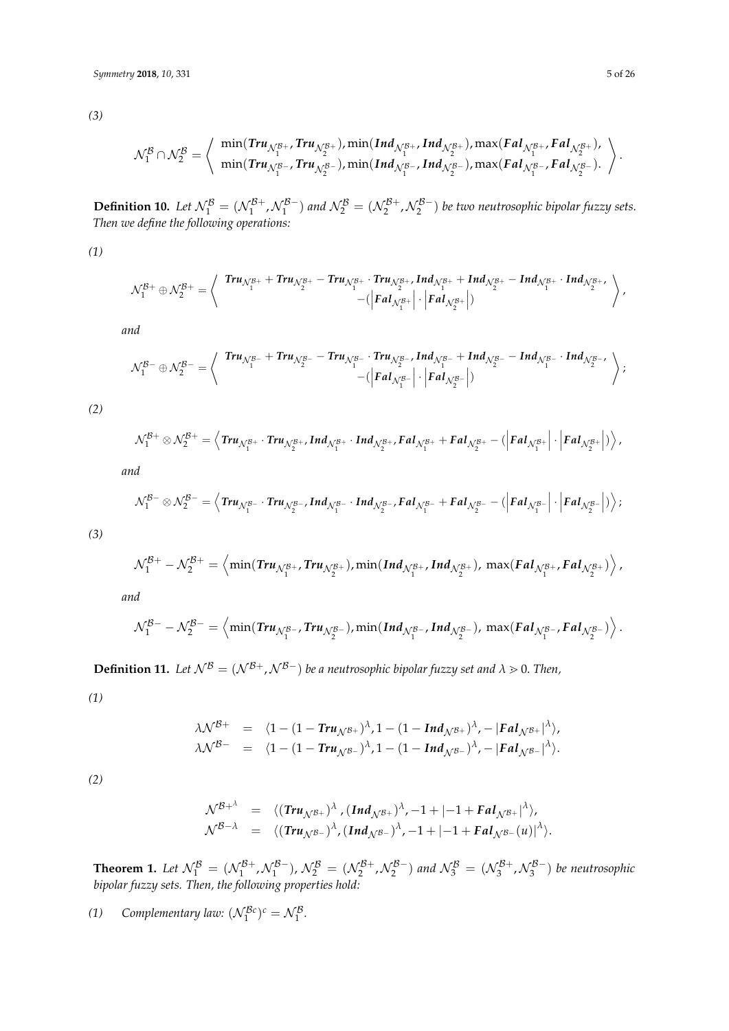*(3)*

$$
\mathcal{N}_1^{\mathcal{B}}\cap\mathcal{N}_2^{\mathcal{B}}=\left\langle \begin{array}{c} \min( \textit{Tru}_{\mathcal{N}_1^{\mathcal{B}+}}, \textit{Tru}_{\mathcal{N}_2^{\mathcal{B}+}}), \min( \textit{Ind}_{\mathcal{N}_1^{\mathcal{B}+}}, \textit{Ind}_{\mathcal{N}_2^{\mathcal{B}+}}), \max( \textit{Fal}_{\mathcal{N}_1^{\mathcal{B}+}}, \textit{Fal}_{\mathcal{N}_2^{\mathcal{B}+}}),\\ \min( \textit{Tru}_{\mathcal{N}_1^{\mathcal{B}-}}, \textit{Tru}_{\mathcal{N}_2^{\mathcal{B}-}}), \min( \textit{Ind}_{\mathcal{N}_1^{\mathcal{B}-}}, \textit{Ind}_{\mathcal{N}_2^{\mathcal{B}-}}), \max( \textit{Fal}_{\mathcal{N}_1^{\mathcal{B}-}}, \textit{Fal}_{\mathcal{N}_2^{\mathcal{B}-}}). \end{array} \right\rangle.
$$

**Definition 10.** Let  $\mathcal{N}_1^{\mathcal{B}} = (\mathcal{N}_1^{\mathcal{B}+}, \mathcal{N}_1^{\mathcal{B}-})$  and  $\mathcal{N}_2^{\mathcal{B}} = (\mathcal{N}_2^{\mathcal{B}+}, \mathcal{N}_2^{\mathcal{B}-})$  be two neutrosophic bipolar fuzzy sets. *Then we define the following operations:*

*(1)*

$$
\mathcal{N}_1^{\mathcal{B}+}\oplus \mathcal{N}_2^{\mathcal{B}+}=\left\langle \begin{array}{c} \textit{Tr} u_{\mathcal{N}_1^{\mathcal{B}+}}+\textit{Tr} u_{\mathcal{N}_2^{\mathcal{B}+}}-\textit{Tr} u_{\mathcal{N}_1^{\mathcal{B}+}}\cdot \textit{Tr} u_{\mathcal{N}_2^{\mathcal{B}+}}\textit{Ind}_{\mathcal{N}_1^{\mathcal{B}+}}+\textit{Ind}_{\mathcal{N}_2^{\mathcal{B}+}}-\textit{Ind}_{\mathcal{N}_2^{\mathcal{B}+}}\\ -(\left|\textit{F}a\textit{I}_{\mathcal{N}_1^{\mathcal{B}+}}\right|\cdot \left|\textit{F}a\textit{I}_{\mathcal{N}_2^{\mathcal{B}+}}\right|\right) \end{array}\right\rangle,
$$

*and*

$$
\mathcal{N}_1^{\mathcal{B}-} \oplus \mathcal{N}_2^{\mathcal{B}-} = \left\langle \begin{array}{c} \mathit{Tr} u_{\mathcal{N}_1^{\mathcal{B}-}} + \mathit{Tr} u_{\mathcal{N}_2^{\mathcal{B}-}} - \mathit{Tr} u_{\mathcal{N}_1^{\mathcal{B}-}} \cdot \mathit{Tr} u_{\mathcal{N}_2^{\mathcal{B}-}} , \mathit{Ind}_{\mathcal{N}_1^{\mathcal{B}-}} + \mathit{Ind}_{\mathcal{N}_2^{\mathcal{B}-}} - \mathit{Ind}_{\mathcal{N}_2^{\mathcal{B}-}} , \\ - (\left| \mathit{F}al_{\mathcal{N}_1^{\mathcal{B}-}} \right| \cdot \left| \mathit{F}al_{\mathcal{N}_2^{\mathcal{B}-}} \right| ) \end{array} \right\rangle;
$$

*(2)*

$$
\mathcal{N}_1^{\mathcal{B}+} \otimes \mathcal{N}_2^{\mathcal{B}+} = \left\langle \text{Tr} u_{\mathcal{N}_1^{\mathcal{B}+}} \cdot \text{Tr} u_{\mathcal{N}_2^{\mathcal{B}+}} \cdot \text{Ind}_{\mathcal{N}_1^{\mathcal{B}+}} \cdot \text{Ind}_{\mathcal{N}_2^{\mathcal{B}+}} \text{Fal}_{\mathcal{N}_1^{\mathcal{B}+}} + \text{Fal}_{\mathcal{N}_2^{\mathcal{B}+}} - (\left| \text{Fal}_{\mathcal{N}_1^{\mathcal{B}+}} \right| \cdot \left| \text{Fal}_{\mathcal{N}_2^{\mathcal{B}+}} \right| \right) \right\rangle,
$$

*and*

$$
\mathcal{N}_1^{\mathcal{B}-} \otimes \mathcal{N}_2^{\mathcal{B}-} = \left\langle \textit{Tru}_{\mathcal{N}_1^{\mathcal{B}-}} \cdot \textit{Tru}_{\mathcal{N}_2^{\mathcal{B}-}}, \textit{Ind}_{\mathcal{N}_1^{\mathcal{B}-}} \cdot \textit{Ind}_{\mathcal{N}_2^{\mathcal{B}-}}, \textit{Fal}_{\mathcal{N}_1^{\mathcal{B}-}} + \textit{Fal}_{\mathcal{N}_2^{\mathcal{B}-}} - (\left| \textit{Fal}_{\mathcal{N}_1^{\mathcal{B}-}} \right| \cdot \left| \textit{Fal}_{\mathcal{N}_2^{\mathcal{B}-}} \right| \right) \right\rangle;
$$

*(3)*

$$
\mathcal{N}_1^{\mathcal{B}+}-\mathcal{N}_2^{\mathcal{B}+}=\left\langle \min(Tr u_{\mathcal{N}_1^{\mathcal{B}+}},Tr u_{\mathcal{N}_2^{\mathcal{B}+}}),\min(Ind_{\mathcal{N}_1^{\mathcal{B}+}},Ind_{\mathcal{N}_2^{\mathcal{B}+}}),\max( Fal_{\mathcal{N}_1^{\mathcal{B}+}}, Fal_{\mathcal{N}_2^{\mathcal{B}+}})\right\rangle,
$$

*and*

$$
\mathcal{N}_1^{\mathcal{B}-}-\mathcal{N}_2^{\mathcal{B}-}=\left\langle \min(Tr u_{\mathcal{N}_1^{\mathcal{B}-}},Tr u_{\mathcal{N}_2^{\mathcal{B}-}}),\min(Ind_{\mathcal{N}_1^{\mathcal{B}-}},Ind_{\mathcal{N}_2^{\mathcal{B}-}}),\max( Fal_{\mathcal{N}_1^{\mathcal{B}-}}, Fal_{\mathcal{N}_2^{\mathcal{B}-}})\right\rangle.
$$

**Definition 11.** *Let*  $\mathcal{N}^B = (\mathcal{N}^{B+}, \mathcal{N}^{B-})$  *be a neutrosophic bipolar fuzzy set and*  $\lambda \ge 0$ *. Then,* 

*(1)*

$$
\lambda \mathcal{N}^{\mathcal{B}+} = \langle 1 - (1 - \text{Tr} u_{\mathcal{N}^{\mathcal{B}+}})^{\lambda}, 1 - (1 - \text{Ind}_{\mathcal{N}^{\mathcal{B}+}})^{\lambda}, - |\text{ Fal}_{\mathcal{N}^{\mathcal{B}+}}|^{\lambda} \rangle,
$$
  

$$
\lambda \mathcal{N}^{\mathcal{B}-} = \langle 1 - (1 - \text{Tr} u_{\mathcal{N}^{\mathcal{B}-}})^{\lambda}, 1 - (1 - \text{Ind}_{\mathcal{N}^{\mathcal{B}-}})^{\lambda}, - |\text{fal}_{\mathcal{N}^{\mathcal{B}-}}|^{\lambda} \rangle.
$$

*(2)*

$$
\mathcal{N}^{\mathcal{B}+\lambda} = \langle (\text{Tr}u_{\mathcal{N}^{\mathcal{B}+}})^{\lambda}, (\text{Ind}_{\mathcal{N}^{\mathcal{B}+}})^{\lambda}, -1+|-1+\text{F}al_{\mathcal{N}^{\mathcal{B}+}}|^{\lambda},\mathcal{N}^{\mathcal{B}-\lambda} = \langle (\text{Tr}u_{\mathcal{N}^{\mathcal{B}-}})^{\lambda}, (\text{Ind}_{\mathcal{N}^{\mathcal{B}-}})^{\lambda}, -1+|-1+\text{F}al_{\mathcal{N}^{\mathcal{B}-}}(u)|^{\lambda} \rangle.
$$

**Theorem 1.** Let  $\mathcal{N}_1^{\mathcal{B}} = (\mathcal{N}_1^{\mathcal{B}+}, \mathcal{N}_1^{\mathcal{B}-}), \mathcal{N}_2^{\mathcal{B}} = (\mathcal{N}_2^{\mathcal{B}+}, \mathcal{N}_2^{\mathcal{B}-})$  and  $\mathcal{N}_3^{\mathcal{B}} = (\mathcal{N}_3^{\mathcal{B}+}, \mathcal{N}_3^{\mathcal{B}-})$  be neutrosophic *bipolar fuzzy sets. Then, the following properties hold:*

(1) *Complementary law:*  $(\mathcal{N}_1^{\mathcal{B}c})^c = \mathcal{N}_1^{\mathcal{B}}$ *.*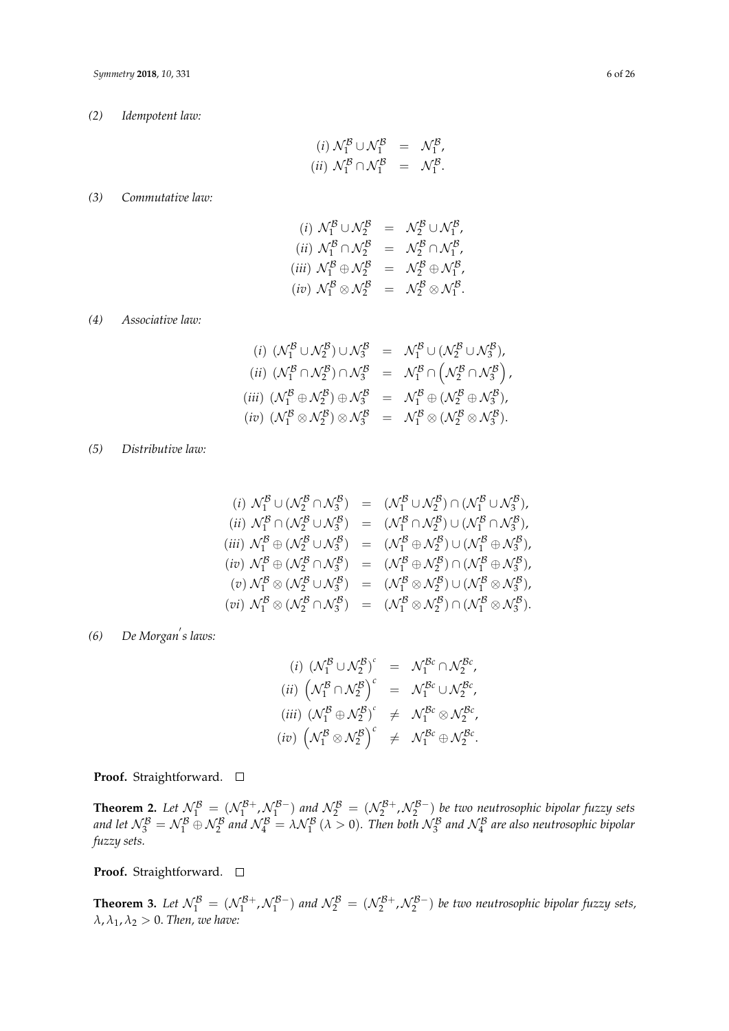*(2) Idempotent law:*

$$
(i) \mathcal{N}_1^{\mathcal{B}} \cup \mathcal{N}_1^{\mathcal{B}} = \mathcal{N}_1^{\mathcal{B}},
$$
  

$$
(ii) \mathcal{N}_1^{\mathcal{B}} \cap \mathcal{N}_1^{\mathcal{B}} = \mathcal{N}_1^{\mathcal{B}}.
$$

### *(3) Commutative law:*

$$
(i) \mathcal{N}_1^{\mathcal{B}} \cup \mathcal{N}_2^{\mathcal{B}} = \mathcal{N}_2^{\mathcal{B}} \cup \mathcal{N}_1^{\mathcal{B}},
$$
  
\n
$$
(ii) \mathcal{N}_1^{\mathcal{B}} \cap \mathcal{N}_2^{\mathcal{B}} = \mathcal{N}_2^{\mathcal{B}} \cap \mathcal{N}_1^{\mathcal{B}},
$$
  
\n
$$
(iii) \mathcal{N}_1^{\mathcal{B}} \oplus \mathcal{N}_2^{\mathcal{B}} = \mathcal{N}_2^{\mathcal{B}} \oplus \mathcal{N}_1^{\mathcal{B}},
$$
  
\n
$$
(iv) \mathcal{N}_1^{\mathcal{B}} \otimes \mathcal{N}_2^{\mathcal{B}} = \mathcal{N}_2^{\mathcal{B}} \otimes \mathcal{N}_1^{\mathcal{B}}.
$$

*(4) Associative law:*

(i) 
$$
(\mathcal{N}_1^B \cup \mathcal{N}_2^B) \cup \mathcal{N}_3^B = \mathcal{N}_1^B \cup (\mathcal{N}_2^B \cup \mathcal{N}_3^B),
$$
  
\n(ii)  $(\mathcal{N}_1^B \cap \mathcal{N}_2^B) \cap \mathcal{N}_3^B = \mathcal{N}_1^B \cap (\mathcal{N}_2^B \cap \mathcal{N}_3^B),$   
\n(iii)  $(\mathcal{N}_1^B \oplus \mathcal{N}_2^B) \oplus \mathcal{N}_3^B = \mathcal{N}_1^B \oplus (\mathcal{N}_2^B \oplus \mathcal{N}_3^B),$   
\n(iv)  $(\mathcal{N}_1^B \otimes \mathcal{N}_2^B) \otimes \mathcal{N}_3^B = \mathcal{N}_1^B \otimes (\mathcal{N}_2^B \otimes \mathcal{N}_3^B).$ 

## *(5) Distributive law:*

(i) 
$$
N_1^B \cup (N_2^B \cap N_3^B) = (N_1^B \cup N_2^B) \cap (N_1^B \cup N_3^B)
$$
,  
\n(ii)  $N_1^B \cap (N_2^B \cup N_3^B) = (N_1^B \cap N_2^B) \cup (N_1^B \cap N_3^B)$ ,  
\n(iii)  $N_1^B \oplus (N_2^B \cup N_3^B) = (N_1^B \oplus N_2^B) \cup (N_1^B \oplus N_3^B)$ ,  
\n(iv)  $N_1^B \oplus (N_2^B \cap N_3^B) = (N_1^B \oplus N_2^B) \cap (N_1^B \oplus N_3^B)$ ,  
\n(v)  $N_1^B \otimes (N_2^B \cup N_3^B) = (N_1^B \otimes N_2^B) \cup (N_1^B \otimes N_3^B)$ ,  
\n(vi)  $N_1^B \otimes (N_2^B \cap N_3^B) = (N_1^B \otimes N_2^B) \cap (N_1^B \otimes N_3^B)$ .

# *(6)* De Morgan's laws:

$$
(i) \; (\mathcal{N}_1^{\mathcal{B}} \cup \mathcal{N}_2^{\mathcal{B}})^c \;\; = \;\; \mathcal{N}_1^{\mathcal{B}c} \cap \mathcal{N}_2^{\mathcal{B}c},
$$
\n
$$
(ii) \; \left(\mathcal{N}_1^{\mathcal{B}} \cap \mathcal{N}_2^{\mathcal{B}}\right)^c \;\; = \;\; \mathcal{N}_1^{\mathcal{B}c} \cup \mathcal{N}_2^{\mathcal{B}c},
$$
\n
$$
(iii) \; (\mathcal{N}_1^{\mathcal{B}} \oplus \mathcal{N}_2^{\mathcal{B}})^c \;\; \neq \;\; \mathcal{N}_1^{\mathcal{B}c} \otimes \mathcal{N}_2^{\mathcal{B}c},
$$
\n
$$
(iv) \; \left(\mathcal{N}_1^{\mathcal{B}} \otimes \mathcal{N}_2^{\mathcal{B}}\right)^c \;\; \neq \;\; \mathcal{N}_1^{\mathcal{B}c} \oplus \mathcal{N}_2^{\mathcal{B}c}.
$$

**Proof.** Straightforward. □

**Theorem 2.** Let  $\mathcal{N}_1^{\mathcal{B}} = (\mathcal{N}_1^{\mathcal{B}+}, \mathcal{N}_1^{\mathcal{B}-})$  and  $\mathcal{N}_2^{\mathcal{B}} = (\mathcal{N}_2^{\mathcal{B}+}, \mathcal{N}_2^{\mathcal{B}-})$  be two neutrosophic bipolar fuzzy sets and let  $\mathcal{N}_3^{\mathcal{B}}=\mathcal{N}_1^{\mathcal{B}}\oplus\mathcal{N}_2^{\mathcal{B}}$  and  $\mathcal{N}_4^{\mathcal{B}}=\lambda\mathcal{N}_1^{\mathcal{B}}$   $(\lambda>0).$  Then both  $\mathcal{N}_3^{\mathcal{B}}$  and  $\mathcal{N}_4^{\mathcal{B}}$  are also neutrosophic bipolar *fuzzy sets.*

# Proof. Straightforward. □

**Theorem 3.** Let  $\mathcal{N}_1^{\mathcal{B}} = (\mathcal{N}_1^{\mathcal{B}+}, \mathcal{N}_1^{\mathcal{B}-})$  and  $\mathcal{N}_2^{\mathcal{B}} = (\mathcal{N}_2^{\mathcal{B}+}, \mathcal{N}_2^{\mathcal{B}-})$  be two neutrosophic bipolar fuzzy sets,  $\lambda$ ,  $\lambda_1$ ,  $\lambda_2 > 0$ . *Then, we have:*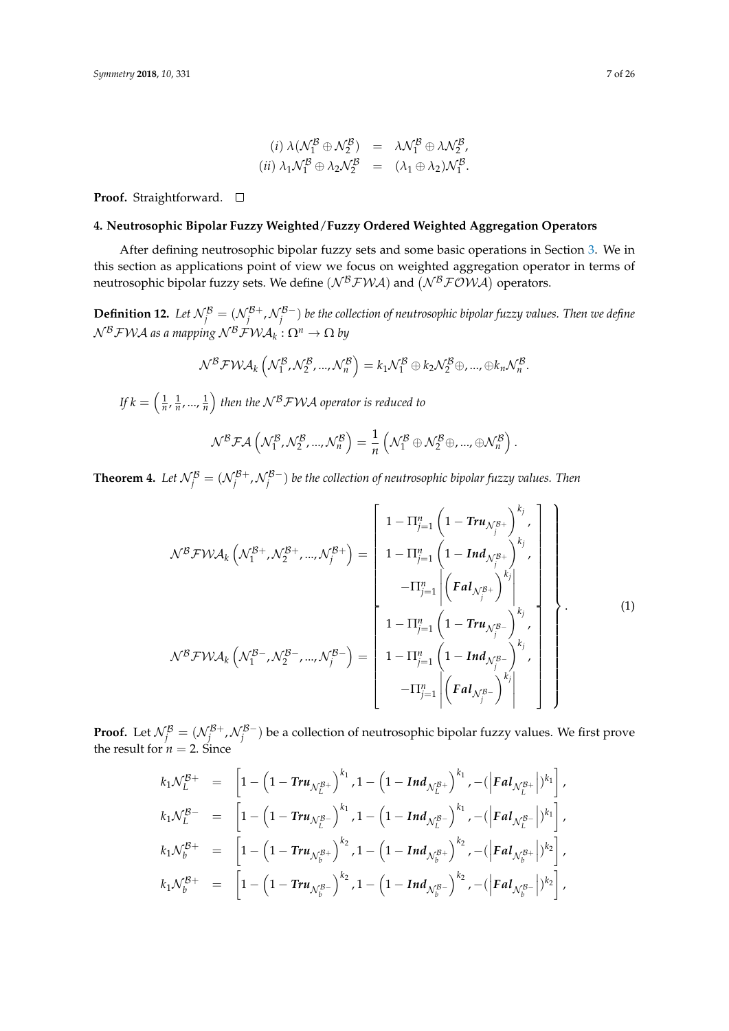$$
(i) \lambda(\mathcal{N}_1^{\mathcal{B}} \oplus \mathcal{N}_2^{\mathcal{B}}) = \lambda \mathcal{N}_1^{\mathcal{B}} \oplus \lambda \mathcal{N}_2^{\mathcal{B}},
$$
  

$$
(ii) \lambda_1 \mathcal{N}_1^{\mathcal{B}} \oplus \lambda_2 \mathcal{N}_2^{\mathcal{B}} = (\lambda_1 \oplus \lambda_2) \mathcal{N}_1^{\mathcal{B}}.
$$

**Proof.** Straightforward. □

### <span id="page-6-0"></span>**4. Neutrosophic Bipolar Fuzzy Weighted**/**Fuzzy Ordered Weighted Aggregation Operators**

After defining neutrosophic bipolar fuzzy sets and some basic operations in Section [3.](#page-3-0) We in this section as applications point of view we focus on weighted aggregation operator in terms of neutrosophic bipolar fuzzy sets. We define  $(\mathcal{N}^{\mathcal{B}}\mathcal{FWA})$  and  $(\mathcal{N}^{\mathcal{B}}\mathcal{FOWA})$  operators.

**Definition 12.** Let  $\mathcal{N}^{\mathcal{B}}_j = (\mathcal{N}^{\mathcal{B}+}_j, \mathcal{N}^{\mathcal{B}-}_j)$  be the collection of neutrosophic bipolar fuzzy values. Then we define N <sup>B</sup>FWA *as a mapping* N <sup>B</sup>FWA*<sup>k</sup>* : Ω*<sup>n</sup>* → Ω *by*

$$
\mathcal{N}^{\mathcal{B}}\mathcal{FWA}_{k}\left(\mathcal{N}^{\mathcal{B}}_{1},\mathcal{N}^{\mathcal{B}}_{2},...,\mathcal{N}^{\mathcal{B}}_{n}\right)=k_{1}\mathcal{N}^{\mathcal{B}}_{1}\oplus k_{2}\mathcal{N}^{\mathcal{B}}_{2}\oplus,...,\oplus k_{n}\mathcal{N}^{\mathcal{B}}_{n}.
$$

If  $k = \left(\frac{1}{n}, \frac{1}{n}, ..., \frac{1}{n}\right)$  then the  $\mathcal{N}^{\mathcal{B}}\mathcal{FWA}$  operator is reduced to

$$
\mathcal{N}^{\mathcal{B}}\mathcal{FA}\left(\mathcal{N}_{1}^{\mathcal{B}},\mathcal{N}_{2}^{\mathcal{B}},...,\mathcal{N}_{n}^{\mathcal{B}}\right)=\frac{1}{n}\left(\mathcal{N}_{1}^{\mathcal{B}}\oplus\mathcal{N}_{2}^{\mathcal{B}}\oplus,...,\oplus\mathcal{N}_{n}^{\mathcal{B}}\right).
$$

**Theorem 4.** Let  $\mathcal{N}^\mathcal{B}_j = (\mathcal{N}^{\mathcal{B}+}_j, \mathcal{N}^{\mathcal{B}-}_j)$  be the collection of neutrosophic bipolar fuzzy values. Then

$$
\mathcal{N}^{\mathcal{B}} \mathcal{FWA}_{k} \left( \mathcal{N}_{1}^{\mathcal{B}+}, \mathcal{N}_{2}^{\mathcal{B}+}, ..., \mathcal{N}_{j}^{\mathcal{B}+} \right) = \begin{bmatrix} 1 - \Pi_{j=1}^{n} \left( 1 - \text{Tr} u_{\mathcal{N}_{j}^{\mathcal{B}+}} \right)^{k_{j}} \\ 1 - \Pi_{j=1}^{n} \left( 1 - \text{Ind}_{\mathcal{N}_{j}^{\mathcal{B}+}} \right)^{k_{j}} \\ - \Pi_{j=1}^{n} \left| \left( \text{Fal}_{\mathcal{N}_{j}^{\mathcal{B}+}} \right)^{k_{j}} \right| \\ 1 - \Pi_{j=1}^{n} \left| \left( \text{Fal}_{\mathcal{N}_{j}^{\mathcal{B}+}} \right)^{k_{j}} \right| \\ 1 - \Pi_{j=1}^{n} \left( 1 - \text{Tr} u_{\mathcal{N}_{j}^{\mathcal{B}-}} \right)^{k_{j}} \cdot \\ 1 - \Pi_{j=1}^{n} \left( 1 - \text{Ind}_{\mathcal{N}_{j}^{\mathcal{B}-}} \right)^{k_{j}} \cdot \\ - \Pi_{j=1}^{n} \left| \left( \text{Fal}_{\mathcal{N}_{j}^{\mathcal{B}-}} \right)^{k_{j}} \right| \end{bmatrix} . \tag{1}
$$

**Proof.** Let  $\mathcal{N}^{\mathcal{B}}_j = (\mathcal{N}^{\mathcal{B}+}_j, \mathcal{N}^{\mathcal{B}-}_j)$  be a collection of neutrosophic bipolar fuzzy values. We first prove the result for  $n = 2$ . Since

$$
k_1 \mathcal{N}_L^{\mathcal{B}+} = \left[1 - \left(1 - \text{Tr} u_{\mathcal{N}_L^{\mathcal{B}+}}\right)^{k_1}, 1 - \left(1 - \text{Ind}_{\mathcal{N}_L^{\mathcal{B}+}}\right)^{k_1}, -(\left|\text{F} a l_{\mathcal{N}_L^{\mathcal{B}+}}\right|)^{k_1}\right],
$$
  
\n
$$
k_1 \mathcal{N}_L^{\mathcal{B}-} = \left[1 - \left(1 - \text{Tr} u_{\mathcal{N}_L^{\mathcal{B}-}}\right)^{k_1}, 1 - \left(1 - \text{Ind}_{\mathcal{N}_L^{\mathcal{B}-}}\right)^{k_1}, -(\left|\text{F} a l_{\mathcal{N}_L^{\mathcal{B}-}}\right|)^{k_1}\right],
$$
  
\n
$$
k_1 \mathcal{N}_b^{\mathcal{B}+} = \left[1 - \left(1 - \text{Tr} u_{\mathcal{N}_b^{\mathcal{B}+}}\right)^{k_2}, 1 - \left(1 - \text{Ind}_{\mathcal{N}_b^{\mathcal{B}+}}\right)^{k_2}, -(\left|\text{F} a l_{\mathcal{N}_b^{\mathcal{B}+}}\right|)^{k_2}\right],
$$
  
\n
$$
k_1 \mathcal{N}_b^{\mathcal{B}+} = \left[1 - \left(1 - \text{Tr} u_{\mathcal{N}_b^{\mathcal{B}-}}\right)^{k_2}, 1 - \left(1 - \text{Ind}_{\mathcal{N}_b^{\mathcal{B}-}}\right)^{k_2}, -(\left|\text{F} a l_{\mathcal{N}_b^{\mathcal{B}-}}\right|)^{k_2}\right],
$$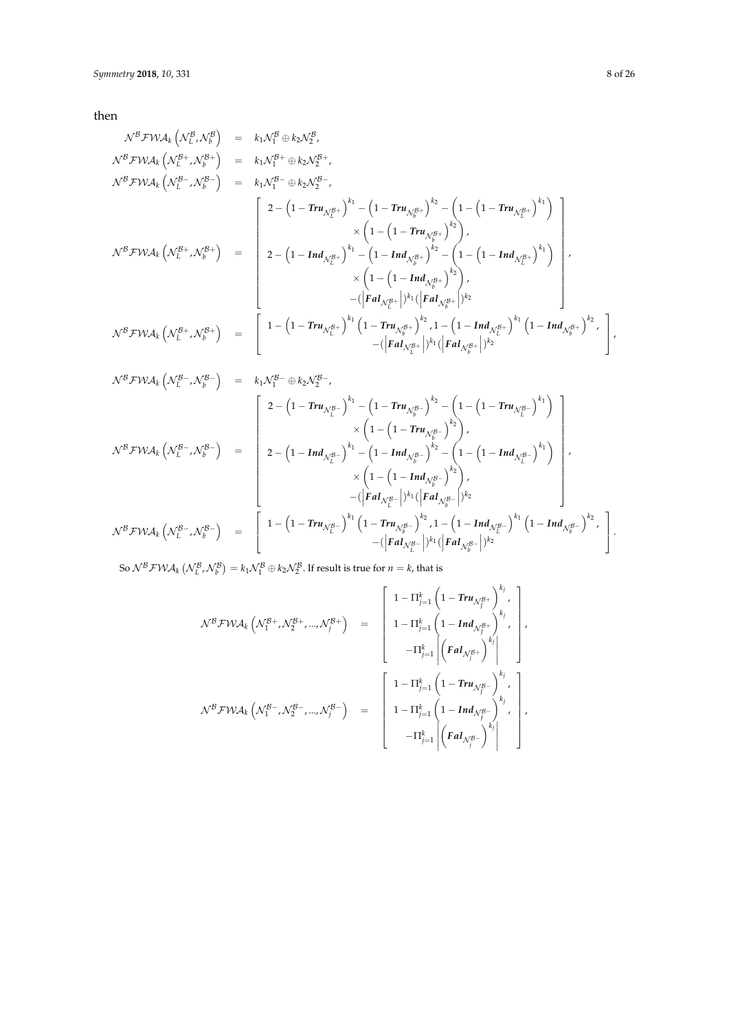then

$$
\begin{array}{rcl}\nN^B \mathcal{F} W A_k \left( \mathcal{N}_L^B, \mathcal{N}_b^B \right) & = & k_1 \mathcal{N}_1^B \oplus k_2 \mathcal{N}_2^B, \\
N^B \mathcal{F} W A_k \left( \mathcal{N}_L^{B-}, \mathcal{N}_b^{B+} \right) & = & k_1 \mathcal{N}_1^B \oplus k_2 \mathcal{N}_2^{B+}, \\
N^B \mathcal{F} W A_k \left( \mathcal{N}_L^{B-}, \mathcal{N}_b^{B-} \right) & = & k_1 \mathcal{N}_1^B \oplus k_2 \mathcal{N}_2^{B-}, \\
\left[ 2 - \left( 1 - \text{Tr} u_{\mathcal{N}_L^{B+}} \right)^{k_1} - \left( 1 - \text{Tr} u_{\mathcal{N}_b^{B+}} \right)^{k_2} - \left( 1 - \left( 1 - \text{Tr} u_{\mathcal{N}_L^{B+}} \right)^{k_1} \right) \right. \\
& & \times \left( 1 - \left( 1 - \text{Tr} u_{\mathcal{N}_b^{B+}} \right)^{k_2} - \left( 1 - \left( 1 - \text{Tr} u_{\mathcal{N}_b^{B+}} \right)^{k_1} \right) \right. \\
& & \times \left( 1 - \left( 1 - \text{Tr} u_{\mathcal{N}_b^{B+}} \right)^{k_2} - \left( 1 - \left( 1 - \text{Tr} u_{\mathcal{N}_b^{B+}} \right)^{k_1} \right) \right. \\
& & \times \left( 1 - \left( 1 - \text{Tr} u_{\mathcal{N}_b^{B+}} \right)^{k_2} \right), \\
\left. \mathcal{N}^B \mathcal{F} W A_k \left( \mathcal{N}_L^{B+}, \mathcal{N}_b^{B+} \right) & = \left[ 1 - \left( 1 - \text{Tr} u_{\mathcal{N}_L^{B+}} \right)^{k_1} \left( 1 - \text{Tr} u_{\mathcal{N}_b^{B+}} \right)^{k_2} \right. \\
& & \left. \mathcal{N}^B \mathcal{F} W A_k \left( \mathcal{N}_L^{B+}, \mathcal{N}_b^{B+}
$$

$$
N^B F W A_k \left(N_L^B, N_b^B\right) = \begin{bmatrix} 2 - \left(1 - Tr u_{N_L^B}\right)^{k_1} - \left(1 - Tr u_{N_b^B}\right)^{k_2} - \left(1 - \left(1 - Tr u_{N_L^B}\right)^{k_1}\right) \\ \times \left(1 - \left(1 - Tr u_{N_b^B}\right)^{k_2}\right), \\ 2 - \left(1 - Ind_{N_L^B}\right)^{k_1} - \left(1 - Ind_{N_b^B}\right)^{k_2} - \left(1 - \left(1 - Ind_{N_L^B}\right)^{k_1}\right) \\ \times \left(1 - \left(1 - Ind_{N_b^B}\right)^{k_2} - \left(1 - \left(1 - Ind_{N_L^B}\right)^{k_1}\right)\right), \\ \times \left(1 - \left(1 - Ind_{N_b^B}\right)^{k_2}\right), \\ - (\left|Gal_{N_L^B}\right|)^{k_1} (\left|Gal_{N_b^B}\right|)^{k_2} \end{bmatrix},
$$
\n
$$
N^B F W A_k \left(N_L^B^-, N_b^B^-\right) = \begin{bmatrix} 1 - \left(1 - Tr u_{N_L^B}\right)^{k_1} \left(1 - Tr u_{N_b^B}\right)^{k_2}, 1 - \left(1 - Ind_{N_b^B}\right)^{k_1} \left(1 - Ind_{N_b^B}\right)^{k_2}, \\ - (\left|Gal_{N_L^B}\right|)^{k_1} (\left|Gal_{N_b^B}\right|)^{k_2} \end{bmatrix}.
$$

So  $\mathcal{N}^B \mathcal{F} \mathcal{W} \mathcal{A}_k \left( \mathcal{N}_L^B, \mathcal{N}_b^B \right) = k_1 \mathcal{N}_1^B \oplus k_2 \mathcal{N}_2^B$ . If result is true for  $n=k$ , that is

$$
\begin{array}{rcl} \mathcal{N}^{\mathcal{B}} \mathcal{FWA}_k \left( \mathcal{N}_1^{\mathcal{B}+}, \mathcal{N}_2^{\mathcal{B}+}, ..., \mathcal{N}_j^{\mathcal{B}+} \right) & = & \left[ \begin{array}{c} 1 - \Pi_{j=1}^k \left( 1 - \textit{Tr} u_{\mathcal{N}_j^{\mathcal{B}+}} \right)^{k_j}, \\[10pt] 1 - \Pi_{j=1}^k \left( 1 - \textit{Ind}_{\mathcal{N}_j^{\mathcal{B}+}} \right)^{k_j}, \\[10pt] - \Pi_{j=1}^k \left| \left( \textit{Fal}_{\mathcal{N}_j^{\mathcal{B}+}} \right)^{k_j} \right| \end{array} \right], \\[10pt] \mathcal{N}^{\mathcal{B}} \mathcal{FWA}_k \left( \mathcal{N}_1^{\mathcal{B}-}, \mathcal{N}_2^{\mathcal{B}-}, ..., \mathcal{N}_j^{\mathcal{B}-} \right) & = & \left[ \begin{array}{c} 1 - \Pi_{j=1}^k \left( 1 - \textit{Tr} u_{\mathcal{N}_j^{\mathcal{B}-}} \right)^{k_j}, \\[10pt] 1 - \Pi_{j=1}^k \left( 1 - \textit{Ind}_{\mathcal{N}_j^{\mathcal{B}-}} \right)^{k_j}, \\[10pt] - \Pi_{j=1}^k \left| \left( \textit{Fal}_{\mathcal{N}_j^{\mathcal{B}-}} \right)^{k_j} \right| \end{array} \right], \end{array}
$$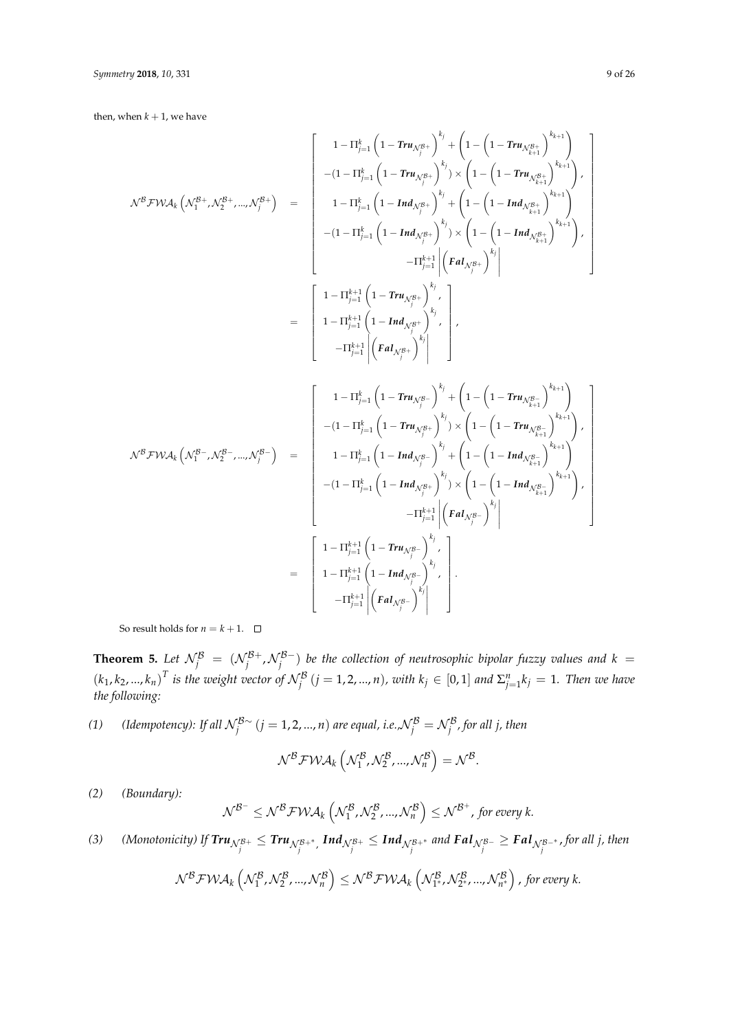then, when  $k + 1$ , we have

$$
\mathcal{N}^B \mathcal{FWA}_k \left( \mathcal{N}_1^{B+}, \mathcal{N}_2^{B+}, ..., \mathcal{N}_j^{B+} \right) = \begin{bmatrix} 1 - \Pi_{j=1}^k \left( 1 - \text{Tr} \mathbf{u}_{\mathcal{N}_j^{B+}} \right)^{k_j} + \left( 1 - \left( 1 - \text{Tr} \mathbf{u}_{\mathcal{N}_{k+1}^{B+}} \right)^{k_{k+1}} \right) \\ - (1 - \Pi_{j=1}^k \left( 1 - \text{Tr} \mathbf{u}_{\mathcal{N}_j^{B+}} \right)^{k_j} ) \times \left( 1 - \left( 1 - \text{Tr} \mathbf{u}_{\mathcal{N}_{k+1}^{B+}} \right)^{k_{k+1}} \right) \\ - (1 - \Pi_{j=1}^k \left( 1 - \text{Im} \mathbf{d}_{\mathcal{N}_j^{B+}} \right)^{k_j} + \left( 1 - \left( 1 - \text{Im} \mathbf{d}_{\mathcal{N}_{k+1}^{B+}} \right)^{k_{k+1}} \right) \\ - (1 - \Pi_{j=1}^k \left( 1 - \text{Im} \mathbf{d}_{\mathcal{N}_j^{B+}} \right)^{k_j} ) \times \left( 1 - \left( 1 - \text{Im} \mathbf{d}_{\mathcal{N}_{k+1}^{B+}} \right)^{k_{k+1}} \right) \\ - \Pi_{j=1}^{k+1} \left( 1 - \text{Tr} \mathbf{u}_{\mathcal{N}_j^{B+}} \right)^{k_j} , \\ 1 - \Pi_{j=1}^{k+1} \left( 1 - \text{Tr} \mathbf{u}_{\mathcal{N}_j^{B+}} \right)^{k_j} , \\ - (1 - \Pi_{j=1}^k \left( 1 - \text{Tr} \mathbf{u}_{\mathcal{N}_j^{B+}} \right)^{k_j} ) \times \left( 1 - \left( 1 - \text{Tr} \mathbf{u}_{\mathcal{N}_{k+1}^{B+}} \right)^{k_{k+1}} \right) , \\ - (1 - \Pi_{j=1}^k \left( 1 - \text{Tr} \mathbf{u}_{\mathcal{N}_j^{B+}} \right)^{k_j} ) \times \left( 1 - \left( 1 - \text{Tr} \mathbf{u}_{\mathcal{N}_{k+1}^{B+}} \
$$

So result holds for  $n = k + 1$ .  $\Box$ 

**Theorem 5.** Let  $\mathcal{N}^{\mathcal{B}}_j = (\mathcal{N}^{\mathcal{B}+}_j, \mathcal{N}^{\mathcal{B}-}_j)$  be the collection of neutrosophic bipolar fuzzy values and  $k =$  $(k_1,k_2,...,k_n)^T$  is the weight vector of  $\mathcal{N}_j^{\mathcal{B}}$   $(j=1,2,...,n)$ , with  $k_j\in[0,1]$  and  $\Sigma_{j=1}^nk_j=1$ . Then we have *the following:*

*(1) (Idempotency): If all*  $\mathcal{N}_j^{\mathcal{B}\sim}$  *(j* = 1, 2, ..., *n*) *are equal, i.e.,* $\mathcal{N}_j^{\mathcal{B}} = \mathcal{N}_j^{\mathcal{B}}$ , for all j, then

$$
\mathcal{N}^{\mathcal{B}} \mathcal{F} \mathcal{W} \mathcal{A}_{k} \left( \mathcal{N}^{\mathcal{B}}_{1}, \mathcal{N}^{\mathcal{B}}_{2}, ..., \mathcal{N}^{\mathcal{B}}_{n} \right) = \mathcal{N}^{\mathcal{B}}.
$$

*(2) (Boundary):*

$$
\mathcal{N}^{\mathcal{B}^-} \leq \mathcal{N}^{\mathcal{B}} \mathcal{F} \mathcal{W} \mathcal{A}_k \left( \mathcal{N}_1^{\mathcal{B}}, \mathcal{N}_2^{\mathcal{B}}, ..., \mathcal{N}_n^{\mathcal{B}} \right) \leq \mathcal{N}^{\mathcal{B}^+}, \text{ for every } k.
$$

(3) (Monotonicity) If  $\pmb{Tru}_{\mathcal{N}_j^{B+}}\leq \pmb{Tru}_{\mathcal{N}_j^{B+}}$ ,  $\pmb{Ind}_{\mathcal{N}_j^{B+}}\leq \pmb{Ind}_{\mathcal{N}_j^{B+}}$  and  $\pmb{Pal}_{\mathcal{N}_j^{B-}}\geq \pmb{Pal}_{\mathcal{N}_j^{B-}}$ , for all j, then

$$
\mathcal{N}^{\mathcal{B}}\mathcal{FWA}_{k}\left(\mathcal{N}_{1}^{\mathcal{B}},\mathcal{N}_{2}^{\mathcal{B}},...,\mathcal{N}_{n}^{\mathcal{B}}\right)\leq\mathcal{N}^{\mathcal{B}}\mathcal{FWA}_{k}\left(\mathcal{N}_{1^{*}}^{\mathcal{B}},\mathcal{N}_{2^{*}}^{\mathcal{B}},...,\mathcal{N}_{n^{*}}^{\mathcal{B}}\right),\text{ for every }k.
$$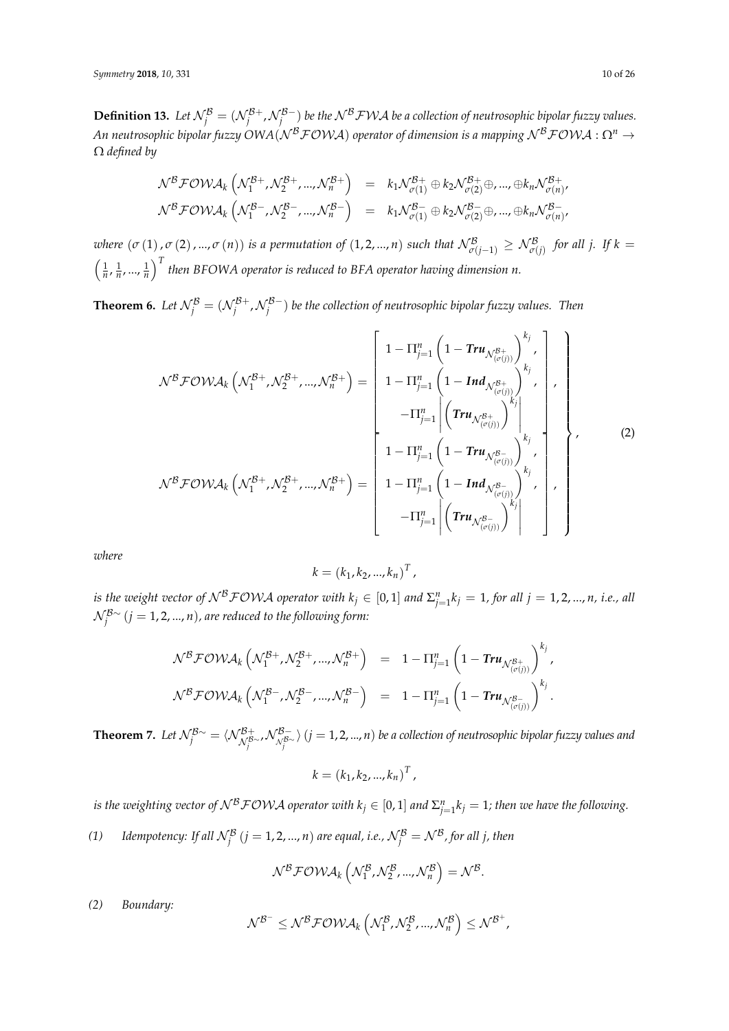**Definition 13.** Let  $\mathcal{N}^{\mathcal{B}}_j = (\mathcal{N}^{\mathcal{B}+}_j, \mathcal{N}^{\mathcal{B}-}_j)$  be the  $\mathcal{N}^{\mathcal{B}}\mathcal{FWA}$  be a collection of neutrosophic bipolar fuzzy values. *An neutrosophic bipolar fuzzy OWA(N<sup>B</sup>FOWA) operator of dimension is a mapping N<sup>B</sup>FOWA : Ω<sup>n</sup> →* Ω *defined by*

$$
\mathcal{N}^{\mathcal{B}} \mathcal{F} \mathcal{O} \mathcal{W} \mathcal{A}_{k} \left( \mathcal{N}_{1}^{\mathcal{B}+}, \mathcal{N}_{2}^{\mathcal{B}+}, ..., \mathcal{N}_{n}^{\mathcal{B}+} \right) = k_{1} \mathcal{N}_{\sigma(1)}^{\mathcal{B}+} \oplus k_{2} \mathcal{N}_{\sigma(2)}^{\mathcal{B}+} \oplus ... , \oplus k_{n} \mathcal{N}_{\sigma(n)}^{\mathcal{B}+},
$$
  

$$
\mathcal{N}^{\mathcal{B}} \mathcal{F} \mathcal{O} \mathcal{W} \mathcal{A}_{k} \left( \mathcal{N}_{1}^{\mathcal{B}-}, \mathcal{N}_{2}^{\mathcal{B}-}, ..., \mathcal{N}_{n}^{\mathcal{B}-} \right) = k_{1} \mathcal{N}_{\sigma(1)}^{\mathcal{B}-} \oplus k_{2} \mathcal{N}_{\sigma(2)}^{\mathcal{B}-} \oplus ... , \oplus k_{n} \mathcal{N}_{\sigma(n)}^{\mathcal{B}-},
$$

*where*  $(\sigma(1), \sigma(2), ..., \sigma(n))$  *is a permutation of*  $(1, 2, ..., n)$  *such that*  $\mathcal{N}^{\mathcal{B}}_{\sigma(j-1)} \geq \mathcal{N}^{\mathcal{B}}_{\sigma(j)}$  *for all j. If*  $k =$  $\left(\frac{1}{n}, \frac{1}{n}, ..., \frac{1}{n}\right)^T$  then BFOWA operator is reduced to BFA operator having dimension n.

**Theorem 6.** Let  $\mathcal{N}^{\mathcal{B}}_j = (\mathcal{N}^{\mathcal{B}+}_j, \mathcal{N}^{\mathcal{B}-}_j)$  be the collection of neutrosophic bipolar fuzzy values. Then

$$
\mathcal{N}^{\mathcal{B}} \mathcal{F} \mathcal{O} \mathcal{W} \mathcal{A}_{k} \left( \mathcal{N}_{1}^{\mathcal{B}+}, \mathcal{N}_{2}^{\mathcal{B}+}, ..., \mathcal{N}_{n}^{\mathcal{B}+} \right) = \begin{bmatrix} 1 - \Pi_{j=1}^{n} \left( 1 - \text{Tr} u_{\mathcal{N}_{(\sigma(j))}^{\mathcal{B}+}} \right)^{k_{j}} \\ 1 - \Pi_{j=1}^{n} \left( 1 - \text{Ind}_{\mathcal{N}_{(\sigma(j))}^{\mathcal{B}+}} \right)^{k_{j}} \\ - \Pi_{j=1}^{n} \left| \left( \text{Tr} u_{\mathcal{N}_{(\sigma(j))}^{\mathcal{B}+}} \right)^{k_{j}} \right| \\ - \Pi_{j=1}^{n} \left| \left( \text{Tr} u_{\mathcal{N}_{(\sigma(j))}^{\mathcal{B}+}} \right)^{k_{j}} \right| \\ 1 - \Pi_{j=1}^{n} \left( 1 - \text{Tr} u_{\mathcal{N}_{(\sigma(j))}^{\mathcal{B}+}} \right)^{k_{j}} \cdot \\ 1 - \Pi_{j=1}^{n} \left( 1 - \text{Ind}_{\mathcal{N}_{(\sigma(j))}^{\mathcal{B}+}} \right)^{k_{j}} \cdot \\ - \Pi_{j=1}^{n} \left| \left( \text{Tr} u_{\mathcal{N}_{(\sigma(j))}^{\mathcal{B}+}} \right)^{k_{j}} \right| \cdot \begin{bmatrix} \end{bmatrix}, \qquad (2)
$$

*where*

$$
k = (k_1, k_2, ..., k_n)^T,
$$

*is the weight vector of*  $N^B \textit{FOWA}$  *operator with*  $k_j \in [0,1]$  *and*  $\Sigma^n_{j=1} k_j = 1$ *, for all*  $j = 1,2,...,n$ *, i.e., all* N B∼ *j* (*j* = 1, 2, ..., *n*)*, are reduced to the following form:*

$$
\mathcal{N}^{\mathcal{B}} \mathcal{F} \mathcal{O} \mathcal{W} \mathcal{A}_k \left( \mathcal{N}_1^{\mathcal{B}+}, \mathcal{N}_2^{\mathcal{B}+}, ..., \mathcal{N}_n^{\mathcal{B}+} \right) = 1 - \Pi_{j=1}^n \left( 1 - \mathbf{Tr} \mathbf{u}_{\mathcal{N}_{(\sigma(j))}^{\mathcal{B}+}} \right)^{k_j},
$$
  

$$
\mathcal{N}^{\mathcal{B}} \mathcal{F} \mathcal{O} \mathcal{W} \mathcal{A}_k \left( \mathcal{N}_1^{\mathcal{B}-}, \mathcal{N}_2^{\mathcal{B}-}, ..., \mathcal{N}_n^{\mathcal{B}-} \right) = 1 - \Pi_{j=1}^n \left( 1 - \mathbf{Tr} \mathbf{u}_{\mathcal{N}_{(\sigma(j))}^{\mathcal{B}-}} \right)^{k_j}.
$$

**Theorem 7.** Let  $\mathcal{N}^{\mathcal{B}\sim}_j=\langle\mathcal{N}^{\mathcal{B}+}_{\mathcal{N}^{\mathcal{B}\sim}_j},\mathcal{N}^{\mathcal{B}-}_{\mathcal{N}^{\mathcal{B}\sim}_j}\rangle$   $(j=1,2,...,n)$  be a collection of neutrosophic bipolar fuzzy values and

$$
k = (k_1, k_2, ..., k_n)^T,
$$

*is the weighting vector of*  $N^B \mathcal{F} \mathcal{O} \mathcal{W} \mathcal{A}$  *operator with*  $k_j \in [0,1]$  *and*  $\Sigma_{j=1}^n k_j = 1$ *; then we have the following.* 

*(1)* Idempotency: If all  $\mathcal{N}^{\mathcal{B}}_j$   $(j = 1, 2, ..., n)$  are equal, i.e.,  $\mathcal{N}^{\mathcal{B}}_j = \mathcal{N}^{\mathcal{B}}$ , for all j, then

$$
\mathcal{N}^{\mathcal{B}}\mathcal{F}\mathcal{O}\mathcal{W}\mathcal{A}_{k}\left(\mathcal{N}_{1}^{\mathcal{B}},\mathcal{N}_{2}^{\mathcal{B}},...,\mathcal{N}_{n}^{\mathcal{B}}\right)=\mathcal{N}^{\mathcal{B}}.
$$

*(2) Boundary:*

$$
\mathcal{N}^{\mathcal{B}^-} \leq \mathcal{N}^{\mathcal{B}} \mathcal{F} \mathcal{O} \mathcal{W} \mathcal{A}_k \left( \mathcal{N}^{\mathcal{B}}_1, \mathcal{N}^{\mathcal{B}}_2, ..., \mathcal{N}^{\mathcal{B}}_n \right) \leq \mathcal{N}^{\mathcal{B}^+},
$$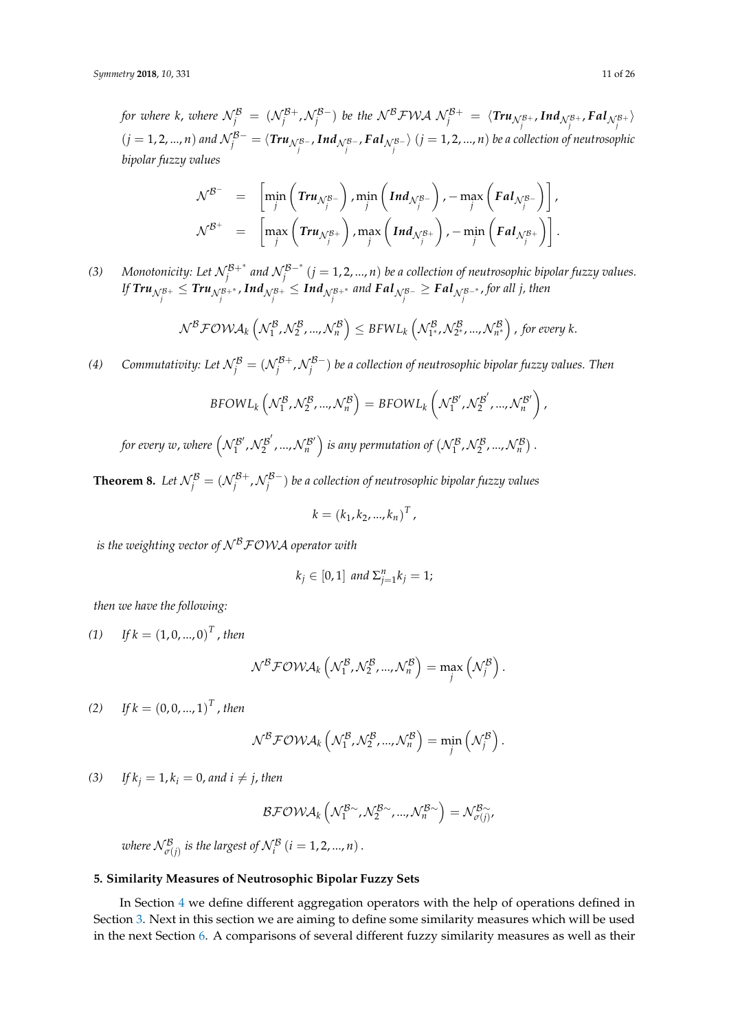for where *k*, where  $\mathcal{N}^{\mathcal{B}}_j = (\mathcal{N}^{\mathcal{B}+}_j, \mathcal{N}^{\mathcal{B}-}_j)$  be the  $\mathcal{N}^{\mathcal{B}}\mathcal{FWA}$   $\mathcal{N}^{\mathcal{B}+}_j = \langle \textbf{Tr} u_{\mathcal{N}^{\mathcal{B}+}_j}, \textbf{Ind}_{\mathcal{N}^{\mathcal{B}+}_j}, \textbf{Fd} I_{\mathcal{N}^{\mathcal{B}+}_j} \rangle$  $(j=1,2,...,n)$  and  $\mathcal{N}^{\mathcal{B}-}_j=\langle\bm{Tru}_{\mathcal{N}^{\mathcal{B}-}_j},\bm{Ind}_{\mathcal{N}^{\mathcal{B}-}_j},\bm{FdI}_{\mathcal{N}^{\mathcal{B}-}_j}\rangle~(j=1,2,...,n)$  be a collection of neutrosophic *bipolar fuzzy values*

$$
\mathcal{N}^{\mathcal{B}^-} = \left[ \min_j \left( \text{Tr} u_{\mathcal{N}_j^{\mathcal{B}^-}} \right), \min_j \left( \text{Ind}_{\mathcal{N}_j^{\mathcal{B}^-}} \right), -\max_j \left( \text{F} a l_{\mathcal{N}_j^{\mathcal{B}^-}} \right) \right],
$$
  

$$
\mathcal{N}^{\mathcal{B}^+} = \left[ \max_j \left( \text{Tr} u_{\mathcal{N}_j^{\mathcal{B}^+}} \right), \max_j \left( \text{Ind}_{\mathcal{N}_j^{\mathcal{B}^+}} \right), -\min_j \left( \text{F} a l_{\mathcal{N}_j^{\mathcal{B}^+}} \right) \right].
$$

*(3)* Monotonicity: Let  $\mathcal{N}_j^{B+*}$  and  $\mathcal{N}_j^{B-*}$   $(j = 1, 2, ..., n)$  be a collection of neutrosophic bipolar fuzzy values.  $f$   $\bm{Tru}_{\mathcal{N}^{\mathcal{B}+}_{j}} \leq \bm{Tru}_{\mathcal{N}^{\mathcal{B}+}_{j}}$  ,  $\bm{Ind}_{\mathcal{N}^{\mathcal{B}+}_{j}}$  and  $\bm{Fal}_{\mathcal{N}^{\mathcal{B}-}_{j}} \geq \bm{Fal}_{\mathcal{N}^{\mathcal{B}-*}_{j}}$  , for all j, then

$$
\mathcal{N}^{\mathcal{B}}\mathcal{F}\mathcal{OWA}_{k}\left(\mathcal{N}^{\mathcal{B}}_{1},\mathcal{N}^{\mathcal{B}}_{2},...,\mathcal{N}^{\mathcal{B}}_{n}\right) \leq BFWL_{k}\left(\mathcal{N}^{\mathcal{B}}_{1^*},\mathcal{N}^{\mathcal{B}}_{2^*},...,\mathcal{N}^{\mathcal{B}}_{n^*}\right), for every k.
$$

*(4)* Commutativity: Let  $\mathcal{N}^{\mathcal{B}}_j = (\mathcal{N}^{\mathcal{B}+}_j, \mathcal{N}^{\mathcal{B}-}_j)$  be a collection of neutrosophic bipolar fuzzy values. Then

$$
BFOWL_k\left(\mathcal{N}_1^{\mathcal{B}},\mathcal{N}_2^{\mathcal{B}},...,\mathcal{N}_n^{\mathcal{B}}\right)=BFOWL_k\left(\mathcal{N}_1^{\mathcal{B}'},\mathcal{N}_2^{\mathcal{B}'},...,\mathcal{N}_n^{\mathcal{B}'}\right)
$$

for every w, where  $\left( \mathcal{N}_{1}^{\mathcal{B}'}\right)$  $\binom{1}{1}$ ,  $\mathcal{N}_{2}^{\mathcal{B}^{\prime}}$  $\frac{1}{2}^{\prime\prime}$  , ...,  $\mathcal{N}_{n}^{\mathcal{B}^{\prime}}$  $\left( \mathcal{N}_1^\mathcal{B}, \mathcal{N}_2^\mathcal{B}, ..., \mathcal{N}_n^\mathcal{B} \right).$ 

**Theorem 8.** Let  $\mathcal{N}^\mathcal{B}_j = (\mathcal{N}^{\mathcal{B}+}_j, \mathcal{N}^{\mathcal{B}-}_j)$  be a collection of neutrosophic bipolar fuzzy values

$$
k = (k_1, k_2, ..., k_n)^T,
$$

*is the weighting vector of*  $N^B$ *FOWA operator with* 

$$
k_j \in [0,1] \text{ and } \Sigma_{j=1}^n k_j = 1;
$$

*then we have the following:*

(1) If 
$$
k = (1, 0, ..., 0)^T
$$
, then

$$
\mathcal{N}^{\mathcal{B}}\mathcal{F}\mathcal{O}\mathcal{W}\mathcal{A}_k\left(\mathcal{N}_1^{\mathcal{B}},\mathcal{N}_2^{\mathcal{B}},...,\mathcal{N}_n^{\mathcal{B}}\right)=\max_j\left(\mathcal{N}_j^{\mathcal{B}}\right).
$$

(2) If  $k = (0, 0, ..., 1)^T$ , then

$$
\mathcal{N}^{\mathcal{B}}\mathcal{F}\mathcal{OWA}_{k}\left(\mathcal{N}^{\mathcal{B}}_{1},\mathcal{N}^{\mathcal{B}}_{2},...,\mathcal{N}^{\mathcal{B}}_{n}\right)=\min_{j}\left(\mathcal{N}^{\mathcal{B}}_{j}\right).
$$

(3) *If*  $k_i = 1$ ,  $k_i = 0$ , and  $i \neq j$ , then

$$
\mathcal{BFOWA}_{k}\left(\mathcal{N}_{1}^{\mathcal{B}\sim},\mathcal{N}_{2}^{\mathcal{B}\sim},...,\mathcal{N}_{n}^{\mathcal{B}\sim}\right)=\mathcal{N}_{\sigma(j)}^{\mathcal{B}\sim},
$$

where  $\mathcal{N}^{\mathcal{B}}_{\sigma(j)}$  is the largest of  $\mathcal{N}^{\mathcal{B}}_{i}$   $(i=1,2,...,n)$  .

### <span id="page-10-0"></span>**5. Similarity Measures of Neutrosophic Bipolar Fuzzy Sets**

In Section [4](#page-6-0) we define different aggregation operators with the help of operations defined in Section [3.](#page-3-0) Next in this section we are aiming to define some similarity measures which will be used in the next Section [6.](#page-17-0) A comparisons of several different fuzzy similarity measures as well as their

,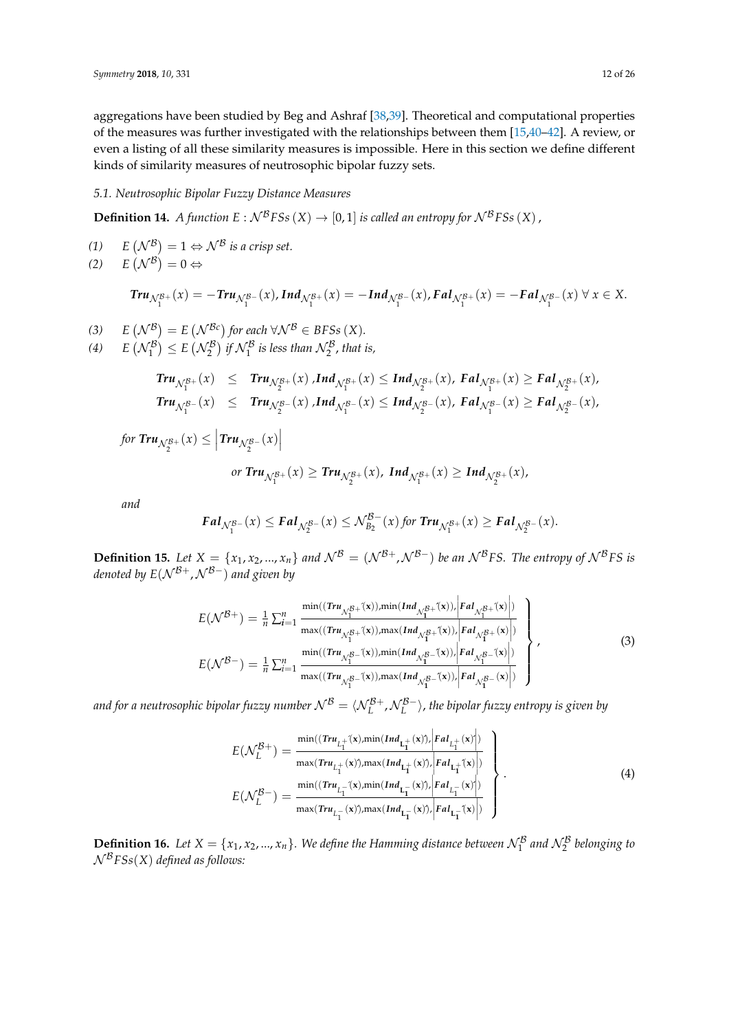aggregations have been studied by Beg and Ashraf [\[38](#page-24-14)[,39\]](#page-24-15). Theoretical and computational properties of the measures was further investigated with the relationships between them [\[15](#page-23-13)[,40](#page-24-16)[–42\]](#page-24-17). A review, or even a listing of all these similarity measures is impossible. Here in this section we define different kinds of similarity measures of neutrosophic bipolar fuzzy sets.

# *5.1. Neutrosophic Bipolar Fuzzy Distance Measures*

**Definition 14.** *A function*  $E: \mathcal{N}^B F S s(X) \rightarrow [0, 1]$  *is called an entropy for*  $\mathcal{N}^B F S s(X)$ ,

$$
(1) \qquad E\left(\mathcal{N}^{\mathcal{B}}\right) = 1 \Leftrightarrow \mathcal{N}^{\mathcal{B}} \text{ is a crisp set.}
$$

$$
(2) \qquad E\left(\mathcal{N}^{\mathcal{B}}\right) = 0 \Leftrightarrow
$$

$$
Tr u_{\mathcal{N}_1^{\mathcal{B}+}}(x)=-Tr u_{\mathcal{N}_1^{\mathcal{B}-}}(x),Ind_{\mathcal{N}_1^{\mathcal{B}+}}(x)=-Ind_{\mathcal{N}_1^{\mathcal{B}-}}(x), Fal_{\mathcal{N}_1^{\mathcal{B}+}}(x)=- Fal_{\mathcal{N}_1^{\mathcal{B}-}}(x) \,\forall \, x \in X.
$$

(3) 
$$
E(\mathcal{N}^{\mathcal{B}}) = E(\mathcal{N}^{\mathcal{B}c})
$$
 for each  $\forall \mathcal{N}^{\mathcal{B}} \in BFSs(X)$ .

(4)  $E(N_1^B) \le E(N_2^B)$  *if*  $N_1^B$  *is less than*  $N_2^B$ *, that is,* 

$$
\begin{array}{lcl}\n\textit{Tru}_{\mathcal{N}_{1}^{B+}}(x) & \leq & \textit{Tru}_{\mathcal{N}_{2}^{B+}}(x) \textit{,} \textit{Ind}_{\mathcal{N}_{1}^{B+}}(x) \leq \textit{Ind}_{\mathcal{N}_{2}^{B+}}(x), \textit{ Fal}_{\mathcal{N}_{1}^{B+}}(x) \geq \textit{ Fal}_{\mathcal{N}_{2}^{B+}}(x), \\
\textit{Tru}_{\mathcal{N}_{1}^{B-}}(x) & \leq & \textit{Tru}_{\mathcal{N}_{2}^{B-}}(x) \textit{,} \textit{Ind}_{\mathcal{N}_{1}^{B-}}(x) \leq \textit{Ind}_{\mathcal{N}_{2}^{B-}}(x), \textit{ Fal}_{\mathcal{N}_{1}^{B-}}(x) \geq \textit{ Fal}_{\mathcal{N}_{2}^{B-}}(x),\n\end{array}
$$

 $for$   $\mathit{Tru}_{\mathcal{N}_{2}^{\mathcal{B}+}}(x) \leq \left| \mathit{Tru}_{\mathcal{N}_{2}^{\mathcal{B}-}}(x) \right|$ 

or 
$$
\text{Tru}_{\mathcal{N}_1^{B+}}(x) \geq \text{Tru}_{\mathcal{N}_2^{B+}}(x)
$$
,  $\text{Ind}_{\mathcal{N}_1^{B+}}(x) \geq \text{Ind}_{\mathcal{N}_2^{B+}}(x)$ ,

*and*

$$
\mathbf{Fal}_{\mathcal{N}_1^{\mathcal{B}-}}(x) \leq \mathbf{Fal}_{\mathcal{N}_2^{\mathcal{B}-}}(x) \leq \mathcal{N}_{B_2}^{\mathcal{B}-}(x) \text{ for } \mathbf{Tru}_{\mathcal{N}_1^{\mathcal{B}+}}(x) \geq \mathbf{Fal}_{\mathcal{N}_2^{\mathcal{B}-}}(x).
$$

**Definition 15.** Let  $X = \{x_1, x_2, ..., x_n\}$  and  $\mathcal{N}^B = (\mathcal{N}^{B+}, \mathcal{N}^{B-})$  be an  $\mathcal{N}^B F S$ . The entropy of  $\mathcal{N}^B F S$  is *denoted by E*(N<sup>B+</sup>,N<sup>B−</sup>) and given by

$$
E(\mathcal{N}^{B+}) = \frac{1}{n} \sum_{i=1}^{n} \frac{\min((Tru_{\mathcal{N}_{1}^{B+}}(x)), \min(Ind_{\mathcal{N}_{1}^{B+}}(x)), Fal_{\mathcal{N}_{1}^{B+}}(x))}{\max((Tru_{\mathcal{N}_{1}^{B+}}(x)), \max(Ind_{\mathcal{N}_{1}^{B+}}(x)), Fal_{\mathcal{N}_{1}^{B+}}(x))}
$$
  

$$
E(\mathcal{N}^{B-}) = \frac{1}{n} \sum_{i=1}^{n} \frac{\min((Tru_{\mathcal{N}_{1}^{B-}}(x)), \min(Ind_{\mathcal{N}_{1}^{B-}}(x)), Fal_{\mathcal{N}_{1}^{B-}}(x))}{\max((Tru_{\mathcal{N}_{1}^{B-}}(x)), \max(Ind_{\mathcal{N}_{1}^{B-}}(x)), Fal_{\mathcal{N}_{1}^{B-}}(x))}
$$
(3)

and for a neutrosophic bipolar fuzzy number  $\mathcal{N}^{\mathcal{B}}=\langle\mathcal{N}^{\mathcal{B}+}_{L}$  ,  $\mathcal{N}^{\mathcal{B}-}_{L}\rangle$ , the bipolar fuzzy entropy is given by

$$
E(\mathcal{N}_L^{\mathcal{B}+}) = \frac{\min((\text{Tr}u_{L_1^+}(x), \min(\text{Ind}_{L_1^+}(x))) | \text{Fal}_{L_1^+}(x) \rangle)}{\max(\text{Tr}u_{L_1^+}(x)), \max(\text{Ind}_{L_1^+}(x)), |\text{Fal}_{L_1^+}(x) \rangle}
$$
  

$$
E(\mathcal{N}_L^{\mathcal{B}-}) = \frac{\min((\text{Tr}u_{L_1^-}(x), \min(\text{Ind}_{L_1^-}(x))) | \text{Fal}_{L_1^-}(x) \rangle)}{\max(\text{Tr}u_{L_1^-}(x)), \max(\text{Ind}_{L_1^-}(x)), |\text{Fal}_{L_1^-}(x) \rangle}
$$
(4)

**Definition 16.** Let  $X = \{x_1, x_2, ..., x_n\}$ . We define the Hamming distance between  $\mathcal{N}_1^B$  and  $\mathcal{N}_2^B$  belonging to N <sup>B</sup>*FSs*(*X*) *defined as follows:*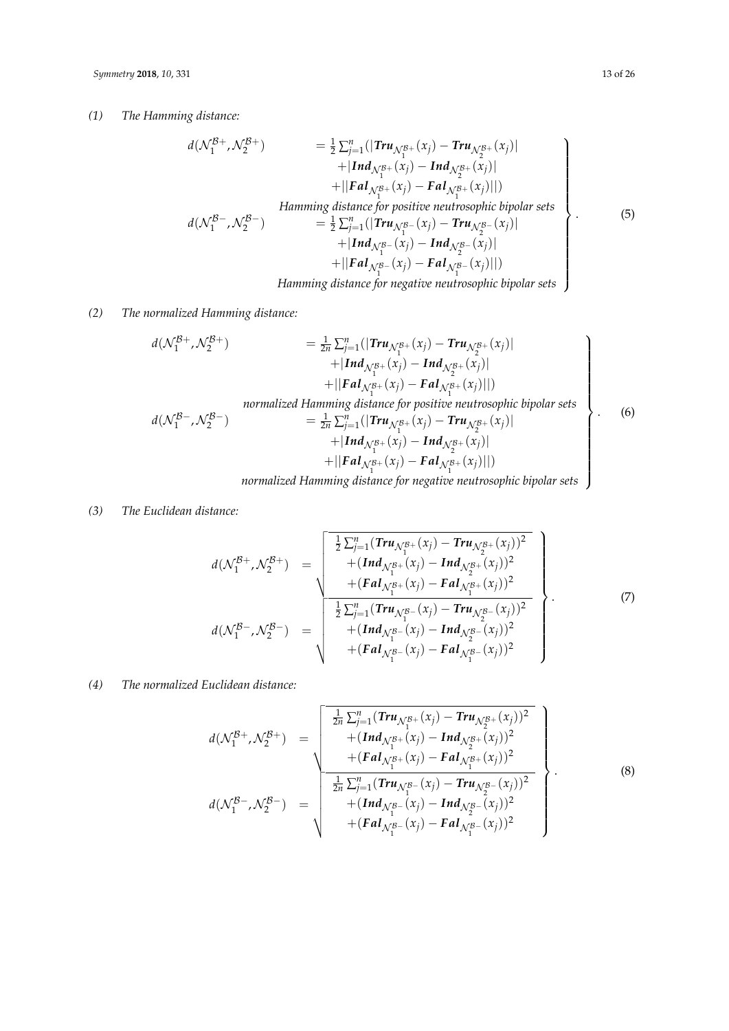*(1) The Hamming distance:*

<span id="page-12-0"></span>
$$
d(\mathcal{N}_1^{B+}, \mathcal{N}_2^{B+}) = \frac{1}{2} \sum_{j=1}^n (| \text{Tr} u_{\mathcal{N}_1^{B+}}(x_j) - \text{Tr} u_{\mathcal{N}_2^{B+}}(x_j) | + | \text{Ind}_{\mathcal{N}_1^{B+}}(x_j) - \text{Ind}_{\mathcal{N}_2^{B+}}(x_j) | + | \text{F} al_{\mathcal{N}_1^{B+}}(x_j) - \text{F} al_{\mathcal{N}_1^{B+}}(x_j) ||)
$$
\n
$$
= \frac{1}{2} \sum_{j=1}^n (| \text{Tr} u_{\mathcal{N}_1^{B+}}(x_j) - \text{Tr} u_{\mathcal{N}_2^{B-}}(x_j) || )
$$
\n
$$
= \frac{1}{2} \sum_{j=1}^n (| \text{Tr} u_{\mathcal{N}_1^{B-}}(x_j) - \text{Tr} u_{\mathcal{N}_2^{B-}}(x_j) | + | \text{Ind}_{\mathcal{N}_1^{B-}}(x_j) - \text{Ind}_{\mathcal{N}_2^{B-}}(x_j) ||
$$
\n
$$
+ | \text{Tr} al_{\mathcal{N}_1^{B-}}(x_j) - \text{Tr} a I_{\mathcal{N}_1^{B-}}(x_j) || )
$$
\n
$$
= \frac{1}{2} \sum_{j=1}^n (| \text{Tr} u_{\mathcal{N}_1^{B-}}(x_j) - \text{Tr} u_{\mathcal{N}_2^{B-}}(x_j) || )
$$
\n
$$
= \frac{1}{2} \sum_{j=1}^n (| \text{Tr} u_{\mathcal{N}_1^{B-}}(x_j) - \text{Tr} u_{\mathcal{N}_2^{B-}}(x_j) || )
$$
\n
$$
= \frac{1}{2} \sum_{j=1}^n (| \text{Tr} u_{\mathcal{N}_1^{B-}}(x_j) - \text{Tr} u_{\mathcal{N}_2^{B-}}(x_j) || )
$$
\n
$$
= \frac{1}{2} \sum_{j=1}^n (| \text{Tr} u_{\mathcal{N}_1^{B-}}(x_j) - \text{Tr} u_{\mathcal{N}_2^{B-}}(x_j) || )
$$
\n
$$
= \frac{1}{2} \sum
$$

# *(2) The normalized Hamming distance:*

<span id="page-12-1"></span>
$$
d(\mathcal{N}_1^{B+}, \mathcal{N}_2^{B+}) = \frac{1}{2n} \sum_{j=1}^n (| \text{Tr} u_{\mathcal{N}_1^{B+}}(x_j) - \text{Tr} u_{\mathcal{N}_2^{B+}}(x_j) | + | \text{Ind}_{\mathcal{N}_1^{B+}}(x_j) - \text{Ind}_{\mathcal{N}_2^{B+}}(x_j) | + | \text{F} a \text{I}_{\mathcal{N}_1^{B+}}(x_j) - \text{F} a \text{I}_{\mathcal{N}_2^{B+}}(x_j) ||)
$$
\n
$$
d(\mathcal{N}_1^{B-}, \mathcal{N}_2^{B-}) = \frac{1}{2n} \sum_{j=1}^n (| \text{Tr} u_{\mathcal{N}_1^{B+}}(x_j) - \text{Tr} u_{\mathcal{N}_2^{B+}}(x_j) | + | \text{Ind}_{\mathcal{N}_1^{B+}}(x_j) - \text{Tr} u_{\mathcal{N}_2^{B+}}(x_j) | + | \text{Ind}_{\mathcal{N}_1^{B+}}(x_j) - \text{Ind}_{\mathcal{N}_2^{B+}}(x_j) || ) + | \text{Id}_{\mathcal{N}_1^{B+}}(x_j) - \text{F} a \text{I}_{\mathcal{N}_1^{B+}}(x_j) || )
$$
\n
$$
normalized Hamming distance for negative neutrosophic bipolar sets
$$
\n(6)

# 1 1 *normalized Hamming distance for negative neutrosophic bipolar sets*

## *(3) The Euclidean distance:*

<span id="page-12-2"></span>
$$
d(\mathcal{N}_1^{B+}, \mathcal{N}_2^{B+}) = \begin{bmatrix} \frac{1}{2} \sum_{j=1}^n (Tr u_{\mathcal{N}_1^{B+}}(x_j) - Tr u_{\mathcal{N}_2^{B+}}(x_j))^2 \\ + (Ind_{\mathcal{N}_1^{B+}}(x_j) - Ind_{\mathcal{N}_2^{B+}}(x_j))^2 \\ + (Fal_{\mathcal{N}_1^{B+}}(x_j) - Fal_{\mathcal{N}_1^{B+}}(x_j))^2 \end{bmatrix}
$$
  

$$
d(\mathcal{N}_1^{B-}, \mathcal{N}_2^{B-}) = \begin{bmatrix} \frac{1}{2} \sum_{j=1}^n (Tr u_{\mathcal{N}_1^{B+}}(x_j) - Fal_{\mathcal{N}_2^{B-}}(x_j))^2 \\ + (Ind_{\mathcal{N}_1^{B-}}(x_j) - Ind_{\mathcal{N}_2^{B-}}(x_j))^2 \\ + (Fal_{\mathcal{N}_1^{B-}}(x_j) - Fal_{\mathcal{N}_1^{B-}}(x_j))^2 \end{bmatrix}.
$$
 (7)

# *(4) The normalized Euclidean distance:*

<span id="page-12-3"></span>
$$
d(\mathcal{N}_1^{\mathcal{B}+}, \mathcal{N}_2^{\mathcal{B}+}) = \sqrt{\frac{\frac{1}{2n} \sum_{j=1}^n (\mathit{Tru}_{\mathcal{N}_1^{\mathcal{B}+}}(x_j) - \mathit{Tru}_{\mathcal{N}_2^{\mathcal{B}+}}(x_j))^2 + (\mathit{Ind}_{\mathcal{N}_1^{\mathcal{B}+}}(x_j) - \mathit{Ind}_{\mathcal{N}_2^{\mathcal{B}+}}(x_j))^2 + (\mathit{Fal}_{\mathcal{N}_1^{\mathcal{B}+}}(x_j) - \mathit{Fal}_{\mathcal{N}_1^{\mathcal{B}+}}(x_j))^2 + (\mathit{Fal}_{\mathcal{N}_1^{\mathcal{B}+}}(x_j) - \mathit{Tru}_{\mathcal{N}_2^{\mathcal{B}+}}(x_j))^2 + (\mathit{Ind}_{\mathcal{N}_1^{\mathcal{B}+}}(x_j) - \mathit{Ind}_{\mathcal{N}_2^{\mathcal{B}+}}(x_j))^2 + (\mathit{Fal}_{\mathcal{N}_1^{\mathcal{B}+}}(x_j) - \mathit{Fal}_{\mathcal{N}_1^{\mathcal{B}+}}(x_j))^2
$$
\n(8)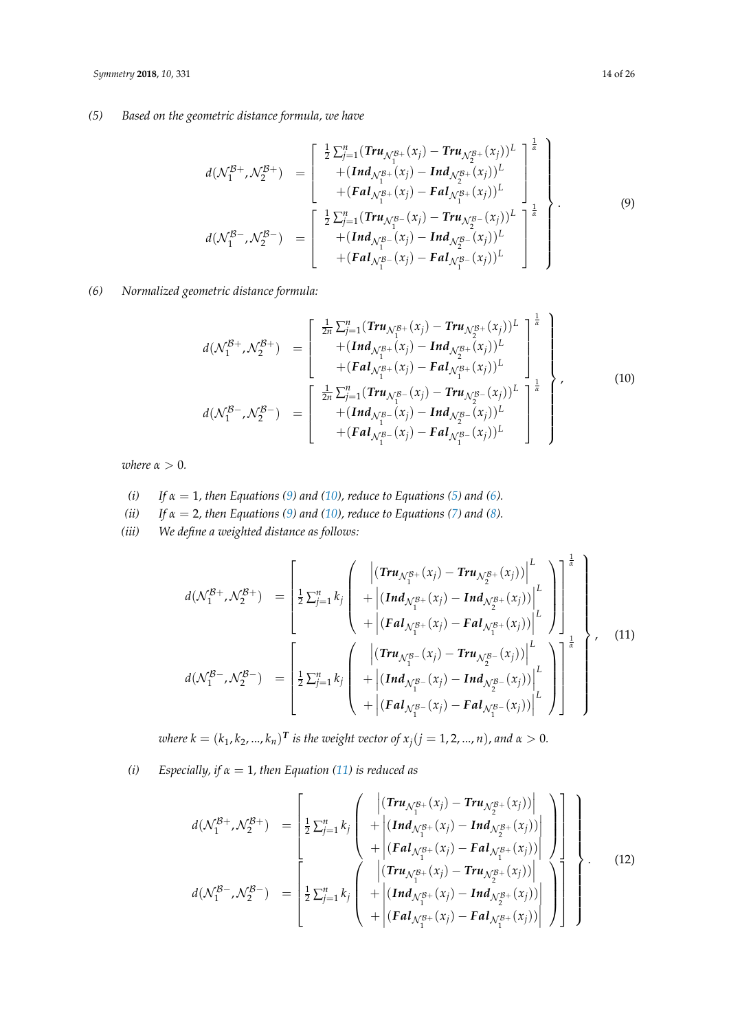# *(5) Based on the geometric distance formula, we have*

<span id="page-13-0"></span>
$$
d(\mathcal{N}_{1}^{\mathcal{B}+}, \mathcal{N}_{2}^{\mathcal{B}+}) = \begin{bmatrix} \frac{1}{2} \sum_{j=1}^{n} (\text{Tr}u_{\mathcal{N}_{1}^{\mathcal{B}+}}(x_{j}) - \text{Tr}u_{\mathcal{N}_{2}^{\mathcal{B}+}}(x_{j}))^{L} \\ + (\text{Ind}_{\mathcal{N}_{1}^{\mathcal{B}+}}(x_{j}) - \text{Ind}_{\mathcal{N}_{2}^{\mathcal{B}+}}(x_{j}))^{L} \\ + (\text{F}a_{\mathcal{N}_{1}^{\mathcal{B}+}}(x_{j}) - \text{F}a_{\mathcal{N}_{1}^{\mathcal{B}+}}(x_{j}))^{L} \\ d(\mathcal{N}_{1}^{\mathcal{B}-}, \mathcal{N}_{2}^{\mathcal{B}-}) = \begin{bmatrix} \frac{1}{2} \sum_{j=1}^{n} (\text{Tr}u_{\mathcal{N}_{1}^{\mathcal{B}-}}(x_{j}) - \text{Tr}u_{\mathcal{N}_{2}^{\mathcal{B}-}}(x_{j}))^{L} \\ + (\text{Ind}_{\mathcal{N}_{1}^{\mathcal{B}-}}(x_{j}) - \text{Ind}_{\mathcal{N}_{2}^{\mathcal{B}-}}(x_{j}))^{L} \\ + (\text{F}a_{\mathcal{N}_{1}^{\mathcal{B}-}}(x_{j}) - \text{F}a_{\mathcal{N}_{1}^{\mathcal{B}-}}(x_{j}))^{L} \end{bmatrix}^{k}
$$
\n(9)

*(6) Normalized geometric distance formula:*

<span id="page-13-1"></span>
$$
d(\mathcal{N}_{1}^{B+}, \mathcal{N}_{2}^{B+}) = \begin{bmatrix} \frac{1}{2n} \sum_{j=1}^{n} (Tru_{\mathcal{N}_{1}^{B+}}(x_{j}) - Tru_{\mathcal{N}_{2}^{B+}}(x_{j}))^{L} \\ + (Ind_{\mathcal{N}_{1}^{B+}}(x_{j}) - Ind_{\mathcal{N}_{2}^{B+}}(x_{j}))^{L} \\ + (Fal_{\mathcal{N}_{1}^{B+}}(x_{j}) - Fal_{\mathcal{N}_{1}^{B+}}(x_{j}))^{L} \end{bmatrix}^{k}
$$
  
\n
$$
d(\mathcal{N}_{1}^{B-}, \mathcal{N}_{2}^{B-}) = \begin{bmatrix} \frac{1}{2n} \sum_{j=1}^{n} (Tru_{\mathcal{N}_{1}^{B-}}(x_{j}) - Tru_{\mathcal{N}_{2}^{B-}}(x_{j}))^{L} \\ + (Ind_{\mathcal{N}_{1}^{B-}}(x_{j}) - Ind_{\mathcal{N}_{2}^{B-}}(x_{j}))^{L} \\ + (Fal_{\mathcal{N}_{1}^{B-}}(x_{j}) - Fal_{\mathcal{N}_{1}^{B-}}(x_{j}))^{L} \end{bmatrix}^{k}
$$
\n(10)

*where*  $\alpha > 0$ *.* 

(i) If 
$$
\alpha = 1
$$
, then Equations (9) and (10), reduce to Equations (5) and (6).

- *(ii) If α* = 2*, then Equations [\(9\)](#page-13-0) and [\(10\)](#page-13-1), reduce to Equations [\(7\)](#page-12-2) and [\(8\)](#page-12-3).*
- *(iii) We define a weighted distance as follows:*

<span id="page-13-2"></span>
$$
d(\mathcal{N}_{1}^{B+}, \mathcal{N}_{2}^{B+}) = \left[\frac{1}{2}\sum_{j=1}^{n}k_{j}\left(\begin{array}{c} \left|\left(\mathbf{Tru}_{\mathcal{N}_{1}^{B+}}(x_{j}) - \mathbf{Tru}_{\mathcal{N}_{2}^{B+}}(x_{j})\right)\right|^{L} \\ + \left|\left(\mathbf{Ind}_{\mathcal{N}_{1}^{B+}}(x_{j}) - \mathbf{Ind}_{\mathcal{N}_{2}^{B+}}(x_{j})\right)\right|^{L} \\ + \left|\left(\mathbf{Fal}_{\mathcal{N}_{1}^{B+}}(x_{j}) - \mathbf{Fal}_{\mathcal{N}_{1}^{B+}}(x_{j})\right)\right|^{L} \end{array}\right)\right]_{1}^{\frac{1}{\alpha}}
$$
\n
$$
d(\mathcal{N}_{1}^{B-}, \mathcal{N}_{2}^{B-}) = \left[\frac{1}{2}\sum_{j=1}^{n}k_{j}\left(\begin{array}{c} \left|\left(\mathbf{Tru}_{\mathcal{N}_{1}^{B-}}(x_{j}) - \mathbf{Tru}_{\mathcal{N}_{2}^{B-}}(x_{j})\right)\right|^{L} \\ + \left|\left(\mathbf{Ind}_{\mathcal{N}_{1}^{B-}}(x_{j}) - \mathbf{Ind}_{\mathcal{N}_{2}^{B-}}(x_{j})\right)\right|^{L} \\ + \left|\left(\mathbf{Fal}_{\mathcal{N}_{1}^{B-}}(x_{j}) - \mathbf{Fal}_{\mathcal{N}_{1}^{B-}}(x_{j})\right)\right|^{L} \end{array}\right)\right]^{1}
$$
\n(11)

 $\alpha$  *where k*  $= (k_1, k_2, ..., k_n)^T$  is the weight vector of  $x_j (j = 1, 2, ..., n)$ , and  $\alpha > 0$ .

*(i) Especially, if α* = 1*, then Equation [\(11\)](#page-13-2) is reduced as*

<span id="page-13-3"></span>
$$
d(\mathcal{N}_{1}^{\mathcal{B}+}, \mathcal{N}_{2}^{\mathcal{B}+}) = \left[\frac{1}{2}\sum_{j=1}^{n}k_{j}\left(\begin{array}{c} \left|\left(\mathbf{Tr}u_{\mathcal{N}_{1}^{\mathcal{B}+}}(x_{j})-\mathbf{Tr}u_{\mathcal{N}_{2}^{\mathcal{B}+}}(x_{j})\right)\right| \\ + \left|\left(\mathbf{Ind}_{\mathcal{N}_{1}^{\mathcal{B}+}}(x_{j})-\mathbf{Ind}_{\mathcal{N}_{2}^{\mathcal{B}+}}(x_{j})\right)\right| \\ + \left|\left(\mathbf{F}a\mathbf{I}_{\mathcal{N}_{1}^{\mathcal{B}+}}(x_{j})-\mathbf{F}a\mathbf{I}_{\mathcal{N}_{1}^{\mathcal{B}+}}(x_{j})\right)\right|\right)\right] \\ d(\mathcal{N}_{1}^{\mathcal{B}-}, \mathcal{N}_{2}^{\mathcal{B}-}) = \left[\frac{1}{2}\sum_{j=1}^{n}k_{j}\left(\begin{array}{c} \left|\left(\mathbf{Tr}u_{\mathcal{N}_{1}^{\mathcal{B}+}}(x_{j})-\mathbf{Tr}u_{\mathcal{N}_{2}^{\mathcal{B}+}}(x_{j})\right)\right| \\ + \left|\left(\mathbf{Ind}_{\mathcal{N}_{1}^{\mathcal{B}+}}(x_{j})-\mathbf{Ind}_{\mathcal{N}_{2}^{\mathcal{B}+}}(x_{j})\right)\right|\right)\end{array}\right]\right]\n\tag{12}
$$

1

 $\overline{\phantom{a}}$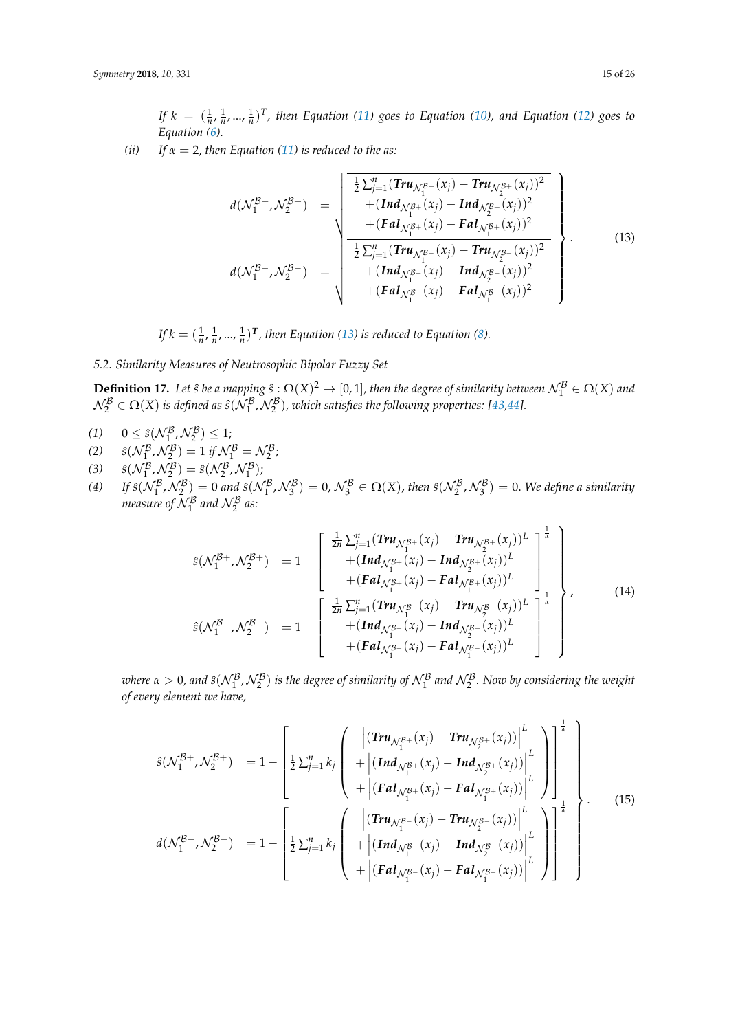*If*  $k = (\frac{1}{n}, \frac{1}{n}, \dots, \frac{1}{n})^T$ , then Equation [\(11\)](#page-13-2) goes to Equation [\(10\)](#page-13-1), and Equation [\(12\)](#page-13-3) goes to *Equation [\(6\)](#page-12-1).*

*(ii)* If  $\alpha = 2$ , then Equation [\(11\)](#page-13-2) is reduced to the as:

<span id="page-14-0"></span>
$$
d(\mathcal{N}_{1}^{B+}, \mathcal{N}_{2}^{B+}) = \sqrt{\frac{\frac{1}{2}\sum_{j=1}^{n}(Tru_{\mathcal{N}_{1}^{B+}}(x_{j}) - Tru_{\mathcal{N}_{2}^{B+}}(x_{j}))^{2}}{[(Fau_{\mathcal{N}_{1}^{B+}}(x_{j}) - Ind_{\mathcal{N}_{2}^{B+}}(x_{j}))^{2} + (Fau_{\mathcal{N}_{1}^{B+}}(x_{j}) - Fau_{\mathcal{N}_{1}^{B+}}(x_{j}))^{2}}{[\frac{1}{2}\sum_{j=1}^{n}(Tru_{\mathcal{N}_{1}^{B-}}(x_{j}) - Tru_{\mathcal{N}_{2}^{B-}}(x_{j}))^{2} + (Ind_{\mathcal{N}_{1}^{B-}}(x_{j}) - Ind_{\mathcal{N}_{2}^{B-}}(x_{j}))^{2} + (Fau_{\mathcal{N}_{1}^{B-}}(x_{j}) - Fau_{\mathcal{N}_{1}^{B-}}(x_{j}))^{2}]}
$$
\n(13)

*If*  $k = (\frac{1}{n}, \frac{1}{n}, \dots, \frac{1}{n})^T$ , then Equation [\(13\)](#page-14-0) is reduced to Equation [\(8\)](#page-12-3).

*5.2. Similarity Measures of Neutrosophic Bipolar Fuzzy Set*

**Definition 17.** Let  $\hat{s}$  be a mapping  $\hat{s}$ :  $\Omega(X)^2 \to [0, 1]$ , then the degree of similarity between  $\mathcal{N}_1^{\mathcal{B}} \in \Omega(X)$  and  $\mathcal{N}_2^{\mathcal{B}} \in \Omega(X)$  is defined as  $\hat{s}(\mathcal{N}_1^{\mathcal{B}}, \mathcal{N}_2^{\mathcal{B}})$ , which satisfies the following properties: [\[43,](#page-25-0)[44\]](#page-25-1).

- (1)  $0 \leq \hat{s}(\mathcal{N}_1^{\mathcal{B}}, \mathcal{N}_2^{\mathcal{B}}) \leq 1;$
- (2)  $\hat{s}(\mathcal{N}_1^{\mathcal{B}}, \mathcal{N}_2^{\mathcal{B}}) = 1 \text{ if } \mathcal{N}_1^{\mathcal{B}} = \mathcal{N}_2^{\mathcal{B}};$
- (3)  $\hat{s}(N_1^B, N_2^B) = \hat{s}(N_2^B, N_1^B);$
- (4) If  $\hat{s}(N_1^B, N_2^B) = 0$  and  $\hat{s}(N_1^B, N_3^B) = 0$ ,  $N_3^B \in \Omega(X)$ , then  $\hat{s}(N_2^B, N_3^B) = 0$ . We define a similarity *measure of*  $\mathcal{N}_1^{\mathcal{B}}$  and  $\mathcal{N}_2^{\mathcal{B}}$  as:

<span id="page-14-2"></span>
$$
\hat{s}(\mathcal{N}_{1}^{B+}, \mathcal{N}_{2}^{B+}) = 1 - \begin{bmatrix} \frac{1}{2n} \sum_{j=1}^{n} (Tr u_{\mathcal{N}_{1}^{B+}}(x_{j}) - Tr u_{\mathcal{N}_{2}^{B+}}(x_{j}))^{L} \\ + (Ind_{\mathcal{N}_{1}^{B+}}(x_{j}) - Ind_{\mathcal{N}_{2}^{B+}}(x_{j}))^{L} \\ + (F a l_{\mathcal{N}_{1}^{B+}}(x_{j}) - F a l_{\mathcal{N}_{1}^{B+}}(x_{j}))^{L} \end{bmatrix}^{\frac{1}{\alpha}}
$$
\n
$$
\hat{s}(\mathcal{N}_{1}^{B-}, \mathcal{N}_{2}^{B-}) = 1 - \begin{bmatrix} \frac{1}{2n} \sum_{j=1}^{n} (Tr u_{\mathcal{N}_{1}^{B-}}(x_{j}) - Tr u_{\mathcal{N}_{2}^{B-}}(x_{j}))^{L} \\ + (Ind_{\mathcal{N}_{1}^{B-}}(x_{j}) - Ind_{\mathcal{N}_{2}^{B-}}(x_{j}))^{L} \\ + (F a l_{\mathcal{N}_{1}^{B-}}(x_{j}) - F a l_{\mathcal{N}_{1}^{B-}}(x_{j}))^{L} \end{bmatrix}^{\frac{1}{\alpha}}
$$
\n(14)

where  $\alpha>0$ , and  $\hat s(\mathcal{N}_1^{\mathcal{B}},\mathcal{N}_2^{\mathcal{B}})$  is the degree of similarity of  $\mathcal{N}_1^{\mathcal{B}}$  and  $\mathcal{N}_2^{\mathcal{B}}$ . Now by considering the weight *of every element we have,*

<span id="page-14-1"></span>
$$
\hat{s}(\mathcal{N}_{1}^{\mathcal{B}+},\mathcal{N}_{2}^{\mathcal{B}+}) = 1 - \left[\frac{1}{2}\sum_{j=1}^{n}k_{j}\left(\frac{\left|\left(\mathbf{Tr}\mathbf{u}_{\mathcal{N}_{1}^{\mathcal{B}+}}(x_{j}) - \mathbf{Tr}\mathbf{u}_{\mathcal{N}_{2}^{\mathcal{B}+}}(x_{j})\right)\right|^{L}}{\left|\left(\mathbf{F}\mathbf{a}\mathbf{I}_{\mathcal{N}_{1}^{\mathcal{B}+}}(x_{j}) - \mathbf{I}\mathbf{n}\mathbf{d}_{\mathcal{N}_{2}^{\mathcal{B}+}}(x_{j})\right)\right|^{L}}\right]\right]^{1}_{L}
$$
\n
$$
d(\mathcal{N}_{1}^{\mathcal{B}-},\mathcal{N}_{2}^{\mathcal{B}-}) = 1 - \left[\frac{1}{2}\sum_{j=1}^{n}k_{j}\left(\frac{\left|\left(\mathbf{Tr}\mathbf{u}_{\mathcal{N}_{1}^{\mathcal{B}+}}(x_{j}) - \mathbf{F}\mathbf{a}\mathbf{I}_{\mathcal{N}_{1}^{\mathcal{B}+}}(x_{j})\right)\right|^{L}}{\left|\left(\mathbf{I}\mathbf{n}\mathbf{d}_{\mathcal{N}_{1}^{\mathcal{B}+}}(x_{j}) - \mathbf{I}\mathbf{n}\mathbf{d}_{\mathcal{N}_{2}^{\mathcal{B}+}}(x_{j})\right)\right|^{L}}\right]^{1}_{L}
$$
\n
$$
+ \left|\left(\mathbf{I}\mathbf{n}\mathbf{d}_{\mathcal{N}_{1}^{\mathcal{B}+}}(x_{j}) - \mathbf{I}\mathbf{n}\mathbf{d}_{\mathcal{N}_{2}^{\mathcal{B}+}}(x_{j})\right)\right|^{L}
$$
\n
$$
+ \left|\left(\mathbf{F}\mathbf{a}\mathbf{I}_{\mathcal{N}_{1}^{\mathcal{B}-}}(x_{j}) - \mathbf{F}\mathbf{a}\mathbf{I}_{\mathcal{N}_{1}^{\mathcal{B}+}}(x_{j})\right)\right|^{L}
$$
\n
$$
(15)
$$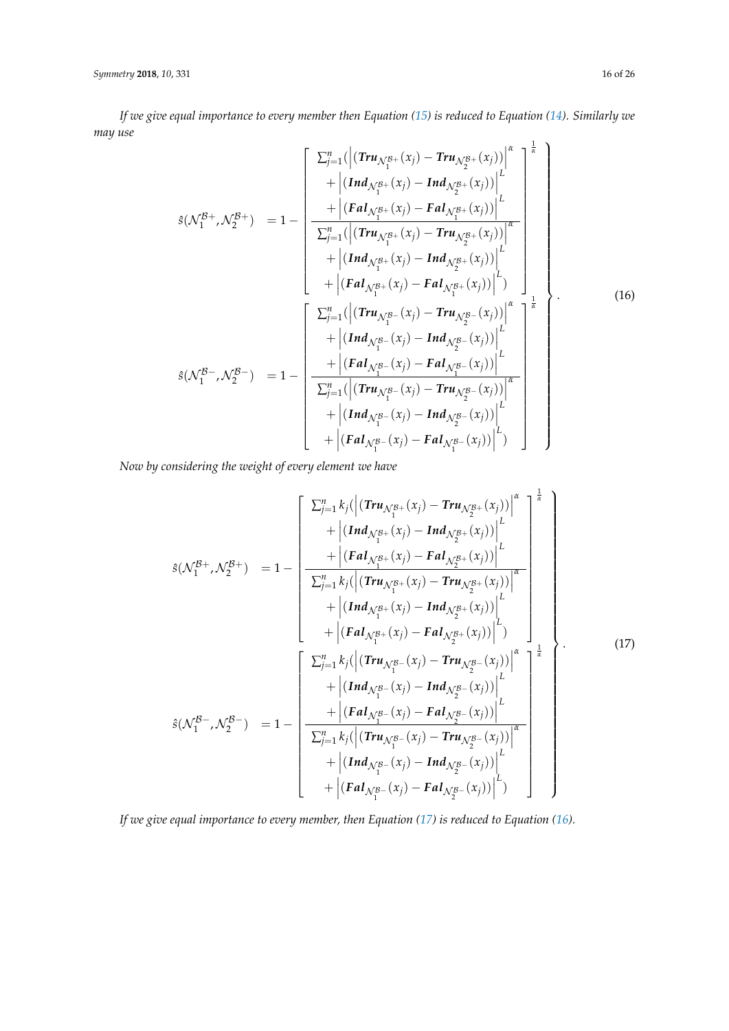*If we give equal importance to every member then Equation [\(15\)](#page-14-1) is reduced to Equation [\(14\)](#page-14-2). Similarly we may use*

<span id="page-15-1"></span>
$$
\hat{s}(\mathcal{N}_{1}^{B+},\mathcal{N}_{2}^{B+}) = 1 - \left[\frac{\sum_{j=1}^{n}(|(Tru_{\mathcal{N}_{1}^{B+}}(x_{j}) - Tru_{\mathcal{N}_{2}^{B+}}(x_{j}))|_{L}^{k}}{+ |(Ind_{\mathcal{N}_{1}^{B+}}(x_{j}) - Ind_{\mathcal{N}_{2}^{B+}}(x_{j}))|_{L}^{k}} + |(Fal_{\mathcal{N}_{1}^{B+}}(x_{j}) - Tru_{\mathcal{N}_{2}^{B+}}(x_{j}))|_{L}^{k}} + |(Ind_{\mathcal{N}_{1}^{B+}}(x_{j}) - Ind_{\mathcal{N}_{2}^{B+}}(x_{j}))|_{L}^{k}} + |(Ind_{\mathcal{N}_{1}^{B+}}(x_{j}) - Ind_{\mathcal{N}_{2}^{B+}}(x_{j}))|_{L}^{k}} + |(Fal_{\mathcal{N}_{1}^{B+}}(x_{j}) - Fal_{\mathcal{N}_{1}^{B+}}(x_{j}))|_{L}^{k}} + |(Ind_{\mathcal{N}_{1}^{B-}}(x_{j}) - Tru_{\mathcal{N}_{2}^{B-}}(x_{j}))|_{L}^{k}} + |(Ind_{\mathcal{N}_{1}^{B-}}(x_{j}) - Ind_{\mathcal{N}_{2}^{B-}}(x_{j}))|_{L}^{k}} + |(Ind_{\mathcal{N}_{1}^{B-}}(x_{j}) - Fal_{\mathcal{N}_{1}^{B-}}(x_{j}))|_{L}^{k}} + |(Fal_{\mathcal{N}_{1}^{B-}}(x_{j}) - Fal_{\mathcal{N}_{2}^{B-}}(x_{j}))|_{L}^{k}} + |(Ind_{\mathcal{N}_{1}^{B-}}(x_{j}) - Tru_{\mathcal{N}_{2}^{B-}}(x_{j}))|_{L}^{k}} + |(Ind_{\mathcal{N}_{1}^{B-}}(x_{j}) - Fal_{\mathcal{N}_{1}^{B-}}(x_{j}))|_{L}^{k}} + |(Fal_{\mathcal{N}_{1}^{B-}}(x_{j}) - Fal_{\mathcal{N}_{1}^{B-}}(x_{j}))|_{L}^{k}} + |(Fal_{\mathcal{N}_{1}^{B-}}(x_{j}) - Fal_{\mathcal{N}_{1}^{B-}}(x_{j}))|_{L}^{k}} + |(Fal_{\mathcal{N}_{
$$

*Now by considering the weight of every element we have*

<span id="page-15-0"></span>
$$
\hat{s}(\mathcal{N}_{1}^{B+},\mathcal{N}_{2}^{B+}) = 1 - \left[\begin{array}{c} \sum_{j=1}^{n} k_{j}(\left|\left(\text{Tr}u_{\mathcal{N}_{1}^{B+}}(x_{j}) - \text{Tr}u_{\mathcal{N}_{2}^{B+}}(x_{j})\right)\right|^{L} \\ + \left|\left(\text{Ind}_{\mathcal{N}_{1}^{B+}}(x_{j}) - \text{Ind}_{\mathcal{N}_{2}^{B+}}(x_{j})\right)\right|^{L} \\ + \left|\left(\text{Fal}_{\mathcal{N}_{1}^{B+}}(x_{j}) - \text{Fal}_{\mathcal{N}_{2}^{B+}}(x_{j})\right)\right|^{L} \\ + \left|\left(\text{Ind}_{\mathcal{N}_{1}^{B+}}(x_{j}) - \text{Ind}_{\mathcal{N}_{2}^{B+}}(x_{j})\right)\right|^{L} \\ + \left|\left(\text{Fal}_{\mathcal{N}_{1}^{B+}}(x_{j}) - \text{Fal}_{\mathcal{N}_{2}^{B+}}(x_{j})\right)\right|^{L} \right] \\ + \left|\left(\text{Fal}_{\mathcal{N}_{1}^{B+}}(x_{j}) - \text{Fal}_{\mathcal{N}_{2}^{B+}}(x_{j})\right)\right|^{L} \\ + \left|\left(\text{Tr}u_{\mathcal{N}_{1}^{B-}}(x_{j}) - \text{Tr}u_{\mathcal{N}_{2}^{B-}}(x_{j})\right)\right|^{L} \\ + \left|\left(\text{Ind}_{\mathcal{N}_{1}^{B-}}(x_{j}) - \text{Ind}_{\mathcal{N}_{2}^{B-}}(x_{j})\right)\right|^{L} \\ + \left|\left(\text{Tr}u_{\mathcal{N}_{1}^{B-}}(x_{j}) - \text{Tr}u_{\mathcal{N}_{2}^{B-}}(x_{j})\right)\right|^{L} \\ + \left|\left(\text{Tr}u_{\mathcal{N}_{1}^{B-}}(x_{j}) - \text{Tr}u_{\mathcal{N}_{2}^{B-}}(x_{j})\right)\right|^{L} \\ + \left|\left(\text{Tr}u_{\mathcal{N}_{1}^{B-}}(x_{j}) - \text{Tr}u_{\mathcal{N}_{2}^{B-}}(x_{j})\right)\right|^{L} \\ + \left|\left(\text{Tr}u_{\mathcal{N}_{1}^{B-}}(x_{j
$$

*If we give equal importance to every member, then Equation [\(17\)](#page-15-0) is reduced to Equation [\(16\)](#page-15-1).*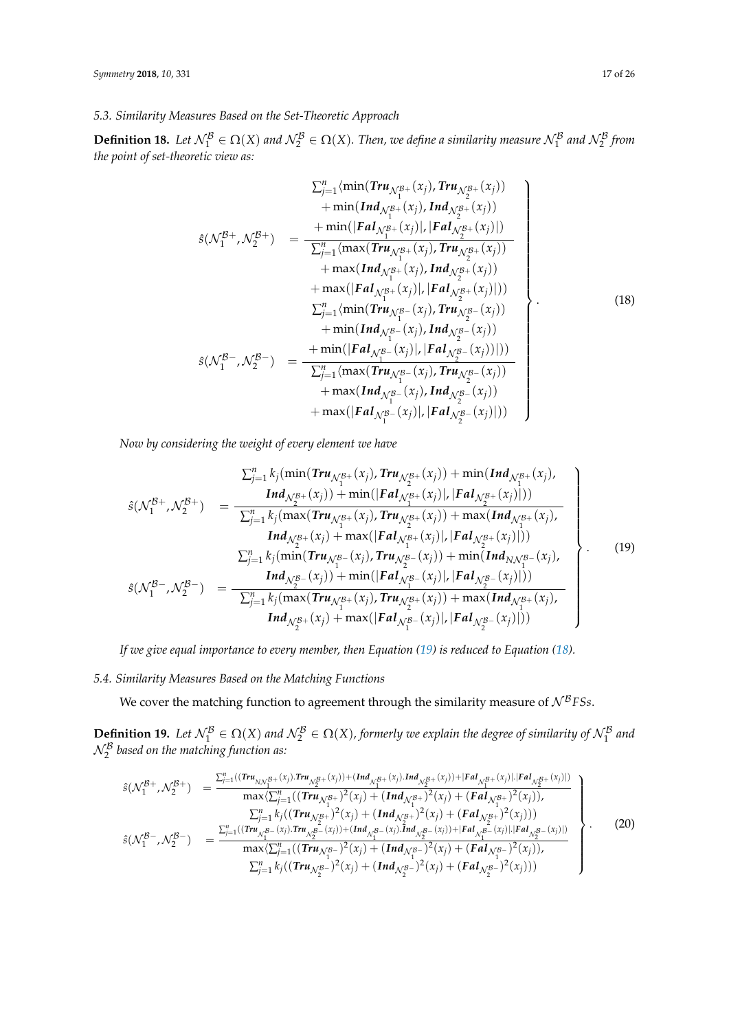**Definition 18.** Let  $\mathcal{N}_1^{\mathcal{B}} \in \Omega(X)$  and  $\mathcal{N}_2^{\mathcal{B}} \in \Omega(X)$ . Then, we define a similarity measure  $\mathcal{N}_1^{\mathcal{B}}$  and  $\mathcal{N}_2^{\mathcal{B}}$  from *the point of set-theoretic view as:*

<span id="page-16-1"></span>
$$
\sum_{j=1}^{n} \langle \min(Tru_{\mathcal{N}_{1}^{B+}}(x_{j}), Tru_{\mathcal{N}_{2}^{B+}}(x_{j})) + \min(Ind_{\mathcal{N}_{1}^{B+}}(x_{j}), Ind_{\mathcal{N}_{2}^{B+}}(x_{j}))
$$
\n
$$
\hat{s}(\mathcal{N}_{1}^{B+}, \mathcal{N}_{2}^{B+}) = \frac{+\min(|Fal_{\mathcal{N}_{1}^{B+}}(x_{j}), Ind_{\mathcal{N}_{2}^{B+}}(x_{j}))|}{\sum_{j=1}^{n} \langle \max(Tru_{\mathcal{N}_{1}^{B+}}(x_{j}), Tru_{\mathcal{N}_{2}^{B+}}(x_{j})) + \max(Ind_{\mathcal{N}_{1}^{B+}}(x_{j}), Ind_{\mathcal{N}_{2}^{B+}}(x_{j}))| \rangle + \max(|Fal_{\mathcal{N}_{1}^{B+}}(x_{j}), Ind_{\mathcal{N}_{2}^{B+}}(x_{j}))| \rangle
$$
\n
$$
\sum_{j=1}^{n} \langle \min(Tru_{\mathcal{N}_{1}^{B-}}(x_{j}), Tru_{\mathcal{N}_{2}^{B-}}(x_{j}))| + \min(Ind_{\mathcal{N}_{1}^{B-}}(x_{j}), Ind_{\mathcal{N}_{2}^{B-}}(x_{j}))| \rangle + \min(|Fal_{\mathcal{N}_{1}^{B-}}(x_{j}), Ind_{\mathcal{N}_{2}^{B-}}(x_{j}))| \rangle + \max(Ind_{\mathcal{N}_{1}^{B-}}(x_{j}), Ind_{\mathcal{N}_{2}^{B-}}(x_{j}))| + \max(Ind_{\mathcal{N}_{1}^{B-}}(x_{j}), Ind_{\mathcal{N}_{2}^{B-}}(x_{j}))| + \max(|Fal_{\mathcal{N}_{1}^{B-}}(x_{j}), Ind_{\mathcal{N}_{2}^{B-}}(x_{j})|)|
$$

*Now by considering the weight of every element we have*

<span id="page-16-0"></span>
$$
\sum_{j=1}^{n} k_{j}(\min(Tru_{\mathcal{N}_{1}^{B+}}(x_{j}), Tru_{\mathcal{N}_{2}^{B+}}(x_{j})) + \min(Ind_{\mathcal{N}_{1}^{B+}}(x_{j}),
$$
\n
$$
\hat{s}(\mathcal{N}_{1}^{B+}, \mathcal{N}_{2}^{B+}) = \frac{Ind_{\mathcal{N}_{2}^{B+}}(x_{j}) + \min(|Fal_{\mathcal{N}_{1}^{B+}}(x_{j})|, |Fal_{\mathcal{N}_{2}^{B+}}(x_{j})|)}{\sum_{j=1}^{n} k_{j}(\max(Tru_{\mathcal{N}_{1}^{B+}}(x_{j}), Tru_{\mathcal{N}_{2}^{B+}}(x_{j})) + \max(Ind_{\mathcal{N}_{1}^{B+}}(x_{j}),
$$
\n
$$
Ind_{\mathcal{N}_{2}^{B+}}(x_{j}) + \max(|Fal_{\mathcal{N}_{1}^{B+}}(x_{j})|, |Fal_{\mathcal{N}_{2}^{B+}}(x_{j})|)
$$
\n
$$
\sum_{j=1}^{n} k_{j}(\min(Tru_{\mathcal{N}_{1}^{B-}}(x_{j}), Tru_{\mathcal{N}_{2}^{B-}}(x_{j})) + \min(Ind_{N\mathcal{N}_{1}^{B-}}(x_{j}),
$$
\n
$$
\hat{s}(\mathcal{N}_{1}^{B-}, \mathcal{N}_{2}^{B-}) = \frac{Ind_{\mathcal{N}_{2}^{B-}}(x_{j}) + \min(|Fal_{\mathcal{N}_{1}^{B-}}(x_{j})|, |Fal_{\mathcal{N}_{2}^{B-}}(x_{j})|)}{\sum_{j=1}^{n} k_{j}(\max(Tru_{\mathcal{N}_{1}^{B+}}(x_{j}), Tru_{\mathcal{N}_{2}^{B+}}(x_{j})) + \max(Ind_{\mathcal{N}_{1}^{B+}}(x_{j}),
$$
\n
$$
Ind_{\mathcal{N}_{2}^{B+}}(x_{j}) + \max(|Fal_{\mathcal{N}_{1}^{B-}}(x_{j})|, |Fal_{\mathcal{N}_{2}^{B-}}(x_{j})|))
$$
\n
$$
\tag{19}
$$

*If we give equal importance to every member, then Equation [\(19\)](#page-16-0) is reduced to Equation [\(18\)](#page-16-1).*

# *5.4. Similarity Measures Based on the Matching Functions*

We cover the matching function to agreement through the similarity measure of  $N^BFSs$ .

**Definition 19.** Let  $\mathcal{N}_1^{\mathcal{B}} \in \Omega(X)$  and  $\mathcal{N}_2^{\mathcal{B}} \in \Omega(X)$ , formerly we explain the degree of similarity of  $\mathcal{N}_1^{\mathcal{B}}$  and  $\mathcal{N}_{2}^{\mathcal{B}}$  based on the matching function as:

<span id="page-16-2"></span>
$$
\hat{s}(\mathcal{N}_{1}^{\mathcal{B}+},\mathcal{N}_{2}^{\mathcal{B}+}) = \frac{\sum_{j=1}^{n}((\text{Tr}u_{N\mathcal{N}_{1}^{\mathcal{B}+}}(x_{j}))\cdot(\text{Tr}u_{\mathcal{N}_{2}^{\mathcal{B}+}}(x_{j}))\cdot(\text{Tr}u_{\mathcal{N}_{2}^{\mathcal{B}+}}(x_{j}))\cdot|\text{F}al_{\mathcal{N}_{1}^{\mathcal{B}+}}(x_{j})||\text{F}al_{\mathcal{N}_{2}^{\mathcal{B}+}}(x_{j})|)}{\max\left(\sum_{j=1}^{n}\left((\text{Tr}u_{\mathcal{N}_{1}^{\mathcal{B}+}})^{2}(x_{j})+(\text{Tr}d_{\mathcal{N}_{1}^{\mathcal{B}+}})^{2}(x_{j})+(\text{F}d_{\mathcal{N}_{1}^{\mathcal{B}+}})^{2}(x_{j})\right),\right)}{\sum_{j=1}^{n}k_{j}\left((\text{Tr}u_{\mathcal{N}_{2}^{\mathcal{B}+}})^{2}(x_{j})+(\text{Tr}d_{\mathcal{N}_{1}^{\mathcal{B}+}})^{2}(x_{j})+(\text{F}d_{\mathcal{N}_{2}^{\mathcal{B}+}})^{2}(x_{j}))\right)}
$$
\n
$$
\hat{s}(\mathcal{N}_{1}^{\mathcal{B}-},\mathcal{N}_{2}^{\mathcal{B}-}) = \frac{\sum_{j=1}^{n}((\text{Tr}u_{\mathcal{N}_{1}^{\mathcal{B}-}}(x_{j})\cdot\text{Tr}u_{\mathcal{N}_{2}^{\mathcal{B}-}}(x_{j}))\cdot(\text{Tr}d_{\mathcal{N}_{1}^{\mathcal{B}-}}(x_{j})\cdot\text{Tr}d_{\mathcal{N}_{2}^{\mathcal{B}-}}(x_{j}))\cdot|\text{F}d_{\mathcal{N}_{2}^{\mathcal{B}-}}(x_{j})||\text{F}d_{\mathcal{N}_{2}^{\mathcal{B}-}}(x_{j})|)}{\max\left(\sum_{j=1}^{n}k_{j}\left((\text{Tr}u_{\mathcal{N}_{1}^{\mathcal{B}-}})^{2}(x_{j})+(\text{Tr}d_{\mathcal{N}_{2}^{\mathcal{B}-}})^{2}(x_{j})+(\
$$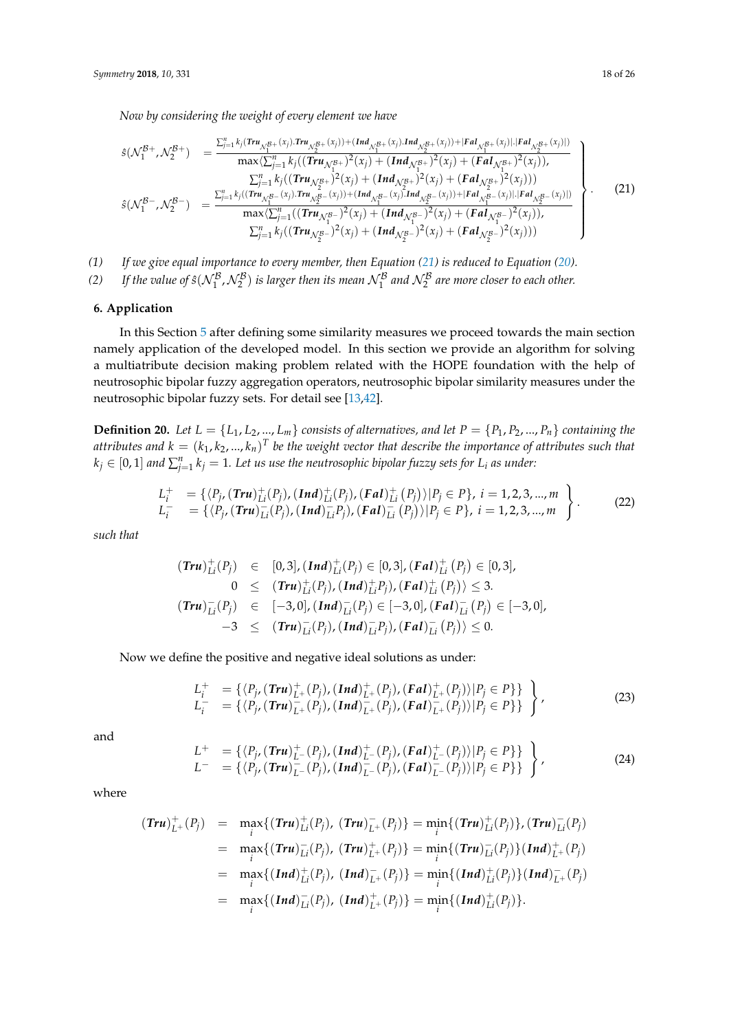*Now by considering the weight of every element we have*

<span id="page-17-1"></span>
$$
s(\mathcal{N}_{1}^{\mathcal{B}+},\mathcal{N}_{2}^{\mathcal{B}+}) = \frac{\sum_{j=1}^{n} k_{j} (Tru_{\mathcal{N}_{1}^{\mathcal{B}+}}(x_{j}))Tru_{\mathcal{N}_{2}^{\mathcal{B}+}}(x_{j})) + (Ind_{\mathcal{N}_{1}^{\mathcal{B}+}}(x_{j}))\cdot |Fal_{\mathcal{N}_{2}^{\mathcal{B}+}}(x_{j}))|Fal_{\mathcal{N}_{2}^{\mathcal{B}+}}(x_{j})|)}{\max\langle\sum_{j=1}^{n} k_{j} ((Tru_{\mathcal{N}_{1}^{\mathcal{B}+}})^{2}(x_{j}) + (Ind_{\mathcal{N}_{1}^{\mathcal{B}+}})^{2}(x_{j}) + (FdI_{\mathcal{N}_{1}^{\mathcal{B}+}})^{2}(x_{j}))
$$
\n
$$
s(\mathcal{N}_{1}^{\mathcal{B}-},\mathcal{N}_{2}^{\mathcal{B}-}) = \frac{\sum_{j=1}^{n} k_{j} ((Tru_{\mathcal{N}_{1}^{\mathcal{B}-}}(x_{j}))\cdot Tru_{\mathcal{N}_{2}^{\mathcal{B}-}}(x_{j})) + (Ind_{\mathcal{N}_{1}^{\mathcal{B}+}})^{2}(x_{j}) + (FdI_{\mathcal{N}_{2}^{\mathcal{B}+}})^{2}(x_{j}))}{\max\langle\sum_{j=1}^{n} k_{j} ((Tru_{\mathcal{N}_{1}^{\mathcal{B}-}}(x_{j}))\cdot Tru_{\mathcal{N}_{2}^{\mathcal{B}-}}(x_{j})) + (Ind_{\mathcal{N}_{1}^{\mathcal{B}-}}(x_{j})\cdot Tru_{\mathcal{N}_{1}^{\mathcal{B}-}})^{2}(x_{j}) + (FdI_{\mathcal{N}_{1}^{\mathcal{B}-}})^{2}(x_{j})\cdot (Fal_{\mathcal{N}_{2}^{\mathcal{B}-}}(x_{j}))}
$$
\n
$$
\sum_{j=1}^{n} k_{j} ((Tru_{\mathcal{N}_{2}^{\mathcal{B}-}})^{2}(x_{j}) + (Ind_{\mathcal{N}_{2}^{\mathcal{B}-}})^{2}(x_{j}) + (FdI_{\mathcal{N}_{2}^{\mathcal{B}-}})^{2}(x_{j}))
$$
\n
$$
(
$$

*(1) If we give equal importance to every member, then Equation [\(21\)](#page-17-1) is reduced to Equation [\(20\)](#page-16-2).*

(2) If the value of  $\hat{s}(N_1^B, N_2^B)$  is larger then its mean  $N_1^B$  and  $N_2^B$  are more closer to each other.

### <span id="page-17-0"></span>**6. Application**

In this Section [5](#page-10-0) after defining some similarity measures we proceed towards the main section namely application of the developed model. In this section we provide an algorithm for solving a multiatribute decision making problem related with the HOPE foundation with the help of neutrosophic bipolar fuzzy aggregation operators, neutrosophic bipolar similarity measures under the neutrosophic bipolar fuzzy sets. For detail see [\[13,](#page-23-11)[42\]](#page-24-17).

**Definition 20.** Let  $L = \{L_1, L_2, ..., L_m\}$  consists of alternatives, and let  $P = \{P_1, P_2, ..., P_n\}$  containing the attributes and  $k = (k_1, k_2, ..., k_n)^T$  be the weight vector that describe the importance of attributes such that  $k_j \in [0,1]$  and  $\sum_{j=1}^n k_j = 1$ . Let us use the neutrosophic bipolar fuzzy sets for  $L_i$  as under:

$$
L_i^+ = \{ \langle P_{j}, (Tru)_{Li}^+(P_j), (Ind)_{Li}^+(P_j), (Fal)_{Li}^+(P_j) \rangle | P_j \in P \}, i = 1, 2, 3, ..., mL_i^- = \{ \langle P_{j}, (Tru)_{Li}^-(P_j), (Ind)_{Li}^-(P_j), (Fal)_{Li}^-(P_j) \rangle | P_j \in P \}, i = 1, 2, 3, ..., m
$$
\n(22)

*such that*

$$
(\textit{Tru})_{Li}^{+}(P_{j}) \in [0,3], (\textit{Ind})_{Li}^{+}(P_{j}) \in [0,3], (\textit{Fal})_{Li}^{+}(P_{j}) \in [0,3],
$$
  
\n
$$
0 \leq (\textit{Tru})_{Li}^{+}(P_{j}), (\textit{Ind})_{Li}^{+}P_{j}), (\textit{Fal})_{Li}^{+}(P_{j}) \leq 3.
$$
  
\n
$$
(\textit{Tru})_{Li}^{-}(P_{j}) \in [-3,0], (\textit{Ind})_{Li}^{-}(P_{j}) \in [-3,0], (\textit{Fal})_{Li}^{-}(P_{j}) \in [-3,0],
$$
  
\n
$$
-3 \leq (\textit{Tru})_{Li}^{-}(P_{j}), (\textit{Ind})_{Li}^{-}P_{j}), (\textit{Fal})_{Li}^{-}(P_{j}) \leq 0.
$$

Now we define the positive and negative ideal solutions as under:

<span id="page-17-2"></span>
$$
L_i^+ = \{ \langle P_{j\prime}(Tru)_{L^+}^+(P_j), (Ind)_{L^+}^+(P_j), (Fal)_{L^+}^+(P_j) \rangle | P_j \in P \} \} L_i^- = \{ \langle P_{j\prime}(Tru)_{L^+}^-(P_j), (Ind)_{L^+}^-(P_j), (Fal)_{L^+}^-(P_j) \rangle | P_j \in P \} \} \t\tag{23}
$$

and

<span id="page-17-3"></span>
$$
L^{+} = \{ \langle P_{j}, (Tru)^{+}_{L^{-}}(P_{j}), (Ind)^{+}_{L^{-}}(P_{j}), (Fal)^{+}_{L^{-}}(P_{j}) \rangle | P_{j} \in P \} \} \nL^{-} = \{ \langle P_{j}, (Tru)^{-}_{L^{-}}(P_{j}), (Ind)^{-}_{L^{-}}(P_{j}), (Fal)^{-}_{L^{-}}(P_{j}) \rangle | P_{j} \in P \} \} \n
$$
(24)
$$
$$

where

$$
(Tru)^{+}_{L^{+}}(P_{j}) = \max_{i} \{ (Tru)^{+}_{Li}(P_{j}), (Tru)^{-}_{L^{+}}(P_{j}) \} = \min_{i} \{ (Tru)^{+}_{Li}(P_{j}) \}, (Tru)^{-}_{Li}(P_{j})
$$
  
\n
$$
= \max_{i} \{ (Tru)^{-}_{Li}(P_{j}), (Tru)^{+}_{L^{+}}(P_{j}) \} = \min_{i} \{ (Tru)^{-}_{Li}(P_{j}) \} (Ind)^{+}_{L^{+}}(P_{j})
$$
  
\n
$$
= \max_{i} \{ (Ind)^{+}_{Li}(P_{j}), (Ind)^{-}_{L^{+}}(P_{j}) \} = \min_{i} \{ (Ind)^{+}_{Li}(P_{j}) \} (Ind)^{-}_{L^{+}}(P_{j})
$$
  
\n
$$
= \max_{i} \{ (Ind)^{-}_{Li}(P_{j}), (Ind)^{+}_{L^{+}}(P_{j}) \} = \min_{i} \{ (Ind)^{+}_{Li}(P_{j}) \}.
$$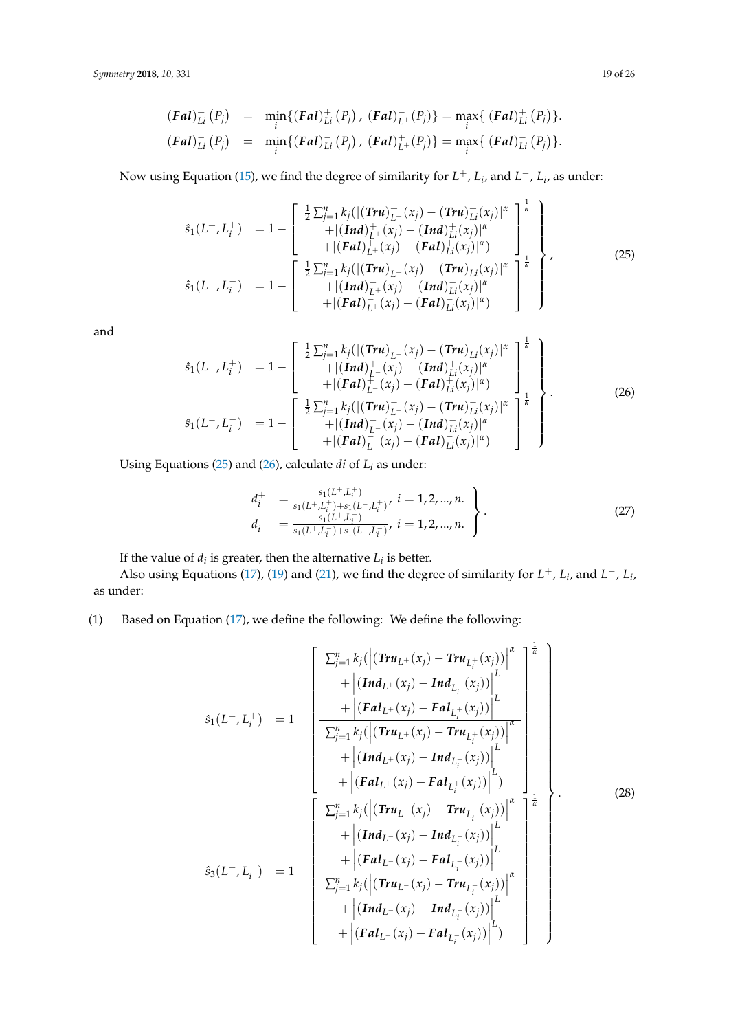$$
(\text{Fal})_{Li}^+(P_j) = \min_i \{ (\text{Fal})_{Li}^+(P_j), (\text{Fal})_{L^+}^-(P_j) \} = \max_i \{ (\text{Fal})_{Li}^+(P_j) \}.
$$
  

$$
(\text{Fal})_{Li}^-(P_j) = \min_i \{ (\text{Fal})_{Li}^-(P_j), (\text{Fal})_{L^+}^+(P_j) \} = \max_i \{ (\text{Fal})_{Li}^-(P_j) \}.
$$

Now using Equation [\(15\)](#page-14-1), we find the degree of similarity for *L* <sup>+</sup>, *L<sup>i</sup>* , and *L* <sup>−</sup>, *L<sup>i</sup>* , as under:

<span id="page-18-0"></span>
$$
\hat{s}_{1}(L^{+}, L_{i}^{+}) = 1 - \begin{bmatrix} \frac{1}{2} \sum_{j=1}^{n} k_{j} (|(Tru)_{L^{+}}^{+}(x_{j}) - (Tru)_{Li}^{+}(x_{j})|^{\alpha} \\ + |(Ind)_{L^{+}}^{+}(x_{j}) - (Ind)_{Li}^{+}(x_{j})|^{\alpha} \\ + |(Fal)_{L^{+}}^{+}(x_{j}) - (Fal)_{Li}^{+}(x_{j})|^{\alpha}) \end{bmatrix}^{k}
$$
\n
$$
\hat{s}_{1}(L^{+}, L_{i}^{-}) = 1 - \begin{bmatrix} \frac{1}{2} \sum_{j=1}^{n} k_{j} (|(Tru)_{L^{+}}^{-}(x_{j}) - (Tru)_{Li}^{-}(x_{j})|^{\alpha} \\ + |(Ind)_{L^{+}}^{-}(x_{j}) - (Ind)_{Li}^{-}(x_{j})|^{\alpha} \\ + |(Fal)_{L^{+}}^{-}(x_{j}) - (Fal)_{Li}^{-}(x_{j})|^{\alpha} \end{bmatrix}^{k}
$$
\n(25)

and

<span id="page-18-1"></span>
$$
\hat{s}_{1}(L^{-}, L_{i}^{+}) = 1 - \begin{bmatrix} \frac{1}{2} \sum_{j=1}^{n} k_{j} (|(Tru)_{L^{-}}^{+}(x_{j}) - (Tru)_{Li}^{+}(x_{j})|^{\alpha} \\ + |(Ind)_{L^{-}}^{+}(x_{j}) - (Ind)_{Li}^{+}(x_{j})|^{\alpha} \\ + |(Ful)_{L^{-}}^{+}(x_{j}) - (Ful)_{Li}^{+}(x_{j})|^{\alpha}) \end{bmatrix}^{k}
$$
\n
$$
\hat{s}_{1}(L^{-}, L_{i}^{-}) = 1 - \begin{bmatrix} \frac{1}{2} \sum_{j=1}^{n} k_{j} (|(Tru)_{L^{-}}^{-}(x_{j}) - (Tru)_{Li}^{-}(x_{j})|^{\alpha} \\ + |(Ind)_{L^{-}}^{-}(x_{j}) - (Ind)_{Li}^{-}(x_{j})|^{\alpha} \\ + |(Ful)_{L^{-}}^{-}(x_{j}) - (Ful)_{Li}^{-}(x_{j})|^{\alpha} \end{bmatrix}^{k}
$$
\n(26)

Using Equations [\(25\)](#page-18-0) and [\(26\)](#page-18-1), calculate *di* of *L<sup>i</sup>* as under:

<span id="page-18-2"></span>
$$
d_i^+ = \frac{s_1(L^+, L_i^+)}{s_1(L^+, L_i^+) + s_1(L^-, L_i^+)}, \ i = 1, 2, ..., n.
$$
  
\n
$$
d_i^- = \frac{s_1(L^+, L_i^-)}{s_1(L^+, L_i^-) + s_1(L^-, L_i^-)}, \ i = 1, 2, ..., n.
$$
\n(27)

If the value of  $d_i$  is greater, then the alternative  $L_i$  is better.

Also using Equations [\(17\)](#page-15-0), [\(19\)](#page-16-0) and [\(21\)](#page-17-1), we find the degree of similarity for  $L^+$ ,  $L_i$ , and  $L^-$ ,  $L_i$ , as under:

# (1) Based on Equation [\(17\)](#page-15-0), we define the following: We define the following:

<span id="page-18-3"></span>
$$
\hat{s}_{1}(L^{+}, L_{i}^{+}) = 1 - \left[\frac{\sum_{j=1}^{n} k_{j}(\left|\left(\mathbf{Tr} u_{L^{+}}(x_{j}) - \mathbf{Tr} u_{L_{i}^{+}}(x_{j})\right)\right|^{2}}{+\left|\left(\mathbf{F} a I_{L^{+}}(x_{j}) - \mathbf{F} a I_{L_{i}^{+}}(x_{j})\right)\right|^{2}} + \left|\frac{\left(\mathbf{F} a I_{L^{+}}(x_{j}) - \mathbf{F} a I_{L_{i}^{+}}(x_{j})\right)\right|^{2}}{\sum_{j=1}^{n} k_{j}(\left|\left(\mathbf{Tr} u_{L^{+}}(x_{j}) - \mathbf{Tr} u_{L_{i}^{+}}(x_{j})\right)\right|^{2}} + \left|\left(\mathbf{F} a I_{L^{+}}(x_{j}) - \mathbf{F} a I_{L_{i}^{+}}(x_{j})\right)\right|^{2}} + \left|\frac{\left(\mathbf{F} a I_{L^{+}}(x_{j}) - \mathbf{F} a I_{L_{i}^{+}}(x_{j})\right)\right|^{2}}{\sum_{j=1}^{n} k_{j}(\left|\left(\mathbf{Tr} u_{L^{-}}(x_{j}) - \mathbf{Tr} u_{L_{i}^{-}}(x_{j})\right)\right|^{2}} + \left|\frac{\left(\mathbf{F} a I_{L^{-}}(x_{j}) - \mathbf{F} a I_{L_{i}^{-}}(x_{j})\right)\right|^{2}}{\sum_{j=1}^{n} k_{j}(\left|\left(\mathbf{Tr} u_{L^{-}}(x_{j}) - \mathbf{F} a I_{L_{i}^{-}}(x_{j})\right)\right|^{2}} + \left|\frac{\left(\mathbf{F} a I_{L^{-}}(x_{j}) - \mathbf{F} a I_{L_{i}^{-}}(x_{j})\right)\right|^{2}}{\sum_{j=1}^{n} k_{j}(\left|\left(\mathbf{Tr} u_{L^{-}}(x_{j}) - \mathbf{F} a I_{L_{i}^{-}}(x_{j})\right)\right|^{2}} + \left|\frac{\left(\mathbf{F} a I_{L^{-}}(x_{j}) - \mathbf{F} a I_{L_{i}^{-}}(x_{j})\right)\right|^{2}}{\left|\frac{\left(\mathbf{F} a I_{L^{-}}(x_{j}) - \mathbf{F} a I_{L_{i}^{-}}(x_{j})
$$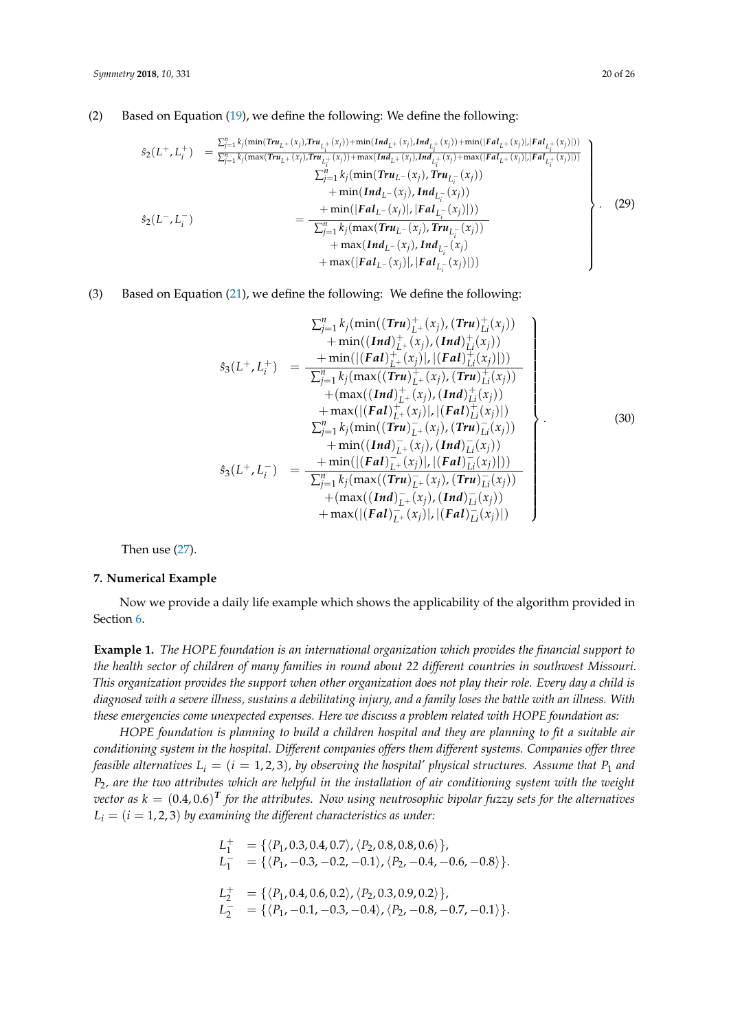### (2) Based on Equation [\(19\)](#page-16-0), we define the following: We define the following:

<span id="page-19-1"></span>
$$
\hat{s}_{2}(L^{+}, L_{i}^{+}) = \frac{\sum_{j=1}^{n} k_{j}(\min(Tru_{L^{+}}(x_{j})) + \min(Ind_{L^{+}}(x_{j}),Ind_{L_{i}^{+}}(x_{j})) + \min(| Fal_{L^{+}}(x_{j})|,| Fal_{L_{i}^{+}}(x_{j})|))}{\sum_{j=1}^{n} k_{j}(\max(Tru_{L^{+}}(x_{j})) + \max(Ind_{L^{+}}(x_{j}),Ind_{L_{i}^{+}}(x_{j})) + \min(Ind_{L^{+}}(x_{j})) + \min(Ind_{L^{+}}(x_{j})) + \min(Ind_{L^{+}}(x_{j})) + \min(Ind_{L^{+}}(x_{j}),Ind_{L_{i}^{-}}(x_{j})) + \min(Ind_{L^{+}}(x_{j}),Ind_{L_{i}^{-}}(x_{j})) + \min(Ind_{L^{+}}(x_{j}),Ind_{L_{i}^{-}}(x_{j})) + \max(Ind_{L^{+}}(x_{j}),Ind_{L_{i}^{-}}(x_{j})) + \max(Ind_{L^{+}}(x_{j}),Ind_{L_{i}^{-}}(x_{j})) + \max(Ind_{L^{+}}(x_{j}),Ind_{L_{i}^{-}}(x_{j}) + \max(Ind_{L^{+}}(x_{j}),Ind_{L_{i}^{-}}(x_{j})) + \max(| Fal_{L^{+}}(x_{j})|,| Fal_{L_{i}^{-}}(x_{j})|))
$$
\n(29)

### (3) Based on Equation [\(21\)](#page-17-1), we define the following: We define the following:

<span id="page-19-2"></span>
$$
\Sigma_{j=1}^{n} k_{j}(\min((\text{Tr}u)_{L^{+}}^{+}(x_{j}), (\text{Tr}u)_{L^{i}}^{+}(x_{j})) \n+ \min((\text{Tr}d)_{L^{+}}^{+}(x_{j}), (\text{Tr}u)_{L^{i}}^{+}(x_{j})) \n+ \min((\text{Tr}d)_{L^{+}}^{+}(x_{j}), (\text{Tr}u)_{L^{i}}^{+}(x_{j})) \n+ \min((\text{Tr}d)_{L^{+}}^{+}(x_{j}), (\text{Tr}u)_{L^{i}}^{+}(x_{j})) \n+ (\max((\text{Tr}d)_{L^{+}}^{+}(x_{j}), (\text{Tr}u)_{L^{i}}^{+}(x_{j})) \n+ \max((\text{Tr}d)_{L^{+}}^{+}(x_{j}), (\text{Tr}u)_{L^{i}}^{+}(x_{j})) \n+ \max((\text{Tr}d)_{L^{+}}^{+}(x_{j}), (\text{Tr}u)_{L^{i}}^{-}(x_{j})) \n+ \min((\text{Tr}d)_{L^{+}}^{-}(x_{j}), (\text{Tr}u)_{L^{i}}^{-}(x_{j})) \n+ \min((\text{Tr}d)_{L^{+}}^{-}(x_{j}), (\text{Tr}u)_{L^{i}}^{-}(x_{j})) \n+ (\max((\text{Tr}u)_{L^{+}}^{-}(x_{j}), (\text{Tr}u)_{L^{i}}^{-}(x_{j})) \n+ (\max((\text{Tr}d)_{L^{+}}^{-}(x_{j}), (\text{Tr}u)_{L^{i}}^{-}(x_{j})) \n+ \max((\text{Tr}d)_{L^{+}}^{-}(x_{j}), (\text{Tr}u)_{L^{i}}^{-}(x_{j}))
$$
\n(30)

Then use [\(27\)](#page-18-2).

### <span id="page-19-0"></span>**7. Numerical Example**

Now we provide a daily life example which shows the applicability of the algorithm provided in Section [6.](#page-17-0)

**Example 1.** *The HOPE foundation is an international organization which provides the financial support to the health sector of children of many families in round about 22 different countries in southwest Missouri. This organization provides the support when other organization does not play their role. Every day a child is diagnosed with a severe illness, sustains a debilitating injury, and a family loses the battle with an illness. With these emergencies come unexpected expenses. Here we discuss a problem related with HOPE foundation as:*

*HOPE foundation is planning to build a children hospital and they are planning to fit a suitable air conditioning system in the hospital. Different companies offers them different systems. Companies offer three feasible alternatives*  $L_i = (i = 1, 2, 3)$ *, by observing the hospital' physical structures. Assume that*  $P_1$  *and P*2*, are the two attributes which are helpful in the installation of air conditioning system with the weight*  $vector$  as  $k = (0.4, 0.6)^{\text{T}}$  for the attributes. Now using neutrosophic bipolar fuzzy sets for the alternatives  $L_i = (i = 1, 2, 3)$  by examining the different characteristics as under:

$$
L_1^+ = \{ \langle P_1, 0.3, 0.4, 0.7 \rangle, \langle P_2, 0.8, 0.8, 0.6 \rangle \},
$$
  
\n
$$
L_1^- = \{ \langle P_1, -0.3, -0.2, -0.1 \rangle, \langle P_2, -0.4, -0.6, -0.8 \rangle \}.
$$
  
\n
$$
L_2^+ = \{ \langle P_1, 0.4, 0.6, 0.2 \rangle, \langle P_2, 0.3, 0.9, 0.2 \rangle \},
$$
  
\n
$$
L_2^- = \{ \langle P_1, -0.1, -0.3, -0.4 \rangle, \langle P_2, -0.8, -0.7, -0.1 \rangle \}.
$$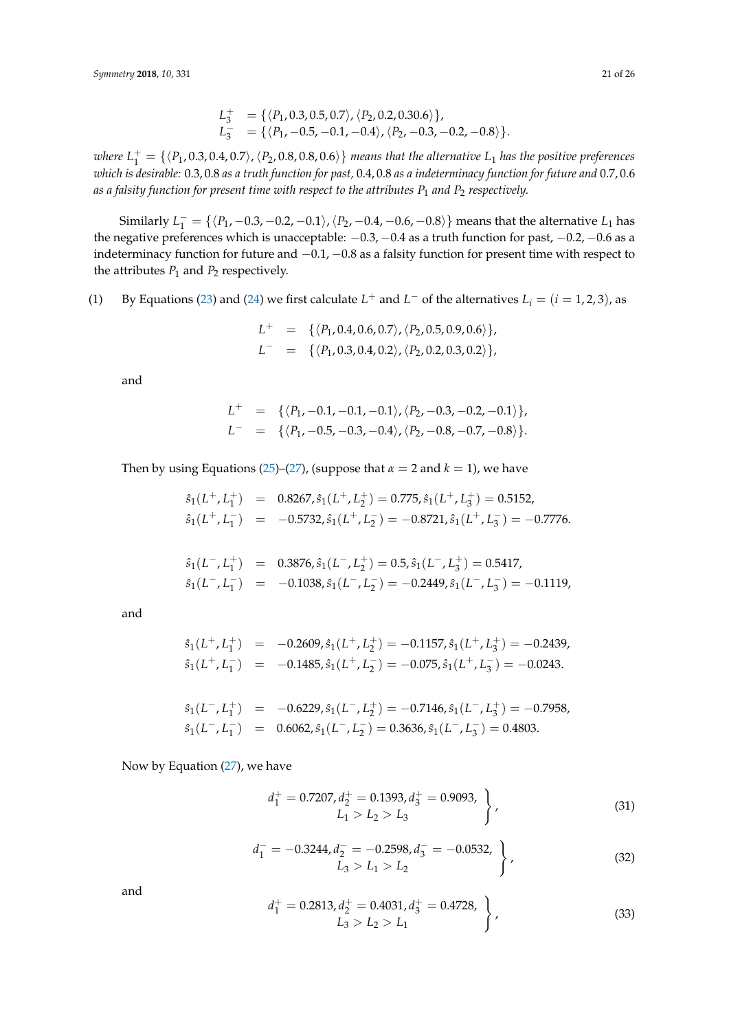$$
L_3^+ = \{ \langle P_1, 0.3, 0.5, 0.7 \rangle, \langle P_2, 0.2, 0.30.6 \rangle \},
$$
  
\n
$$
L_3^- = \{ \langle P_1, -0.5, -0.1, -0.4 \rangle, \langle P_2, -0.3, -0.2, -0.8 \rangle \}.
$$

where  $L_1^+ = \{$   $\langle P_1, 0.3, 0.4, 0.7 \rangle$  ,  $\langle P_2, 0.8, 0.8, 0.6 \rangle\}$  *means that the alternative*  $L_1$  *has the positive preferences which is desirable:* 0.3, 0.8 *as a truth function for past,* 0.4, 0.8 *as a indeterminacy function for future and* 0.7, 0.6 *as a falsity function for present time with respect to the attributes P*<sup>1</sup> *and P*<sup>2</sup> *respectively.*

Similarly  $L_1^- = \{ \langle P_1, -0.3, -0.2, -0.1 \rangle, \langle P_2, -0.4, -0.6, -0.8 \rangle \}$  means that the alternative  $L_1$  has the negative preferences which is unacceptable: −0.3, −0.4 as a truth function for past, −0.2, −0.6 as a indeterminacy function for future and −0.1, −0.8 as a falsity function for present time with respect to the attributes  $P_1$  and  $P_2$  respectively.

(1) By Equations [\(23\)](#page-17-2) and [\(24\)](#page-17-3) we first calculate  $L^+$  and  $L^-$  of the alternatives  $L_i = (i = 1, 2, 3)$ , as

$$
L^+ = \{ \langle P_1, 0.4, 0.6, 0.7 \rangle, \langle P_2, 0.5, 0.9, 0.6 \rangle \},
$$
  

$$
L^- = \{ \langle P_1, 0.3, 0.4, 0.2 \rangle, \langle P_2, 0.2, 0.3, 0.2 \rangle \},
$$

and

$$
L^+ = \{ \langle P_1, -0.1, -0.1, -0.1 \rangle, \langle P_2, -0.3, -0.2, -0.1 \rangle \},
$$
  

$$
L^- = \{ \langle P_1, -0.5, -0.3, -0.4 \rangle, \langle P_2, -0.8, -0.7, -0.8 \rangle \}.
$$

Then by using Equations [\(25\)](#page-18-0)–[\(27\)](#page-18-2), (suppose that  $\alpha = 2$  and  $k = 1$ ), we have

$$
\begin{array}{rcl}\n\hat{s}_1(L^+,L_1^+) & = & 0.8267, \hat{s}_1(L^+,L_2^+) = 0.775, \hat{s}_1(L^+,L_3^+) = 0.5152, \\
\hat{s}_1(L^+,L_1^-) & = & -0.5732, \hat{s}_1(L^+,L_2^-) = -0.8721, \hat{s}_1(L^+,L_3^-) = -0.7776.\n\end{array}
$$

$$
\begin{array}{rcl}\n\hat{s}_1(L^-,L_1^+) & = & 0.3876, \hat{s}_1(L^-,L_2^+) = 0.5, \hat{s}_1(L^-,L_3^+) = 0.5417, \\
\hat{s}_1(L^-,L_1^-) & = & -0.1038, \hat{s}_1(L^-,L_2^-) = -0.2449, \hat{s}_1(L^-,L_3^-) = -0.1119,\n\end{array}
$$

and

$$
\hat{s}_1(L^+, L_1^+) = -0.2609, \hat{s}_1(L^+, L_2^+) = -0.1157, \hat{s}_1(L^+, L_3^+) = -0.2439,
$$
  

$$
\hat{s}_1(L^+, L_1^-) = -0.1485, \hat{s}_1(L^+, L_2^-) = -0.075, \hat{s}_1(L^+, L_3^-) = -0.0243.
$$

$$
\hat{s}_1(L^-, L_1^+) = -0.6229, \hat{s}_1(L^-, L_2^+) = -0.7146, \hat{s}_1(L^-, L_3^+) = -0.7958,
$$
  

$$
\hat{s}_1(L^-, L_1^-) = 0.6062, \hat{s}_1(L^-, L_2^-) = 0.3636, \hat{s}_1(L^-, L_3^-) = 0.4803.
$$

Now by Equation [\(27\)](#page-18-2), we have

<span id="page-20-0"></span>
$$
d_1^+ = 0.7207, d_2^+ = 0.1393, d_3^+ = 0.9093, L_1 > L_2 > L_3
$$
\n(31)

<span id="page-20-1"></span>
$$
d_1^- = -0.3244, d_2^- = -0.2598, d_3^- = -0.0532, \n\left.\begin{matrix}\n1 & 0.0532, \\
1 & 0.0532, \\
1 & 0.0532\n\end{matrix}\right\},\n\tag{32}
$$

and

$$
d_1^+ = 0.2813, d_2^+ = 0.4031, d_3^+ = 0.4728, L_3 > L_2 > L_1
$$
\n(33)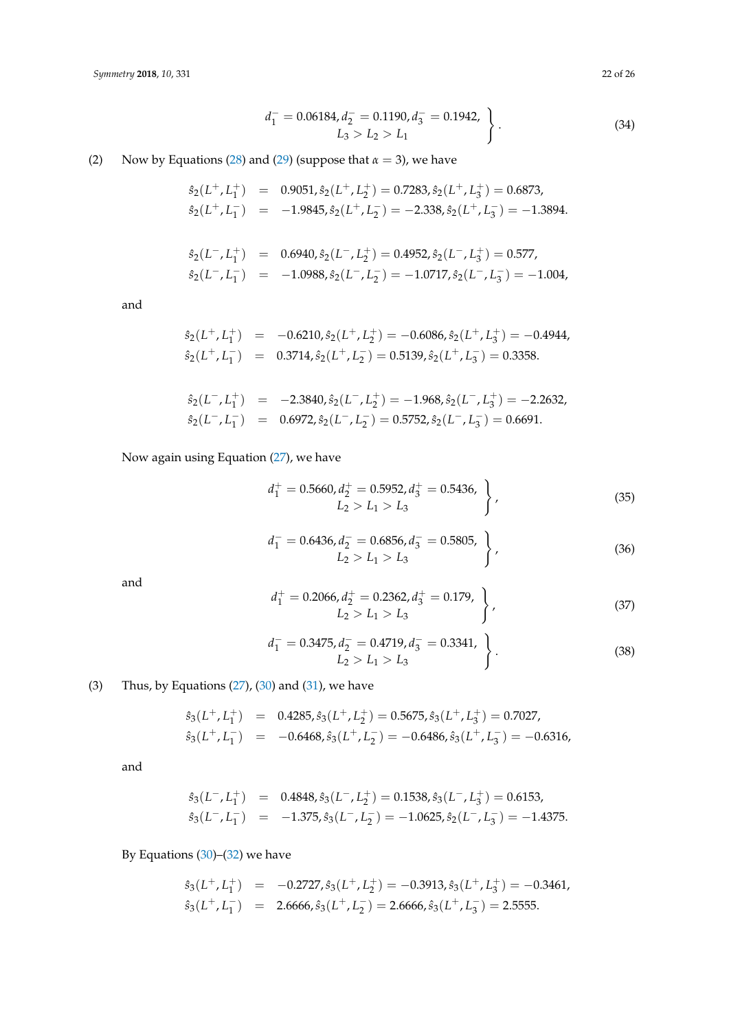$$
d_1^- = 0.06184, d_2^- = 0.1190, d_3^- = 0.1942, \n\left.\begin{matrix}\nL_3 > L_2 > L_1\n\end{matrix}\right\}.
$$
\n
$$
(34)
$$

(2) Now by Equations [\(28\)](#page-18-3) and [\(29\)](#page-19-1) (suppose that  $\alpha = 3$ ), we have

$$
\hat{s}_2(L^+, L_1^+) = 0.9051, \hat{s}_2(L^+, L_2^+) = 0.7283, \hat{s}_2(L^+, L_3^+) = 0.6873,
$$
  

$$
\hat{s}_2(L^+, L_1^-) = -1.9845, \hat{s}_2(L^+, L_2^-) = -2.338, \hat{s}_2(L^+, L_3^-) = -1.3894.
$$

$$
\begin{array}{rcl}\n\hat{s}_2(L^-,L_1^+) & = & 0.6940, \hat{s}_2(L^-,L_2^+) = 0.4952, \hat{s}_2(L^-,L_3^+) = 0.577, \\
\hat{s}_2(L^-,L_1^-) & = & -1.0988, \hat{s}_2(L^-,L_2^-) = -1.0717, \hat{s}_2(L^-,L_3^-) = -1.004,\n\end{array}
$$

and

$$
\begin{array}{rcl}\n\hat{s}_2(L^+,L_1^+) &=& -0.6210, \hat{s}_2(L^+,L_2^+) = -0.6086, \hat{s}_2(L^+,L_3^+) = -0.4944, \\
\hat{s}_2(L^+,L_1^-) &=& 0.3714, \hat{s}_2(L^+,L_2^-) = 0.5139, \hat{s}_2(L^+,L_3^-) = 0.3358.\n\end{array}
$$

$$
\begin{array}{rcl}\n\hat{s}_2(L^-,L_1^+) &=& -2.3840, \hat{s}_2(L^-,L_2^+) = -1.968, \hat{s}_2(L^-,L_3^+) = -2.2632, \\
\hat{s}_2(L^-,L_1^-) &=& 0.6972, \hat{s}_2(L^-,L_2^-) = 0.5752, \hat{s}_2(L^-,L_3^-) = 0.6691.\n\end{array}
$$

Now again using Equation [\(27\)](#page-18-2), we have

<span id="page-21-0"></span>
$$
d_1^+ = 0.5660, d_2^+ = 0.5952, d_3^+ = 0.5436, \n\nL_2 > L_1 > L_3
$$
\n(35)

$$
d_1^- = 0.6436, d_2^- = 0.6856, d_3^- = 0.5805, L_2 > L_1 > L_3
$$
\n(36)

and

$$
d_1^+ = 0.2066, d_2^+ = 0.2362, d_3^+ = 0.179, L_2 > L_1 > L_3
$$
\n(37)

$$
d_1^- = 0.3475, d_2^- = 0.4719, d_3^- = 0.3341, L_2 > L_1 > L_3
$$
\n(38)

(3) Thus, by Equations  $(27)$ ,  $(30)$  and  $(31)$ , we have

$$
\begin{array}{rcl}\n\hat{s}_3(L^+,L_1^+) & = & 0.4285, \hat{s}_3(L^+,L_2^+) = 0.5675, \hat{s}_3(L^+,L_3^+) = 0.7027, \\
\hat{s}_3(L^+,L_1^-) & = & -0.6468, \hat{s}_3(L^+,L_2^-) = -0.6486, \hat{s}_3(L^+,L_3^-) = -0.6316,\n\end{array}
$$

and

$$
\begin{array}{rcl}\n\hat{s}_3(L^-,L_1^+) & = & 0.4848, \hat{s}_3(L^-,L_2^+) = 0.1538, \hat{s}_3(L^-,L_3^+) = 0.6153, \\
\hat{s}_3(L^-,L_1^-) & = & -1.375, \hat{s}_3(L^-,L_2^-) = -1.0625, \hat{s}_2(L^-,L_3^-) = -1.4375.\n\end{array}
$$

By Equations [\(30\)](#page-19-2)–[\(32\)](#page-20-1) we have

$$
\hat{s}_3(L^+, L_1^+) = -0.2727, \hat{s}_3(L^+, L_2^+) = -0.3913, \hat{s}_3(L^+, L_3^+) = -0.3461,
$$
  

$$
\hat{s}_3(L^+, L_1^-) = 2.6666, \hat{s}_3(L^+, L_2^-) = 2.6666, \hat{s}_3(L^+, L_3^-) = 2.5555.
$$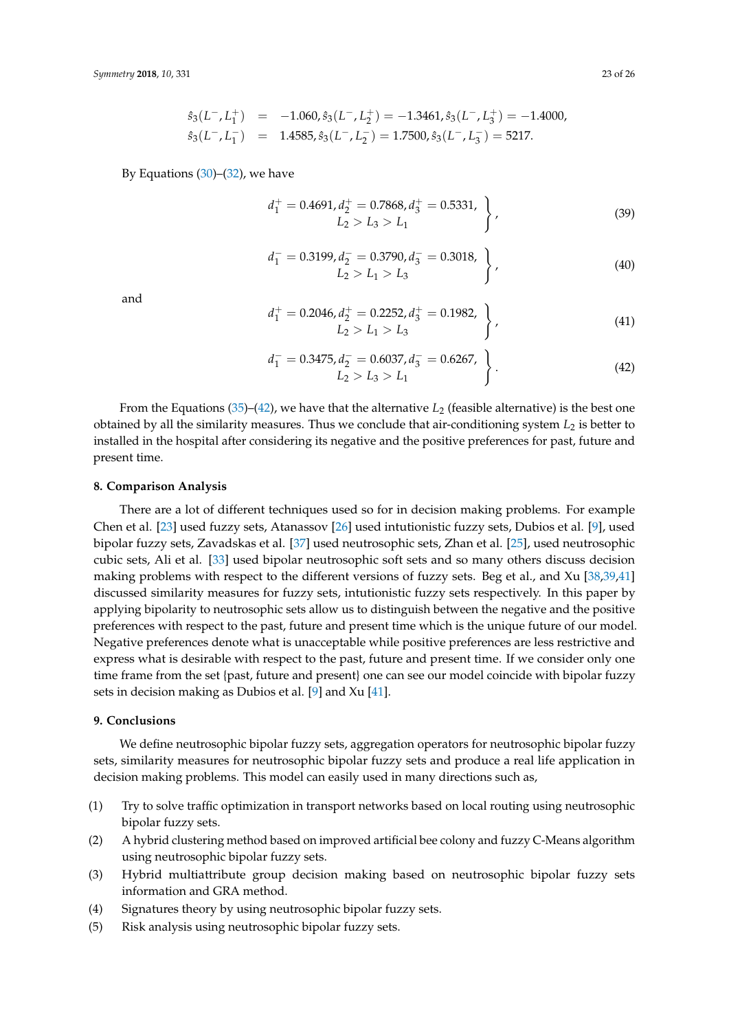$$
\begin{array}{rcl}\n\hat{s}_3(L^-,L_1^+) & = & -1.060, \hat{s}_3(L^-,L_2^+) = & -1.3461, \hat{s}_3(L^-,L_3^+) = & -1.4000, \\
\hat{s}_3(L^-,L_1^-) & = & 1.4585, \hat{s}_3(L^-,L_2^-) = & 1.7500, \hat{s}_3(L^-,L_3^-) = & 5217.\n\end{array}
$$

By Equations  $(30)$ – $(32)$ , we have

$$
d_1^+ = 0.4691, d_2^+ = 0.7868, d_3^+ = 0.5331, L_2 > L_3 > L_1
$$
\n(39)

$$
d_1^- = 0.3199, d_2^- = 0.3790, d_3^- = 0.3018, \n\nL_2 > L_1 > L_3
$$
\n(40)

and

$$
d_1^+ = 0.2046, d_2^+ = 0.2252, d_3^+ = 0.1982, \n\nL_2 > L_1 > L_3
$$
\n(41)

<span id="page-22-2"></span>
$$
d_1^- = 0.3475, d_2^- = 0.6037, d_3^- = 0.6267, L_2 > L_3 > L_1
$$
\n(42)

From the Equations  $(35)$ – $(42)$ , we have that the alternative  $L_2$  (feasible alternative) is the best one obtained by all the similarity measures. Thus we conclude that air-conditioning system  $L<sub>2</sub>$  is better to installed in the hospital after considering its negative and the positive preferences for past, future and present time.

#### <span id="page-22-0"></span>**8. Comparison Analysis**

There are a lot of different techniques used so for in decision making problems. For example Chen et al. [\[23\]](#page-24-2) used fuzzy sets, Atanassov [\[26\]](#page-24-5) used intutionistic fuzzy sets, Dubios et al. [\[9\]](#page-23-8), used bipolar fuzzy sets, Zavadskas et al. [\[37\]](#page-24-13) used neutrosophic sets, Zhan et al. [\[25\]](#page-24-4), used neutrosophic cubic sets, Ali et al. [\[33\]](#page-24-12) used bipolar neutrosophic soft sets and so many others discuss decision making problems with respect to the different versions of fuzzy sets. Beg et al., and Xu [\[38](#page-24-14)[,39](#page-24-15)[,41\]](#page-24-18) discussed similarity measures for fuzzy sets, intutionistic fuzzy sets respectively. In this paper by applying bipolarity to neutrosophic sets allow us to distinguish between the negative and the positive preferences with respect to the past, future and present time which is the unique future of our model. Negative preferences denote what is unacceptable while positive preferences are less restrictive and express what is desirable with respect to the past, future and present time. If we consider only one time frame from the set {past, future and present} one can see our model coincide with bipolar fuzzy sets in decision making as Dubios et al. [\[9\]](#page-23-8) and Xu [\[41\]](#page-24-18).

### <span id="page-22-1"></span>**9. Conclusions**

We define neutrosophic bipolar fuzzy sets, aggregation operators for neutrosophic bipolar fuzzy sets, similarity measures for neutrosophic bipolar fuzzy sets and produce a real life application in decision making problems. This model can easily used in many directions such as,

- (1) Try to solve traffic optimization in transport networks based on local routing using neutrosophic bipolar fuzzy sets.
- (2) A hybrid clustering method based on improved artificial bee colony and fuzzy C-Means algorithm using neutrosophic bipolar fuzzy sets.
- (3) Hybrid multiattribute group decision making based on neutrosophic bipolar fuzzy sets information and GRA method.
- (4) Signatures theory by using neutrosophic bipolar fuzzy sets.
- (5) Risk analysis using neutrosophic bipolar fuzzy sets.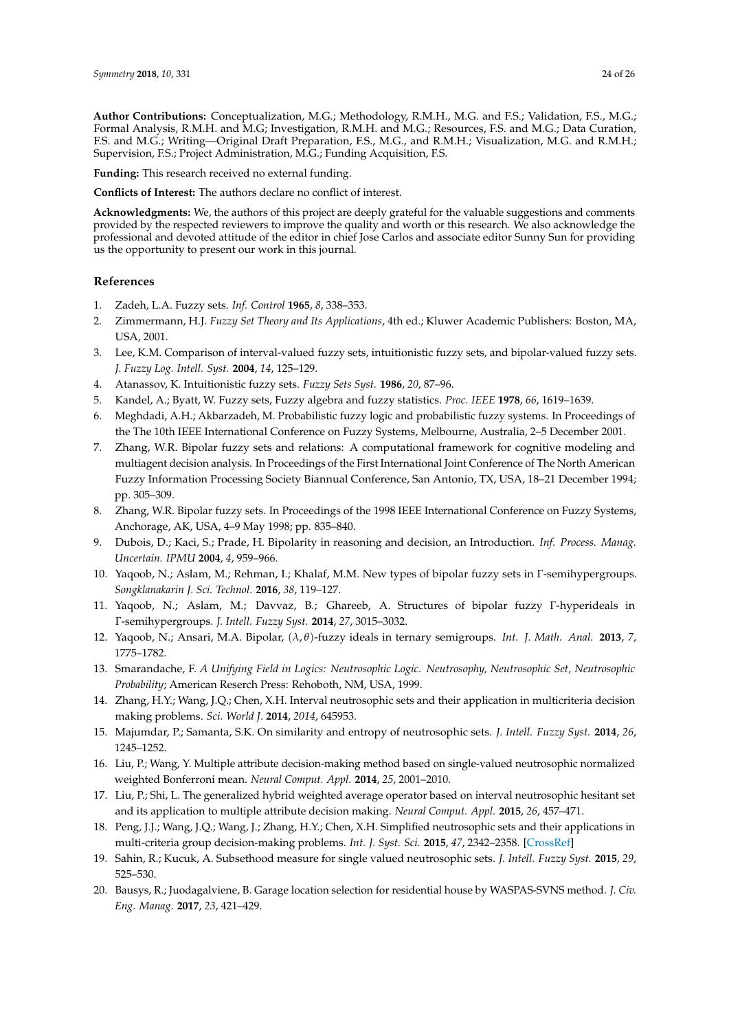**Author Contributions:** Conceptualization, M.G.; Methodology, R.M.H., M.G. and F.S.; Validation, F.S., M.G.; Formal Analysis, R.M.H. and M.G; Investigation, R.M.H. and M.G.; Resources, F.S. and M.G.; Data Curation, F.S. and M.G.; Writing—Original Draft Preparation, F.S., M.G., and R.M.H.; Visualization, M.G. and R.M.H.; Supervision, F.S.; Project Administration, M.G.; Funding Acquisition, F.S.

**Funding:** This research received no external funding.

**Conflicts of Interest:** The authors declare no conflict of interest.

**Acknowledgments:** We, the authors of this project are deeply grateful for the valuable suggestions and comments provided by the respected reviewers to improve the quality and worth or this research. We also acknowledge the professional and devoted attitude of the editor in chief Jose Carlos and associate editor Sunny Sun for providing us the opportunity to present our work in this journal.

### **References**

- <span id="page-23-0"></span>1. Zadeh, L.A. Fuzzy sets. *Inf. Control* **1965**, *8*, 338–353.
- <span id="page-23-1"></span>2. Zimmermann, H.J. *Fuzzy Set Theory and Its Applications*, 4th ed.; Kluwer Academic Publishers: Boston, MA, USA, 2001.
- <span id="page-23-2"></span>3. Lee, K.M. Comparison of interval-valued fuzzy sets, intuitionistic fuzzy sets, and bipolar-valued fuzzy sets. *J. Fuzzy Log. Intell. Syst.* **2004**, *14*, 125–129.
- <span id="page-23-3"></span>4. Atanassov, K. Intuitionistic fuzzy sets. *Fuzzy Sets Syst.* **1986**, *20*, 87–96.
- <span id="page-23-4"></span>5. Kandel, A.; Byatt, W. Fuzzy sets, Fuzzy algebra and fuzzy statistics. *Proc. IEEE* **1978**, *66*, 1619–1639.
- <span id="page-23-5"></span>6. Meghdadi, A.H.; Akbarzadeh, M. Probabilistic fuzzy logic and probabilistic fuzzy systems. In Proceedings of the The 10th IEEE International Conference on Fuzzy Systems, Melbourne, Australia, 2–5 December 2001.
- <span id="page-23-6"></span>7. Zhang, W.R. Bipolar fuzzy sets and relations: A computational framework for cognitive modeling and multiagent decision analysis. In Proceedings of the First International Joint Conference of The North American Fuzzy Information Processing Society Biannual Conference, San Antonio, TX, USA, 18–21 December 1994; pp. 305–309.
- <span id="page-23-7"></span>8. Zhang, W.R. Bipolar fuzzy sets. In Proceedings of the 1998 IEEE International Conference on Fuzzy Systems, Anchorage, AK, USA, 4–9 May 1998; pp. 835–840.
- <span id="page-23-8"></span>9. Dubois, D.; Kaci, S.; Prade, H. Bipolarity in reasoning and decision, an Introduction. *Inf. Process. Manag. Uncertain. IPMU* **2004**, *4*, 959–966.
- <span id="page-23-9"></span>10. Yaqoob, N.; Aslam, M.; Rehman, I.; Khalaf, M.M. New types of bipolar fuzzy sets in Γ-semihypergroups. *Songklanakarin J. Sci. Technol.* **2016**, *38*, 119–127.
- 11. Yaqoob, N.; Aslam, M.; Davvaz, B.; Ghareeb, A. Structures of bipolar fuzzy Γ-hyperideals in Γ-semihypergroups. *J. Intell. Fuzzy Syst.* **2014**, *27*, 3015–3032.
- <span id="page-23-10"></span>12. Yaqoob, N.; Ansari, M.A. Bipolar, (*λ*, *θ*)-fuzzy ideals in ternary semigroups. *Int. J. Math. Anal.* **2013**, *7*, 1775–1782.
- <span id="page-23-11"></span>13. Smarandache, F. *A Unifying Field in Logics: Neutrosophic Logic. Neutrosophy, Neutrosophic Set, Neutrosophic Probability*; American Reserch Press: Rehoboth, NM, USA, 1999.
- <span id="page-23-12"></span>14. Zhang, H.Y.; Wang, J.Q.; Chen, X.H. Interval neutrosophic sets and their application in multicriteria decision making problems. *Sci. World J.* **2014**, *2014*, 645953.
- <span id="page-23-13"></span>15. Majumdar, P.; Samanta, S.K. On similarity and entropy of neutrosophic sets. *J. Intell. Fuzzy Syst.* **2014**, *26*, 1245–1252.
- <span id="page-23-14"></span>16. Liu, P.; Wang, Y. Multiple attribute decision-making method based on single-valued neutrosophic normalized weighted Bonferroni mean. *Neural Comput. Appl.* **2014**, *25*, 2001–2010.
- <span id="page-23-15"></span>17. Liu, P.; Shi, L. The generalized hybrid weighted average operator based on interval neutrosophic hesitant set and its application to multiple attribute decision making. *Neural Comput. Appl.* **2015**, *26*, 457–471.
- <span id="page-23-16"></span>18. Peng, J.J.; Wang, J.Q.; Wang, J.; Zhang, H.Y.; Chen, X.H. Simplified neutrosophic sets and their applications in multi-criteria group decision-making problems. *Int. J. Syst. Sci.* **2015**, *47*, 2342–2358. [\[CrossRef\]](http://dx.doi.org/10.1080/00207721.2014.994050)
- <span id="page-23-17"></span>19. Sahin, R.; Kucuk, A. Subsethood measure for single valued neutrosophic sets. *J. Intell. Fuzzy Syst.* **2015**, *29*, 525–530.
- <span id="page-23-18"></span>20. Bausys, R.; Juodagalviene, B. Garage location selection for residential house by WASPAS-SVNS method. *J. Civ. Eng. Manag.* **2017**, *23*, 421–429.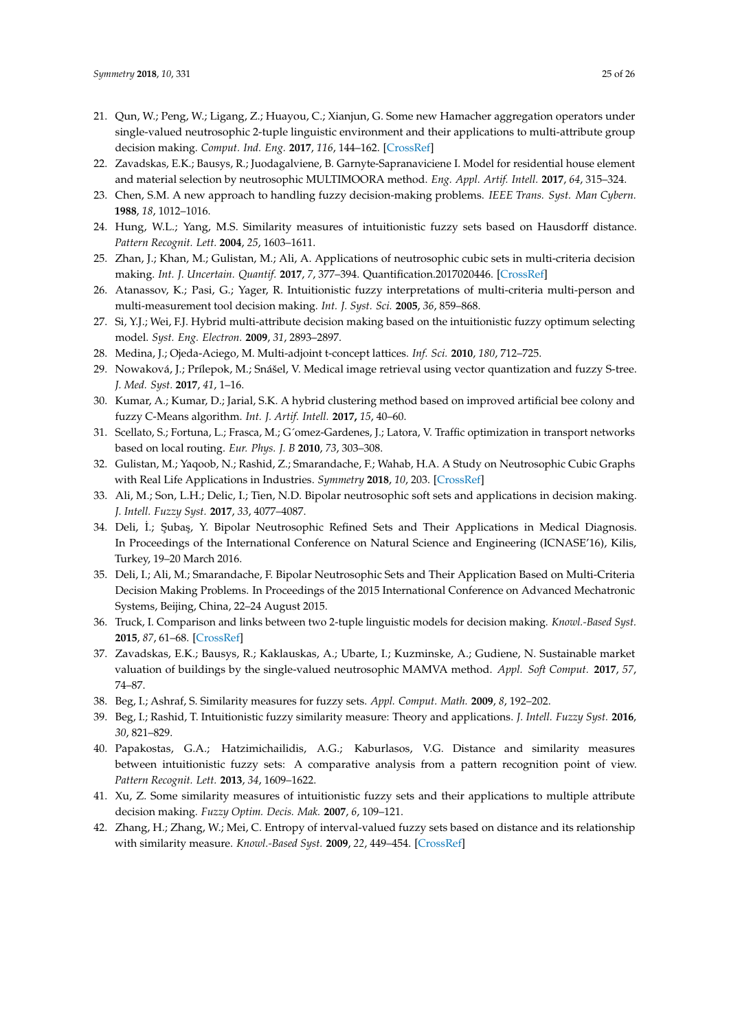- <span id="page-24-0"></span>21. Qun, W.; Peng, W.; Ligang, Z.; Huayou, C.; Xianjun, G. Some new Hamacher aggregation operators under single-valued neutrosophic 2-tuple linguistic environment and their applications to multi-attribute group decision making. *Comput. Ind. Eng.* **2017**, *116*, 144–162. [\[CrossRef\]](http://dx.doi.org/10.1016/j.cie.2017.12.024)
- <span id="page-24-1"></span>22. Zavadskas, E.K.; Bausys, R.; Juodagalviene, B. Garnyte-Sapranaviciene I. Model for residential house element and material selection by neutrosophic MULTIMOORA method. *Eng. Appl. Artif. Intell.* **2017**, *64*, 315–324.
- <span id="page-24-2"></span>23. Chen, S.M. A new approach to handling fuzzy decision-making problems. *IEEE Trans. Syst. Man Cybern.* **1988**, *18*, 1012–1016.
- <span id="page-24-3"></span>24. Hung, W.L.; Yang, M.S. Similarity measures of intuitionistic fuzzy sets based on Hausdorff distance. *Pattern Recognit. Lett.* **2004**, *25*, 1603–1611.
- <span id="page-24-4"></span>25. Zhan, J.; Khan, M.; Gulistan, M.; Ali, A. Applications of neutrosophic cubic sets in multi-criteria decision making. *Int. J. Uncertain. Quantif.* **2017**, *7*, 377–394. Quantification.2017020446. [\[CrossRef\]](http://dx.doi.org/10.1615/Int.J.Uncertainty Quantification.2017020446)
- <span id="page-24-5"></span>26. Atanassov, K.; Pasi, G.; Yager, R. Intuitionistic fuzzy interpretations of multi-criteria multi-person and multi-measurement tool decision making. *Int. J. Syst. Sci.* **2005**, *36*, 859–868.
- <span id="page-24-6"></span>27. Si, Y.J.; Wei, F.J. Hybrid multi-attribute decision making based on the intuitionistic fuzzy optimum selecting model. *Syst. Eng. Electron.* **2009**, *31*, 2893–2897.
- <span id="page-24-7"></span>28. Medina, J.; Ojeda-Aciego, M. Multi-adjoint t-concept lattices. *Inf. Sci.* **2010**, *180*, 712–725.
- <span id="page-24-8"></span>29. Nowaková, J.; Prílepok, M.; Snášel, V. Medical image retrieval using vector quantization and fuzzy S-tree. *J. Med. Syst.* **2017**, *41*, 1–16.
- <span id="page-24-9"></span>30. Kumar, A.; Kumar, D.; Jarial, S.K. A hybrid clustering method based on improved artificial bee colony and fuzzy C-Means algorithm. *Int. J. Artif. Intell.* **2017,** *15*, 40–60.
- <span id="page-24-10"></span>31. Scellato, S.; Fortuna, L.; Frasca, M.; G´omez-Gardenes, J.; Latora, V. Traffic optimization in transport networks based on local routing. *Eur. Phys. J. B* **2010**, *73*, 303–308.
- <span id="page-24-11"></span>32. Gulistan, M.; Yaqoob, N.; Rashid, Z.; Smarandache, F.; Wahab, H.A. A Study on Neutrosophic Cubic Graphs with Real Life Applications in Industries. *Symmetry* **2018**, *10*, 203. [\[CrossRef\]](http://dx.doi.org/10.3390/sym10060203)
- <span id="page-24-12"></span>33. Ali, M.; Son, L.H.; Delic, I.; Tien, N.D. Bipolar neutrosophic soft sets and applications in decision making. *J. Intell. Fuzzy Syst.* **2017**, *33*, 4077–4087.
- 34. Deli, İ.; Şubaş, Y. Bipolar Neutrosophic Refined Sets and Their Applications in Medical Diagnosis. In Proceedings of the International Conference on Natural Science and Engineering (ICNASE'16), Kilis, Turkey, 19–20 March 2016.
- 35. Deli, I.; Ali, M.; Smarandache, F. Bipolar Neutrosophic Sets and Their Application Based on Multi-Criteria Decision Making Problems. In Proceedings of the 2015 International Conference on Advanced Mechatronic Systems, Beijing, China, 22–24 August 2015.
- 36. Truck, I. Comparison and links between two 2-tuple linguistic models for decision making. *Knowl.-Based Syst.* **2015**, *87*, 61–68. [\[CrossRef\]](http://dx.doi.org/10.1016/j.knosys.2015.05.030)
- <span id="page-24-13"></span>37. Zavadskas, E.K.; Bausys, R.; Kaklauskas, A.; Ubarte, I.; Kuzminske, A.; Gudiene, N. Sustainable market valuation of buildings by the single-valued neutrosophic MAMVA method. *Appl. Soft Comput.* **2017**, *57*, 74–87.
- <span id="page-24-14"></span>38. Beg, I.; Ashraf, S. Similarity measures for fuzzy sets. *Appl. Comput. Math.* **2009**, *8*, 192–202.
- <span id="page-24-15"></span>39. Beg, I.; Rashid, T. Intuitionistic fuzzy similarity measure: Theory and applications. *J. Intell. Fuzzy Syst.* **2016**, *30*, 821–829.
- <span id="page-24-16"></span>40. Papakostas, G.A.; Hatzimichailidis, A.G.; Kaburlasos, V.G. Distance and similarity measures between intuitionistic fuzzy sets: A comparative analysis from a pattern recognition point of view. *Pattern Recognit. Lett.* **2013**, *34*, 1609–1622.
- <span id="page-24-18"></span>41. Xu, Z. Some similarity measures of intuitionistic fuzzy sets and their applications to multiple attribute decision making. *Fuzzy Optim. Decis. Mak.* **2007**, *6*, 109–121.
- <span id="page-24-17"></span>42. Zhang, H.; Zhang, W.; Mei, C. Entropy of interval-valued fuzzy sets based on distance and its relationship with similarity measure. *Knowl.-Based Syst.* **2009**, *22*, 449–454. [\[CrossRef\]](http://dx.doi.org/10.1016/j.knosys.2009.06.007)